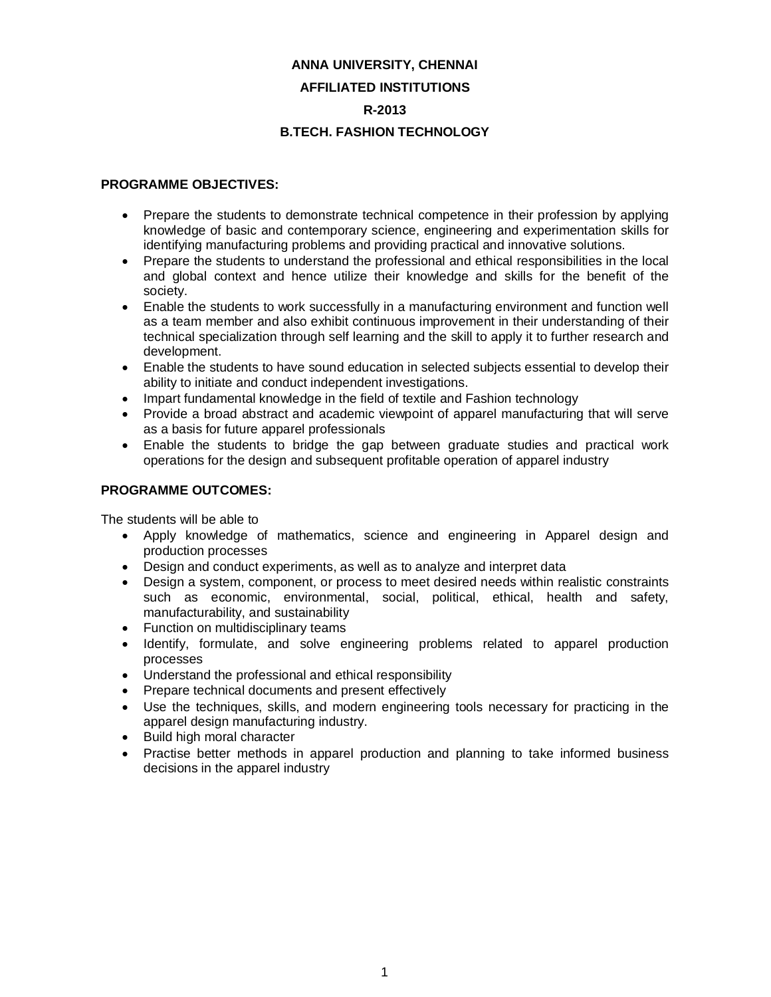# **ANNA UNIVERSITY, CHENNAI AFFILIATED INSTITUTIONS R-2013**

# **B.TECH. FASHION TECHNOLOGY**

### **PROGRAMME OBJECTIVES:**

- Prepare the students to demonstrate technical competence in their profession by applying knowledge of basic and contemporary science, engineering and experimentation skills for identifying manufacturing problems and providing practical and innovative solutions.
- Prepare the students to understand the professional and ethical responsibilities in the local and global context and hence utilize their knowledge and skills for the benefit of the society.
- Enable the students to work successfully in a manufacturing environment and function well as a team member and also exhibit continuous improvement in their understanding of their technical specialization through self learning and the skill to apply it to further research and development.
- Enable the students to have sound education in selected subjects essential to develop their ability to initiate and conduct independent investigations.
- Impart fundamental knowledge in the field of textile and Fashion technology
- Provide a broad abstract and academic viewpoint of apparel manufacturing that will serve as a basis for future apparel professionals
- Enable the students to bridge the gap between graduate studies and practical work operations for the design and subsequent profitable operation of apparel industry

# **PROGRAMME OUTCOMES:**

The students will be able to

- Apply knowledge of mathematics, science and engineering in Apparel design and production processes
- Design and conduct experiments, as well as to analyze and interpret data
- Design a system, component, or process to meet desired needs within realistic constraints such as economic, environmental, social, political, ethical, health and safety, manufacturability, and sustainability
- Function on multidisciplinary teams
- Identify, formulate, and solve engineering problems related to apparel production processes
- Understand the professional and ethical responsibility
- Prepare technical documents and present effectively
- Use the techniques, skills, and modern engineering tools necessary for practicing in the apparel design manufacturing industry.
- Build high moral character
- Practise better methods in apparel production and planning to take informed business decisions in the apparel industry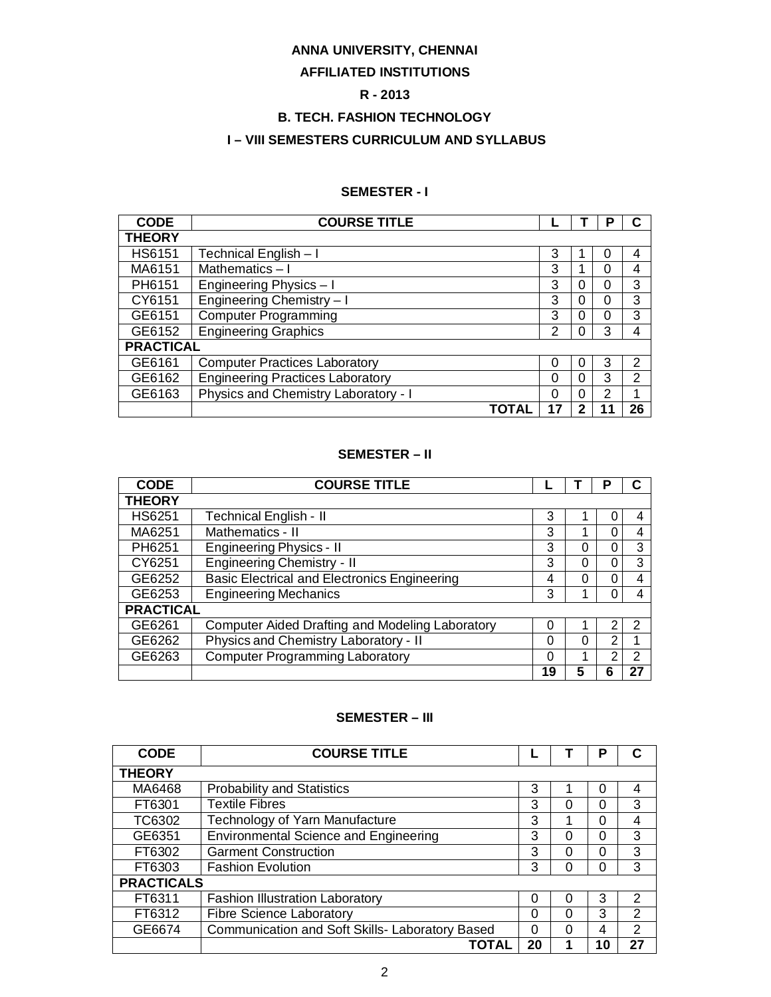# **ANNA UNIVERSITY, CHENNAI**

# **AFFILIATED INSTITUTIONS**

# **R - 2013**

# **B. TECH. FASHION TECHNOLOGY**

# **I – VIII SEMESTERS CURRICULUM AND SYLLABUS**

# **SEMESTER - I**

| <b>CODE</b>      | <b>COURSE TITLE</b>                     |    |   | Р |    |
|------------------|-----------------------------------------|----|---|---|----|
| <b>THEORY</b>    |                                         |    |   |   |    |
| <b>HS6151</b>    | Technical English - I                   | 3  |   | 0 | 4  |
| MA6151           | Mathematics-I                           | 3  | 4 | 0 | 4  |
| PH6151           | Engineering Physics - I                 | 3  | 0 | 0 | 3  |
| CY6151           | Engineering Chemistry - I               | 3  | 0 | 0 | 3  |
| GE6151           | <b>Computer Programming</b>             | 3  | 0 | 0 | 3  |
| GE6152           | <b>Engineering Graphics</b>             | 2  | 0 | 3 | 4  |
| <b>PRACTICAL</b> |                                         |    |   |   |    |
| GE6161           | <b>Computer Practices Laboratory</b>    | 0  | 0 | 3 | 2  |
| GE6162           | <b>Engineering Practices Laboratory</b> | 0  | 0 | 3 | 2  |
| GE6163           | Physics and Chemistry Laboratory - I    | 0  | 0 | 2 | 4  |
|                  | ΤΟΤΑΙ                                   | 17 | 2 |   | 26 |

### **SEMESTER – II**

| <b>CODE</b>      | <b>COURSE TITLE</b>                                 |    |   | Р |    |
|------------------|-----------------------------------------------------|----|---|---|----|
| <b>THEORY</b>    |                                                     |    |   |   |    |
| HS6251           | <b>Technical English - II</b>                       | 3  |   |   | 4  |
| MA6251           | Mathematics - II                                    | 3  |   | 0 | 4  |
| PH6251           | <b>Engineering Physics - II</b>                     | 3  | 0 | 0 | 3  |
| CY6251           | <b>Engineering Chemistry - II</b>                   | 3  | 0 | 0 | 3  |
| GE6252           | <b>Basic Electrical and Electronics Engineering</b> | 4  | ი | ი |    |
| GE6253           | <b>Engineering Mechanics</b>                        | 3  |   |   |    |
| <b>PRACTICAL</b> |                                                     |    |   |   |    |
| GE6261           | Computer Aided Drafting and Modeling Laboratory     | 0  |   | 2 | 2  |
| GE6262           | Physics and Chemistry Laboratory - II               | 0  | 0 | 2 |    |
| GE6263           | <b>Computer Programming Laboratory</b>              | 0  |   | 2 | 2  |
|                  |                                                     | 19 |   |   | 27 |

### **SEMESTER – III**

| <b>CODE</b>       | <b>COURSE TITLE</b>                             |    |   | Р        |               |
|-------------------|-------------------------------------------------|----|---|----------|---------------|
| <b>THEORY</b>     |                                                 |    |   |          |               |
| MA6468            | <b>Probability and Statistics</b>               | 3  |   | 0        | 4             |
| FT6301            | <b>Textile Fibres</b>                           | 3  | 0 | 0        | 3             |
| TC6302            | Technology of Yarn Manufacture                  | 3  |   | $\Omega$ |               |
| GE6351            | <b>Environmental Science and Engineering</b>    | 3  | 0 | 0        | 3             |
| FT6302            | <b>Garment Construction</b>                     | 3  | 0 | 0        | 3             |
| FT6303            | <b>Fashion Evolution</b>                        | 3  | O | 0        | 3             |
| <b>PRACTICALS</b> |                                                 |    |   |          |               |
| FT6311            | <b>Fashion Illustration Laboratory</b>          | 0  | O | 3        | $\mathcal{P}$ |
| FT6312            | <b>Fibre Science Laboratory</b>                 | 0  | 0 | 3        | $\mathcal{P}$ |
| GE6674            | Communication and Soft Skills- Laboratory Based | 0  | 0 | 4        | 2             |
|                   | TOTAL                                           | 20 |   | 10       | 27            |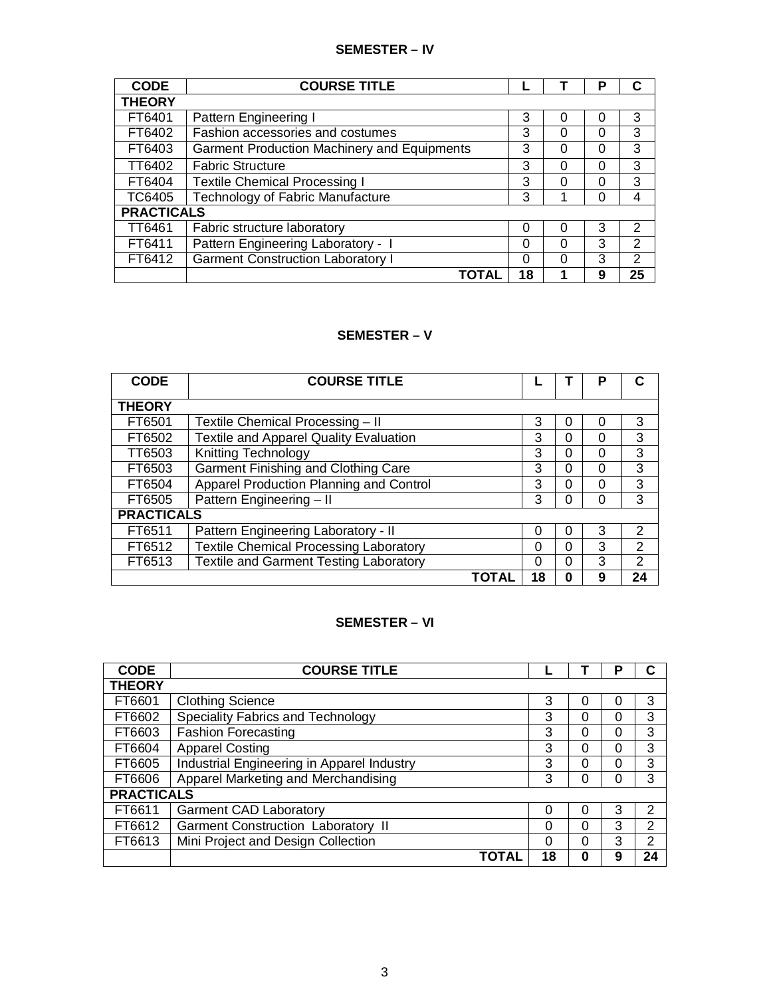# **SEMESTER – IV**

| <b>CODE</b>       | <b>COURSE TITLE</b>                                |          |   | Р        |    |
|-------------------|----------------------------------------------------|----------|---|----------|----|
| <b>THEORY</b>     |                                                    |          |   |          |    |
| FT6401            | Pattern Engineering I                              | 3        | 0 | 0        | 3  |
| FT6402            | Fashion accessories and costumes                   | 3        | 0 | 0        | 3  |
| FT6403            | <b>Garment Production Machinery and Equipments</b> | 3        | 0 | $\Omega$ | 3  |
| TT6402            | <b>Fabric Structure</b>                            | 3        | 0 | 0        | 3  |
| FT6404            | <b>Textile Chemical Processing I</b>               | 3        | 0 | 0        | 3  |
| TC6405            | <b>Technology of Fabric Manufacture</b>            | 3        |   | 0        | 4  |
| <b>PRACTICALS</b> |                                                    |          |   |          |    |
| TT6461            | Fabric structure laboratory                        | 0        | 0 | 3        | 2  |
| FT6411            | Pattern Engineering Laboratory - I                 | 0        | 0 | 3        | 2  |
| FT6412            | <b>Garment Construction Laboratory I</b>           | $\Omega$ | 0 | 3        | 2  |
|                   | ΤΟΤΑΙ                                              | 18       |   | 9        | 25 |

# **SEMESTER – V**

| <b>CODE</b>       | <b>COURSE TITLE</b>                           |    |          | Р |               |
|-------------------|-----------------------------------------------|----|----------|---|---------------|
| <b>THEORY</b>     |                                               |    |          |   |               |
| FT6501            | Textile Chemical Processing - II              | 3  | $\Omega$ | 0 | 3             |
| FT6502            | <b>Textile and Apparel Quality Evaluation</b> | 3  | $\Omega$ | 0 | 3             |
| TT6503            | <b>Knitting Technology</b>                    | 3  | $\Omega$ | 0 | 3             |
| FT6503            | Garment Finishing and Clothing Care           | 3  | $\Omega$ | 0 | 3             |
| FT6504            | Apparel Production Planning and Control       | 3  | $\Omega$ | 0 | 3             |
| FT6505            | Pattern Engineering - II                      | 3  | $\Omega$ | 0 | 3             |
| <b>PRACTICALS</b> |                                               |    |          |   |               |
| FT6511            | Pattern Engineering Laboratory - II           | 0  | 0        | 3 | $\mathcal{P}$ |
| FT6512            | <b>Textile Chemical Processing Laboratory</b> | 0  | $\Omega$ | 3 | $\mathcal{P}$ |
| FT6513            | <b>Textile and Garment Testing Laboratory</b> | 0  | $\Omega$ | 3 | $\mathcal{P}$ |
|                   | ΤΟΤΑΙ                                         | 18 | 0        | 9 | 24            |

# **SEMESTER – VI**

| <b>CODE</b>       | <b>COURSE TITLE</b>                        |    |   | Р        |    |
|-------------------|--------------------------------------------|----|---|----------|----|
| <b>THEORY</b>     |                                            |    |   |          |    |
| FT6601            | <b>Clothing Science</b>                    | 3  | 0 | 0        | 3  |
| FT6602            | Speciality Fabrics and Technology          | 3  | 0 | $\Omega$ | 3  |
| FT6603            | <b>Fashion Forecasting</b>                 | 3  | 0 | 0        | 3  |
| FT6604            | <b>Apparel Costing</b>                     | 3  | 0 | $\Omega$ | 3  |
| FT6605            | Industrial Engineering in Apparel Industry | 3  | 0 | $\Omega$ | 3  |
| FT6606            | Apparel Marketing and Merchandising        | 3  | 0 | $\Omega$ | 3  |
| <b>PRACTICALS</b> |                                            |    |   |          |    |
| FT6611            | <b>Garment CAD Laboratory</b>              | 0  | 0 | 3        | 2  |
| FT6612            | <b>Garment Construction Laboratory II</b>  | 0  | 0 | 3        | 2  |
| FT6613            | Mini Project and Design Collection         | 0  | 0 | 3        | 2  |
|                   | ΤΟΤΑΙ                                      | 18 | 0 | 9        | 24 |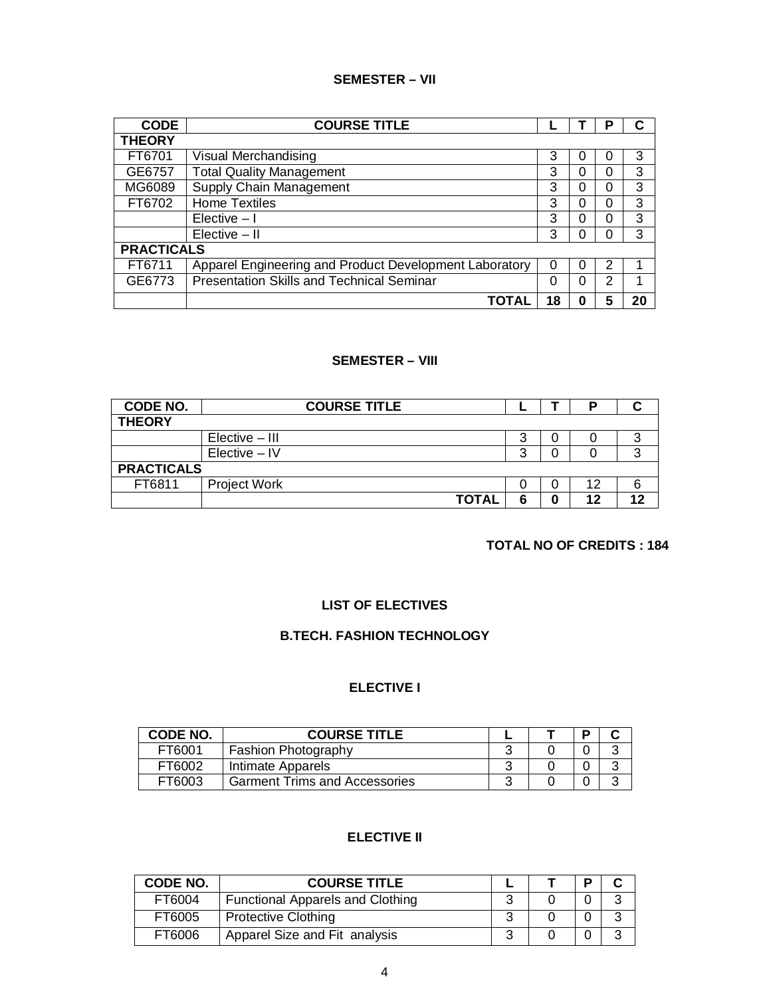# **SEMESTER – VII**

| <b>CODE</b>       | <b>COURSE TITLE</b>                                    |    |   | Р |    |
|-------------------|--------------------------------------------------------|----|---|---|----|
| <b>THEORY</b>     |                                                        |    |   |   |    |
| FT6701            | Visual Merchandising                                   | 3  | U | 0 | 3  |
| GE6757            | <b>Total Quality Management</b>                        | 3  | 0 | 0 | 3  |
| MG6089            | Supply Chain Management                                | 3  | 0 | 0 | 3  |
| FT6702            | <b>Home Textiles</b>                                   | 3  | O | 0 | 3  |
|                   | Elective $-1$                                          | 3  | 0 | 0 | 3  |
|                   | $Elective - II$                                        | 3  | O | 0 | 3  |
| <b>PRACTICALS</b> |                                                        |    |   |   |    |
| FT6711            | Apparel Engineering and Product Development Laboratory | 0  | 0 | 2 |    |
| GE6773            | <b>Presentation Skills and Technical Seminar</b>       | 0  | 0 | 2 |    |
|                   | ΤΟΤΑΙ                                                  | 18 | 0 | 5 | 20 |

## **SEMESTER – VIII**

| CODE NO.          | <b>COURSE TITLE</b> |   |   | P  |    |
|-------------------|---------------------|---|---|----|----|
| <b>THEORY</b>     |                     |   |   |    |    |
|                   | Elective – III      | 3 |   |    |    |
|                   | $Electric - IV$     | 3 |   |    | ◠  |
| <b>PRACTICALS</b> |                     |   |   |    |    |
| FT6811            | <b>Project Work</b> |   |   | 12 |    |
|                   | <b>TOTAL</b>        | 6 | 0 | 12 | 12 |

# **TOTAL NO OF CREDITS : 184**

# **LIST OF ELECTIVES**

### **B.TECH. FASHION TECHNOLOGY**

# **ELECTIVE I**

| CODE NO.      | <b>COURSE TITLE</b>                  |  |  |
|---------------|--------------------------------------|--|--|
| FT6001        | Fashion Photography                  |  |  |
| FT6002        | Intimate Apparels                    |  |  |
| <b>FT6003</b> | <b>Garment Trims and Accessories</b> |  |  |

# **ELECTIVE II**

| CODE NO. | <b>COURSE TITLE</b>                     |   |  |  |
|----------|-----------------------------------------|---|--|--|
| FT6004   | <b>Functional Apparels and Clothing</b> |   |  |  |
| FT6005   | <b>Protective Clothing</b>              | ົ |  |  |
| FT6006   | Apparel Size and Fit analysis           | ◠ |  |  |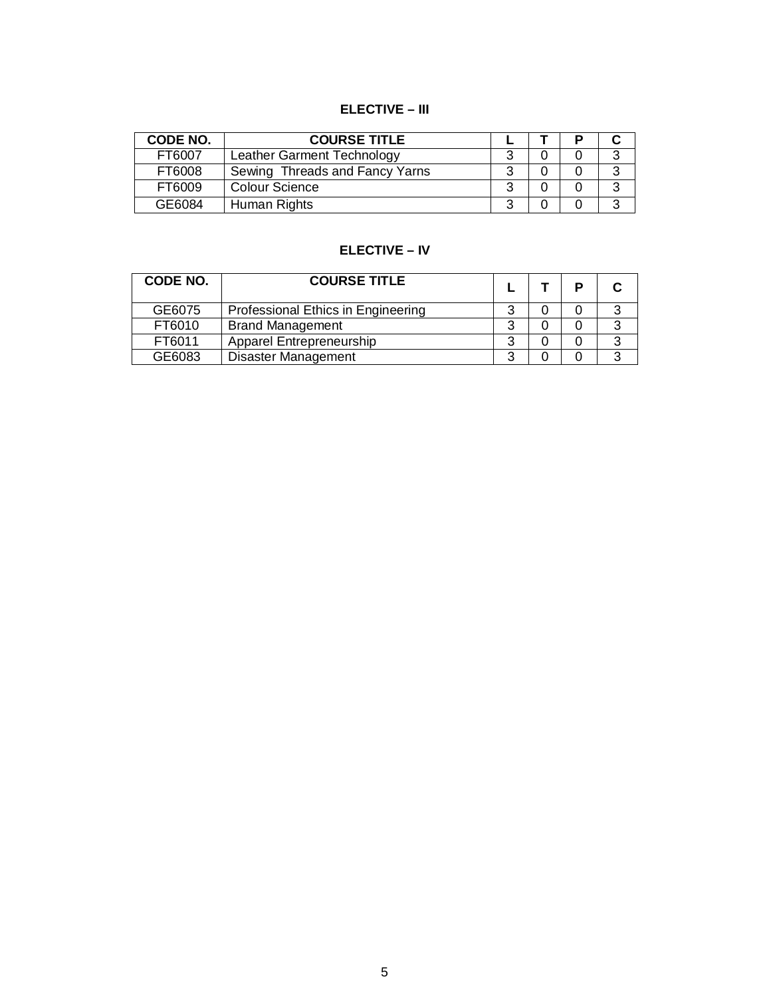# **ELECTIVE – III**

| CODE NO. | <b>COURSE TITLE</b>            |   |  |   |
|----------|--------------------------------|---|--|---|
| FT6007   | Leather Garment Technology     |   |  | 2 |
| FT6008   | Sewing Threads and Fancy Yarns | າ |  | າ |
| FT6009   | <b>Colour Science</b>          |   |  | 2 |
| GE6084   | Human Rights                   |   |  | 2 |

# **ELECTIVE – IV**

| CODE NO. | <b>COURSE TITLE</b>                |   | P |   |
|----------|------------------------------------|---|---|---|
| GE6075   | Professional Ethics in Engineering | ◠ |   | っ |
| FT6010   | <b>Brand Management</b>            | 3 |   | 3 |
| FT6011   | <b>Apparel Entrepreneurship</b>    | ີ |   | 3 |
| GE6083   | <b>Disaster Management</b>         | າ |   | 2 |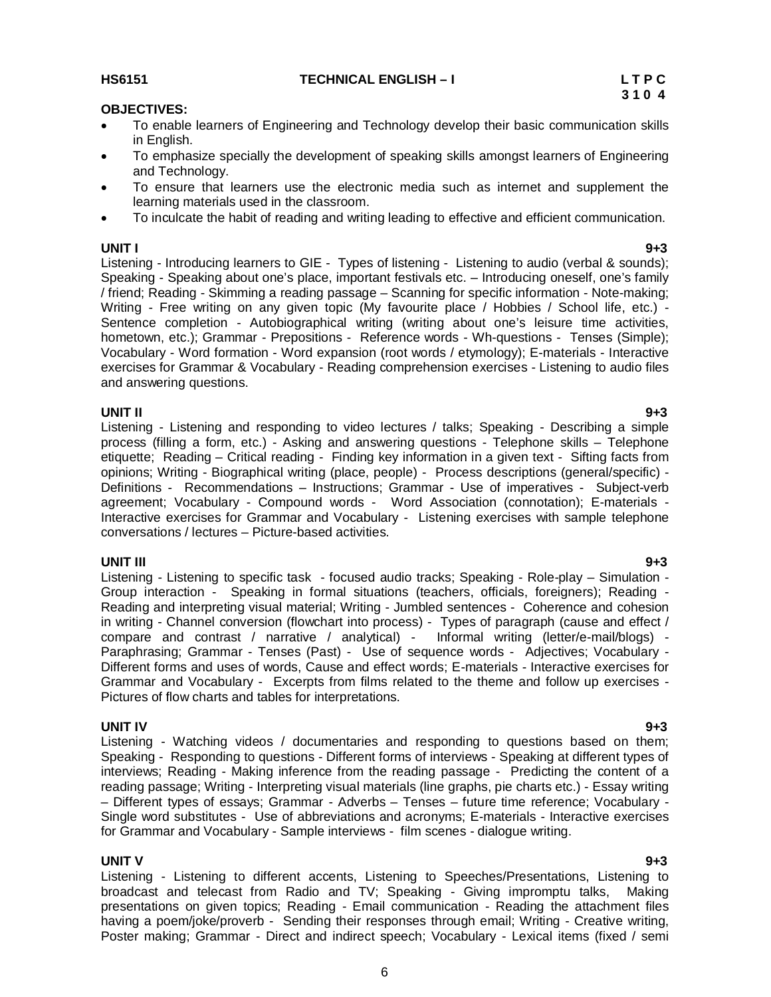### **HS6151 TECHNICAL ENGLISH – I L T P C**

### **OBJECTIVES:**

- To enable learners of Engineering and Technology develop their basic communication skills in English.
- To emphasize specially the development of speaking skills amongst learners of Engineering and Technology.
- To ensure that learners use the electronic media such as internet and supplement the learning materials used in the classroom.
- To inculcate the habit of reading and writing leading to effective and efficient communication.

**UNIT I 9+3** Listening - Introducing learners to GIE - Types of listening - Listening to audio (verbal & sounds); Speaking - Speaking about one's place, important festivals etc. – Introducing oneself, one's family / friend; Reading - Skimming a reading passage – Scanning for specific information - Note-making; Writing - Free writing on any given topic (My favourite place / Hobbies / School life, etc.) -Sentence completion - Autobiographical writing (writing about one's leisure time activities, hometown, etc.); Grammar - Prepositions - Reference words - Wh-questions - Tenses (Simple); Vocabulary - Word formation - Word expansion (root words / etymology); E-materials - Interactive exercises for Grammar & Vocabulary - Reading comprehension exercises - Listening to audio files and answering questions.

**UNIT II 9+3** Listening - Listening and responding to video lectures / talks; Speaking - Describing a simple process (filling a form, etc.) - Asking and answering questions - Telephone skills – Telephone etiquette; Reading – Critical reading - Finding key information in a given text - Sifting facts from opinions; Writing - Biographical writing (place, people) - Process descriptions (general/specific) - Definitions - Recommendations – Instructions; Grammar - Use of imperatives - Subject-verb agreement; Vocabulary - Compound words - Word Association (connotation); E-materials - Interactive exercises for Grammar and Vocabulary - Listening exercises with sample telephone conversations / lectures – Picture-based activities.

**UNIT III 9+3** Listening - Listening to specific task - focused audio tracks; Speaking - Role-play – Simulation - Group interaction - Speaking in formal situations (teachers, officials, foreigners); Reading - Reading and interpreting visual material; Writing - Jumbled sentences - Coherence and cohesion in writing - Channel conversion (flowchart into process) - Types of paragraph (cause and effect / compare and contrast / narrative / analytical) - Informal writing (letter/e-mail/blogs) - Paraphrasing; Grammar - Tenses (Past) - Use of sequence words - Adjectives; Vocabulary - Different forms and uses of words, Cause and effect words; E-materials - Interactive exercises for Grammar and Vocabulary - Excerpts from films related to the theme and follow up exercises - Pictures of flow charts and tables for interpretations.

**UNIT IV 9+3** Listening - Watching videos / documentaries and responding to questions based on them; Speaking - Responding to questions - Different forms of interviews - Speaking at different types of interviews; Reading - Making inference from the reading passage - Predicting the content of a reading passage; Writing - Interpreting visual materials (line graphs, pie charts etc.) - Essay writing – Different types of essays; Grammar - Adverbs – Tenses – future time reference; Vocabulary - Single word substitutes - Use of abbreviations and acronyms; E-materials - Interactive exercises for Grammar and Vocabulary - Sample interviews - film scenes - dialogue writing.

### **UNIT V 9+3**

Listening - Listening to different accents, Listening to Speeches/Presentations, Listening to broadcast and telecast from Radio and TV; Speaking - Giving impromptu talks, Making presentations on given topics; Reading - Email communication - Reading the attachment files having a poem/joke/proverb - Sending their responses through email; Writing - Creative writing, Poster making; Grammar - Direct and indirect speech; Vocabulary - Lexical items (fixed / semi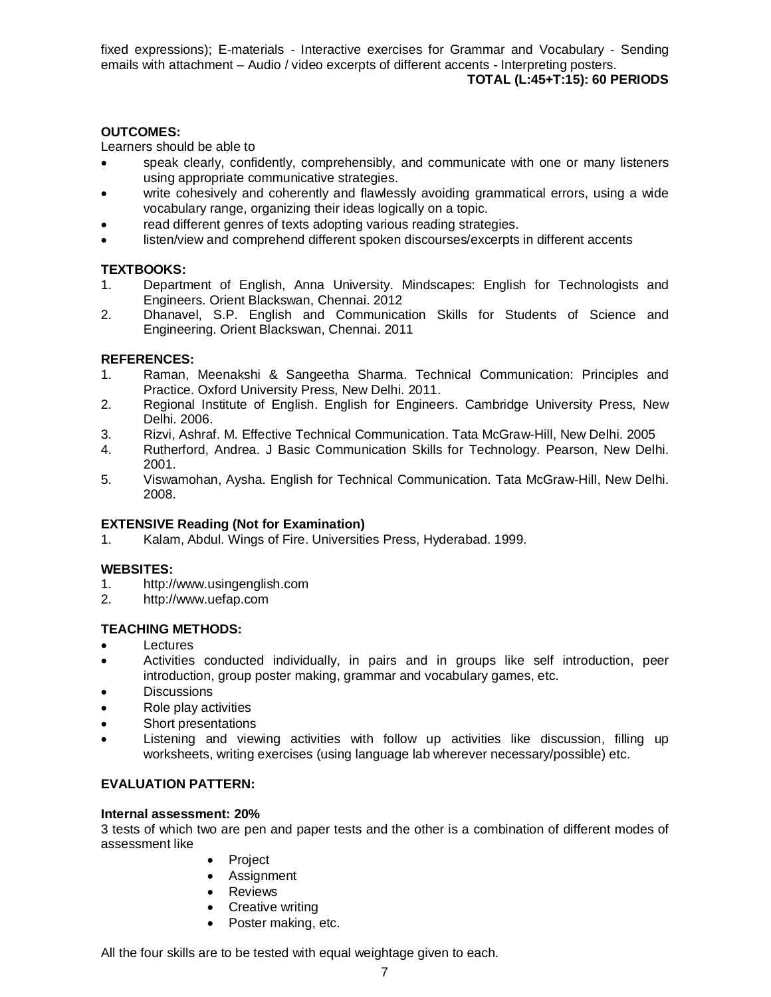fixed expressions); E-materials - Interactive exercises for Grammar and Vocabulary - Sending emails with attachment – Audio / video excerpts of different accents - Interpreting posters.  **TOTAL (L:45+T:15): 60 PERIODS**

### **OUTCOMES:**

Learners should be able to

- speak clearly, confidently, comprehensibly, and communicate with one or many listeners using appropriate communicative strategies.
- write cohesively and coherently and flawlessly avoiding grammatical errors, using a wide vocabulary range, organizing their ideas logically on a topic.
- read different genres of texts adopting various reading strategies.
- listen/view and comprehend different spoken discourses/excerpts in different accents

## **TEXTBOOKS:**

- 1. Department of English, Anna University. Mindscapes: English for Technologists and Engineers. Orient Blackswan, Chennai. 2012
- 2. Dhanavel, S.P. English and Communication Skills for Students of Science and Engineering. Orient Blackswan, Chennai. 2011

### **REFERENCES:**

- 1. Raman, Meenakshi & Sangeetha Sharma. Technical Communication: Principles and Practice. Oxford University Press, New Delhi. 2011.
- 2. Regional Institute of English. English for Engineers. Cambridge University Press, New Delhi. 2006.
- 3. Rizvi, Ashraf. M. Effective Technical Communication. Tata McGraw-Hill, New Delhi. 2005
- 4. Rutherford, Andrea. J Basic Communication Skills for Technology. Pearson, New Delhi. 2001.
- 5. Viswamohan, Aysha. English for Technical Communication. Tata McGraw-Hill, New Delhi. 2008.

### **EXTENSIVE Reading (Not for Examination)**

1. Kalam, Abdul. Wings of Fire. Universities Press, Hyderabad. 1999.

### **WEBSITES:**

- 1. http://www.usingenglish.com
- 2. http://www.uefap.com

## **TEACHING METHODS:**

- Lectures
- Activities conducted individually, in pairs and in groups like self introduction, peer introduction, group poster making, grammar and vocabulary games, etc.
- **Discussions**
- Role play activities
- Short presentations
- Listening and viewing activities with follow up activities like discussion, filling up worksheets, writing exercises (using language lab wherever necessary/possible) etc.

### **EVALUATION PATTERN:**

### **Internal assessment: 20%**

3 tests of which two are pen and paper tests and the other is a combination of different modes of assessment like

- Project
- Assignment
- Reviews
- Creative writing
- Poster making, etc.

All the four skills are to be tested with equal weightage given to each.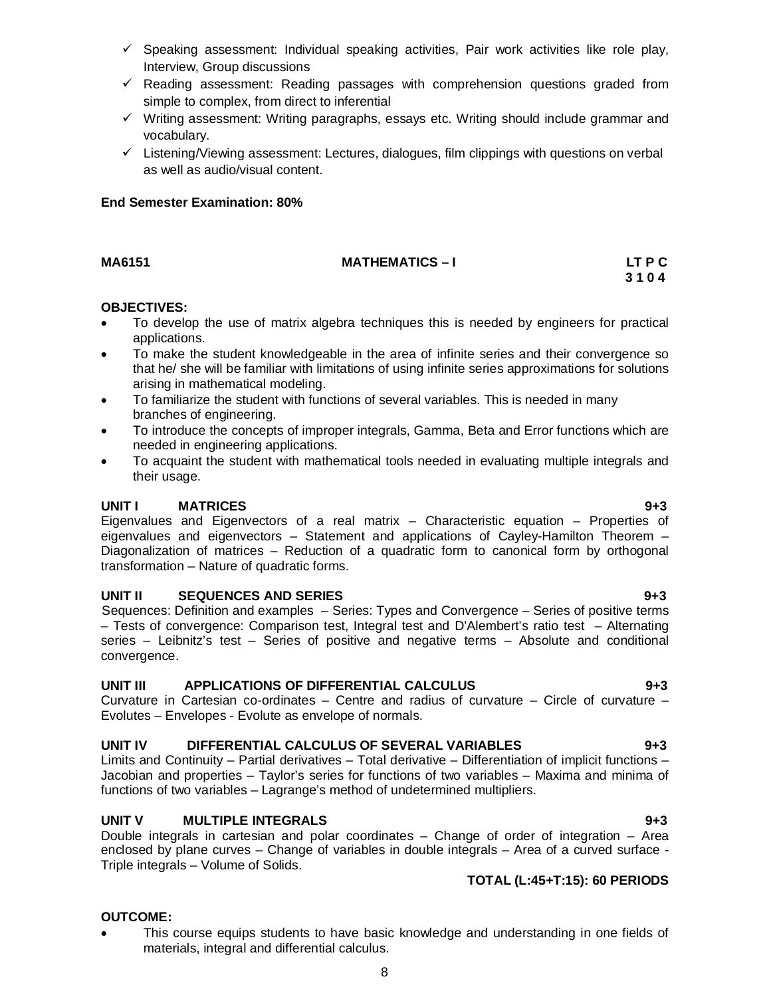- $\checkmark$  Speaking assessment: Individual speaking activities, Pair work activities like role play, Interview, Group discussions
- $\checkmark$  Reading assessment: Reading passages with comprehension questions graded from simple to complex, from direct to inferential
- $\checkmark$  Writing assessment: Writing paragraphs, essays etc. Writing should include grammar and vocabulary.
- $\checkmark$  Listening/Viewing assessment: Lectures, dialogues, film clippings with questions on verbal as well as audio/visual content.

## **End Semester Examination: 80%**

**MA6151 MATHEMATICS – I LT P C** 

# **OBJECTIVES:**

 To develop the use of matrix algebra techniques this is needed by engineers for practical applications.

**3 1 0 4 3 1 0 4** 

- To make the student knowledgeable in the area of infinite series and their convergence so that he/ she will be familiar with limitations of using infinite series approximations for solutions arising in mathematical modeling.
- To familiarize the student with functions of several variables. This is needed in many branches of engineering.
- To introduce the concepts of improper integrals, Gamma, Beta and Error functions which are needed in engineering applications.
- To acquaint the student with mathematical tools needed in evaluating multiple integrals and their usage.

## **UNIT I MATRICES 9+3**

Eigenvalues and Eigenvectors of a real matrix – Characteristic equation – Properties of eigenvalues and eigenvectors – Statement and applications of Cayley-Hamilton Theorem – Diagonalization of matrices – Reduction of a quadratic form to canonical form by orthogonal transformation – Nature of quadratic forms.

### **UNIT II SEQUENCES AND SERIES 9+3**

Sequences: Definition and examples – Series: Types and Convergence – Series of positive terms – Tests of convergence: Comparison test, Integral test and D'Alembert's ratio test – Alternating series – Leibnitz's test – Series of positive and negative terms – Absolute and conditional convergence.

## **UNIT III APPLICATIONS OF DIFFERENTIAL CALCULUS 9+3**

Curvature in Cartesian co-ordinates – Centre and radius of curvature – Circle of curvature – Evolutes – Envelopes - Evolute as envelope of normals.

# **UNIT IV DIFFERENTIAL CALCULUS OF SEVERAL VARIABLES 9+3**

Limits and Continuity – Partial derivatives – Total derivative – Differentiation of implicit functions – Jacobian and properties – Taylor's series for functions of two variables – Maxima and minima of functions of two variables – Lagrange's method of undetermined multipliers.

## **UNIT V MULTIPLE INTEGRALS 9+3**

Double integrals in cartesian and polar coordinates – Change of order of integration – Area enclosed by plane curves – Change of variables in double integrals – Area of a curved surface - Triple integrals – Volume of Solids.

# **TOTAL (L:45+T:15): 60 PERIODS**

## **OUTCOME:**

 This course equips students to have basic knowledge and understanding in one fields of materials, integral and differential calculus.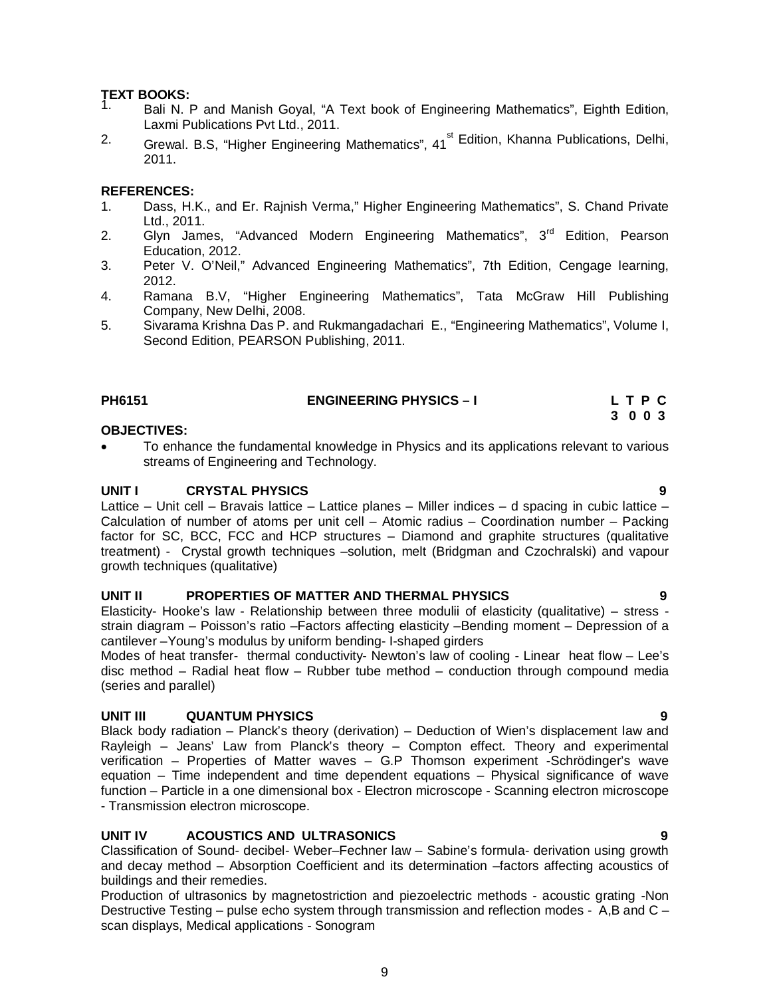# **TEXT BOOKS:**

- Bali N. P and Manish Goyal, "A Text book of Engineering Mathematics", Eighth Edition, Laxmi Publications Pvt Ltd., 2011.
- <sup>2.</sup> Grewal. B.S, "Higher Engineering Mathematics", 41<sup>st</sup> Edition, Khanna Publications, Delhi, 2011.

# **REFERENCES:**

- 1. Dass, H.K., and Er. Rajnish Verma," Higher Engineering Mathematics", S. Chand Private Ltd., 2011.
- 2. Glyn James, "Advanced Modern Engineering Mathematics", 3<sup>rd</sup> Edition, Pearson Education, 2012.
- 3. Peter V. O'Neil," Advanced Engineering Mathematics", 7th Edition, Cengage learning, 2012.
- 4. Ramana B.V, "Higher Engineering Mathematics", Tata McGraw Hill Publishing Company, New Delhi, 2008.
- 5. Sivarama Krishna Das P. and Rukmangadachari E., "Engineering Mathematics", Volume I, Second Edition, PEARSON Publishing, 2011.

| <b>PH6151</b> | <b>ENGINEERING PHYSICS - I</b> | LTPC |  |
|---------------|--------------------------------|------|--|
|               |                                |      |  |

### **3 0 0 3 OBJECTIVES:**

 To enhance the fundamental knowledge in Physics and its applications relevant to various streams of Engineering and Technology.

## **UNIT I CRYSTAL PHYSICS 9**

Lattice – Unit cell – Bravais lattice – Lattice planes – Miller indices – d spacing in cubic lattice – Calculation of number of atoms per unit cell – Atomic radius – Coordination number – Packing factor for SC, BCC, FCC and HCP structures – Diamond and graphite structures (qualitative treatment) - Crystal growth techniques –solution, melt (Bridgman and Czochralski) and vapour growth techniques (qualitative)

## **UNIT II PROPERTIES OF MATTER AND THERMAL PHYSICS 9**

Elasticity- Hooke's law - Relationship between three modulii of elasticity (qualitative) – stress strain diagram – Poisson's ratio –Factors affecting elasticity –Bending moment – Depression of a cantilever –Young's modulus by uniform bending- I-shaped girders

Modes of heat transfer- thermal conductivity- Newton's law of cooling - Linear heat flow – Lee's disc method – Radial heat flow – Rubber tube method – conduction through compound media (series and parallel)

# **UNIT III QUANTUM PHYSICS 9**

Black body radiation – Planck's theory (derivation) – Deduction of Wien's displacement law and Rayleigh – Jeans' Law from Planck's theory – Compton effect. Theory and experimental verification – Properties of Matter waves – G.P Thomson experiment -Schrödinger's wave equation – Time independent and time dependent equations – Physical significance of wave function – Particle in a one dimensional box - Electron microscope - Scanning electron microscope - Transmission electron microscope.

# **UNIT IV ACOUSTICS AND ULTRASONICS 9**

Classification of Sound- decibel- Weber–Fechner law – Sabine's formula- derivation using growth and decay method – Absorption Coefficient and its determination –factors affecting acoustics of buildings and their remedies.

Production of ultrasonics by magnetostriction and piezoelectric methods - acoustic grating -Non Destructive Testing – pulse echo system through transmission and reflection modes - A,B and C – scan displays, Medical applications - Sonogram

9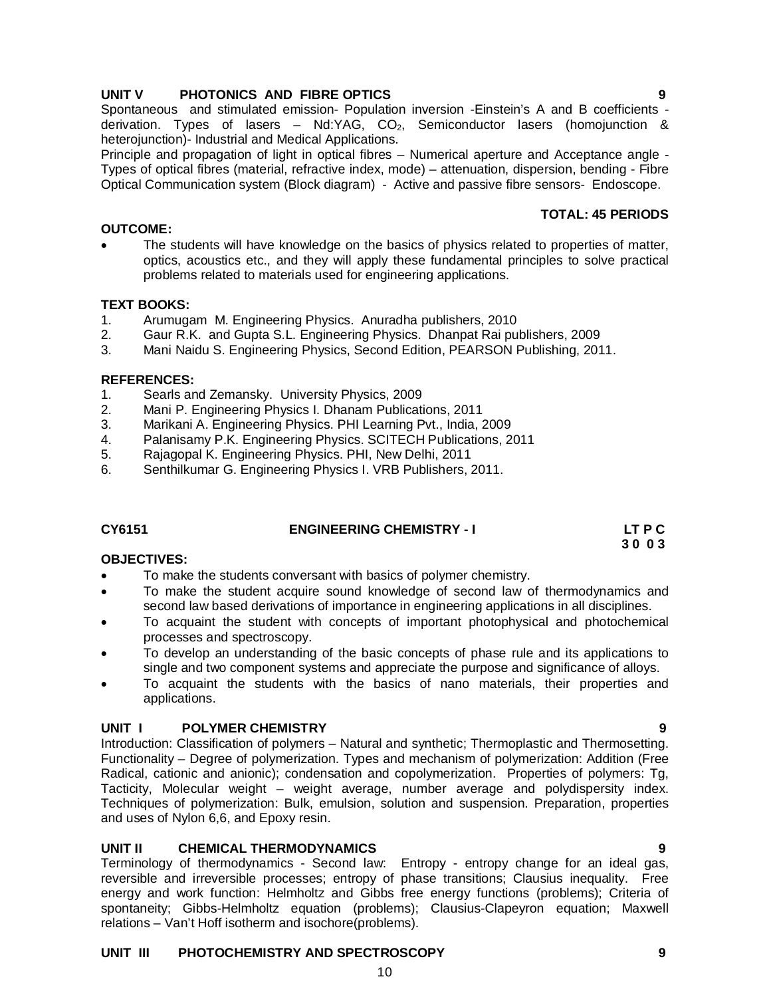# **UNIT III PHOTOCHEMISTRY AND SPECTROSCOPY 9**

# 10

# **UNIT V PHOTONICS AND FIBRE OPTICS 9**

Spontaneous and stimulated emission- Population inversion -Einstein's A and B coefficients derivation. Types of lasers  $-$  Nd:YAG, CO<sub>2</sub>, Semiconductor lasers (homojunction & heterojunction)- Industrial and Medical Applications.

Principle and propagation of light in optical fibres – Numerical aperture and Acceptance angle - Types of optical fibres (material, refractive index, mode) – attenuation, dispersion, bending - Fibre Optical Communication system (Block diagram) - Active and passive fibre sensors- Endoscope.

# **OUTCOME:**

 The students will have knowledge on the basics of physics related to properties of matter, optics, acoustics etc., and they will apply these fundamental principles to solve practical problems related to materials used for engineering applications.

# **TEXT BOOKS:**

- 1. Arumugam M. Engineering Physics. Anuradha publishers, 2010<br>2. Gaur R.K. and Gupta S.L. Engineering Physics. Dhanpat Rai pul
- 2. Gaur R.K. and Gupta S.L. Engineering Physics. Dhanpat Rai publishers, 2009
- 3. Mani Naidu S. Engineering Physics, Second Edition, PEARSON Publishing, 2011.

# **REFERENCES:**

- 1. Searls and Zemansky. University Physics, 2009
- 2. Mani P. Engineering Physics I. Dhanam Publications, 2011
- 3. Marikani A. Engineering Physics. PHI Learning Pvt., India, 2009
- 4. Palanisamy P.K. Engineering Physics. SCITECH Publications, 2011
- 5. Rajagopal K. Engineering Physics. PHI, New Delhi, 2011
- 6. Senthilkumar G. Engineering Physics I. VRB Publishers, 2011.

# **CY6151 ENGINEERING CHEMISTRY - I LT P C**

**OBJECTIVES:**

# **30 0 3**

- To make the students conversant with basics of polymer chemistry.
- To make the student acquire sound knowledge of second law of thermodynamics and second law based derivations of importance in engineering applications in all disciplines.
- To acquaint the student with concepts of important photophysical and photochemical processes and spectroscopy.
- To develop an understanding of the basic concepts of phase rule and its applications to single and two component systems and appreciate the purpose and significance of alloys.
- To acquaint the students with the basics of nano materials, their properties and applications.

# **UNIT I POLYMER CHEMISTRY 9**

Introduction: Classification of polymers – Natural and synthetic; Thermoplastic and Thermosetting. Functionality – Degree of polymerization. Types and mechanism of polymerization: Addition (Free Radical, cationic and anionic); condensation and copolymerization. Properties of polymers: Tg, Tacticity, Molecular weight – weight average, number average and polydispersity index. Techniques of polymerization: Bulk, emulsion, solution and suspension. Preparation, properties and uses of Nylon 6,6, and Epoxy resin.

# **UNIT II CHEMICAL THERMODYNAMICS 9**

Terminology of thermodynamics - Second law: Entropy - entropy change for an ideal gas, reversible and irreversible processes; entropy of phase transitions; Clausius inequality. Free energy and work function: Helmholtz and Gibbs free energy functions (problems); Criteria of spontaneity; Gibbs-Helmholtz equation (problems); Clausius-Clapeyron equation; Maxwell relations – Van't Hoff isotherm and isochore(problems).

# **TOTAL: 45 PERIODS**

- 
-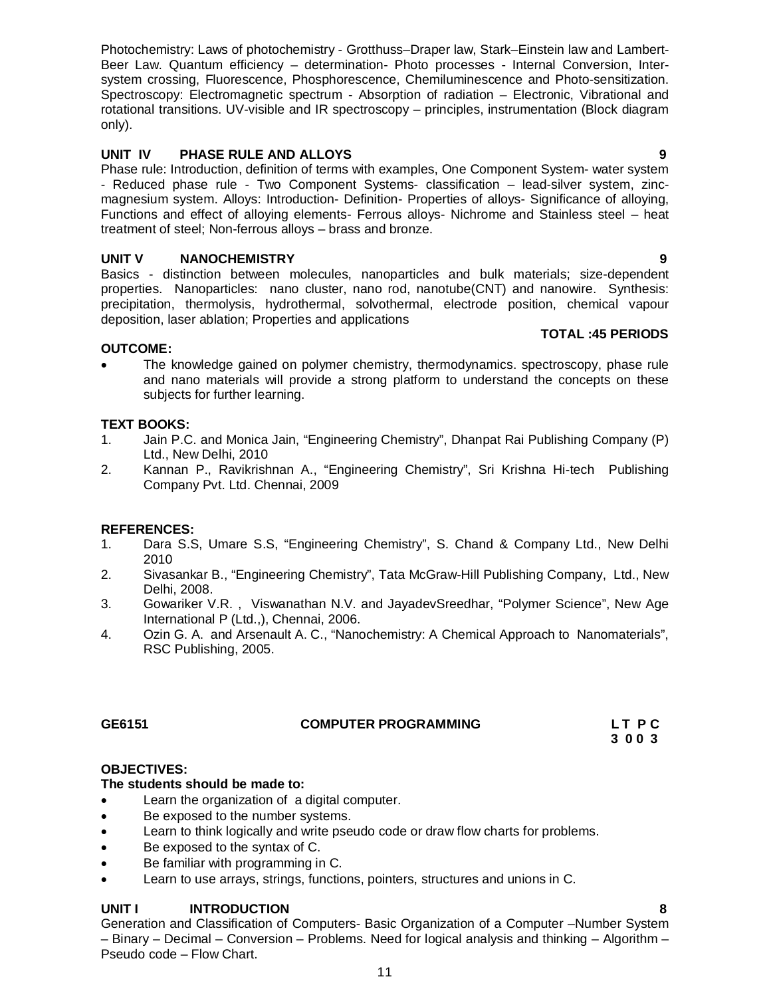Photochemistry: Laws of photochemistry - Grotthuss–Draper law, Stark–Einstein law and Lambert-Beer Law. Quantum efficiency – determination- Photo processes - Internal Conversion, Intersystem crossing, Fluorescence, Phosphorescence, Chemiluminescence and Photo-sensitization. Spectroscopy: Electromagnetic spectrum - Absorption of radiation – Electronic, Vibrational and rotational transitions. UV-visible and IR spectroscopy – principles, instrumentation (Block diagram only).

# **UNIT IV PHASE RULE AND ALLOYS 9**

Phase rule: Introduction, definition of terms with examples, One Component System- water system - Reduced phase rule - Two Component Systems- classification – lead-silver system, zincmagnesium system. Alloys: Introduction- Definition- Properties of alloys- Significance of alloying, Functions and effect of alloying elements- Ferrous alloys- Nichrome and Stainless steel – heat treatment of steel; Non-ferrous alloys – brass and bronze.

# **UNIT V NANOCHEMISTRY 9**

Basics - distinction between molecules, nanoparticles and bulk materials; size-dependent properties. Nanoparticles: nano cluster, nano rod, nanotube(CNT) and nanowire. Synthesis: precipitation, thermolysis, hydrothermal, solvothermal, electrode position, chemical vapour deposition, laser ablation; Properties and applications

# **OUTCOME:**

 The knowledge gained on polymer chemistry, thermodynamics. spectroscopy, phase rule and nano materials will provide a strong platform to understand the concepts on these subjects for further learning.

# **TEXT BOOKS:**

- 1. Jain P.C. and Monica Jain, "Engineering Chemistry", Dhanpat Rai Publishing Company (P) Ltd., New Delhi, 2010
- 2. Kannan P., Ravikrishnan A., "Engineering Chemistry", Sri Krishna Hi-tech Publishing Company Pvt. Ltd. Chennai, 2009

# **REFERENCES:**

- 1. Dara S.S, Umare S.S, "Engineering Chemistry", S. Chand & Company Ltd., New Delhi 2010
- 2. Sivasankar B., "Engineering Chemistry", Tata McGraw-Hill Publishing Company, Ltd., New Delhi, 2008.
- 3. Gowariker V.R. , Viswanathan N.V. and JayadevSreedhar, "Polymer Science", New Age International P (Ltd.,), Chennai, 2006.
- 4. Ozin G. A. and Arsenault A. C., "Nanochemistry: A Chemical Approach to Nanomaterials", RSC Publishing, 2005.

# **GE6151 COMPUTER PROGRAMMING L T P C**

 **3 0 0 3** 

# **OBJECTIVES:**

# **The students should be made to:**

- Learn the organization of a digital computer.
- Be exposed to the number systems.
- Learn to think logically and write pseudo code or draw flow charts for problems.
- Be exposed to the syntax of C.
- Be familiar with programming in C.
- Learn to use arrays, strings, functions, pointers, structures and unions in C.

# **UNIT I INTRODUCTION 8**

Generation and Classification of Computers- Basic Organization of a Computer –Number System – Binary – Decimal – Conversion – Problems. Need for logical analysis and thinking – Algorithm – Pseudo code – Flow Chart.

**TOTAL :45 PERIODS**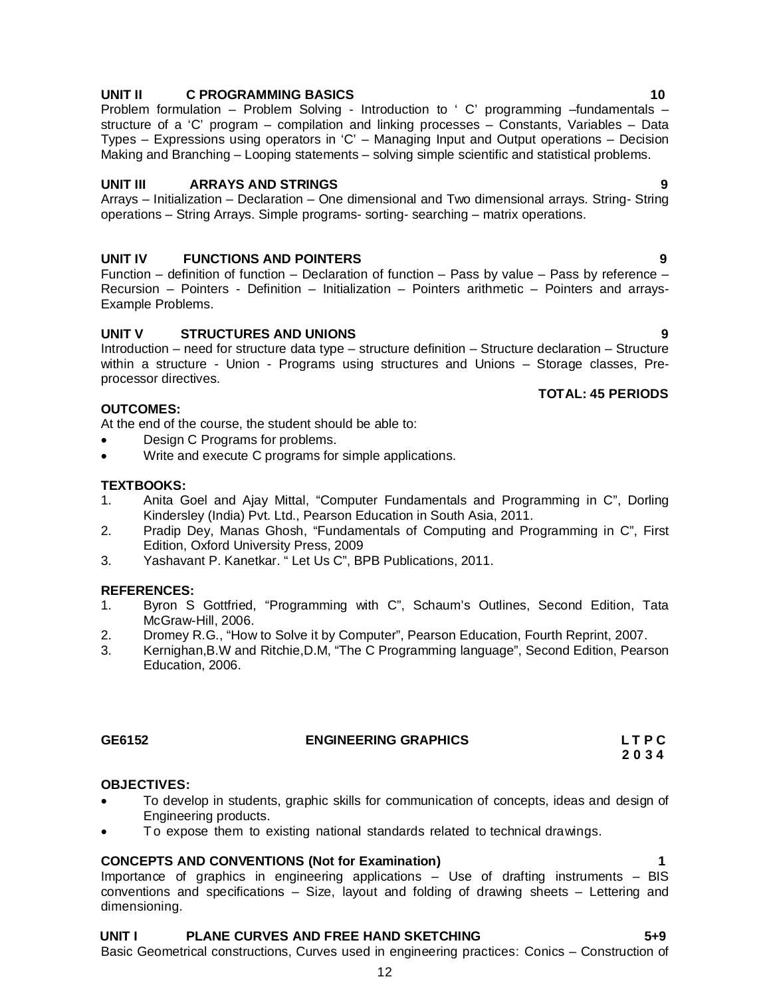# **UNIT II C PROGRAMMING BASICS** 2008 2009 10

Problem formulation – Problem Solving - Introduction to ' C' programming –fundamentals – structure of a 'C' program – compilation and linking processes – Constants, Variables – Data Types – Expressions using operators in 'C' – Managing Input and Output operations – Decision Making and Branching – Looping statements – solving simple scientific and statistical problems.

# **UNIT III ARRAYS AND STRINGS 9**

Arrays – Initialization – Declaration – One dimensional and Two dimensional arrays. String- String operations – String Arrays. Simple programs- sorting- searching – matrix operations.

# **UNIT IV FUNCTIONS AND POINTERS 9**

Function – definition of function – Declaration of function – Pass by value – Pass by reference – Recursion – Pointers - Definition – Initialization – Pointers arithmetic – Pointers and arrays-Example Problems.

## **UNIT V STRUCTURES AND UNIONS 9**

Introduction – need for structure data type – structure definition – Structure declaration – Structure within a structure - Union - Programs using structures and Unions – Storage classes, Preprocessor directives.

## **OUTCOMES:**

At the end of the course, the student should be able to:

- Design C Programs for problems.
- Write and execute C programs for simple applications.

## **TEXTBOOKS:**

- 1. Anita Goel and Ajay Mittal, "Computer Fundamentals and Programming in C", Dorling Kindersley (India) Pvt. Ltd., Pearson Education in South Asia, 2011.
- 2. Pradip Dey, Manas Ghosh, "Fundamentals of Computing and Programming in C", First Edition, Oxford University Press, 2009
- 3. Yashavant P. Kanetkar. " Let Us C", BPB Publications, 2011.

## **REFERENCES:**

- 1. Byron S Gottfried, "Programming with C", Schaum's Outlines, Second Edition, Tata McGraw-Hill, 2006.
- 2. Dromey R.G., "How to Solve it by Computer", Pearson Education, Fourth Reprint, 2007.
- 3. Kernighan,B.W and Ritchie,D.M, "The C Programming language", Second Edition, Pearson Education, 2006.

### **OBJECTIVES:**

- To develop in students, graphic skills for communication of concepts, ideas and design of Engineering products.
- To expose them to existing national standards related to technical drawings.

## **CONCEPTS AND CONVENTIONS (Not for Examination) 1**

Importance of graphics in engineering applications – Use of drafting instruments – BIS conventions and specifications – Size, layout and folding of drawing sheets – Lettering and dimensioning.

# **UNIT I PLANE CURVES AND FREE HAND SKETCHING 5+9**

Basic Geometrical constructions, Curves used in engineering practices: Conics – Construction of

**TOTAL: 45 PERIODS**

**GE6152 ENGINEERING GRAPHICS L T P C 2 0 3 4**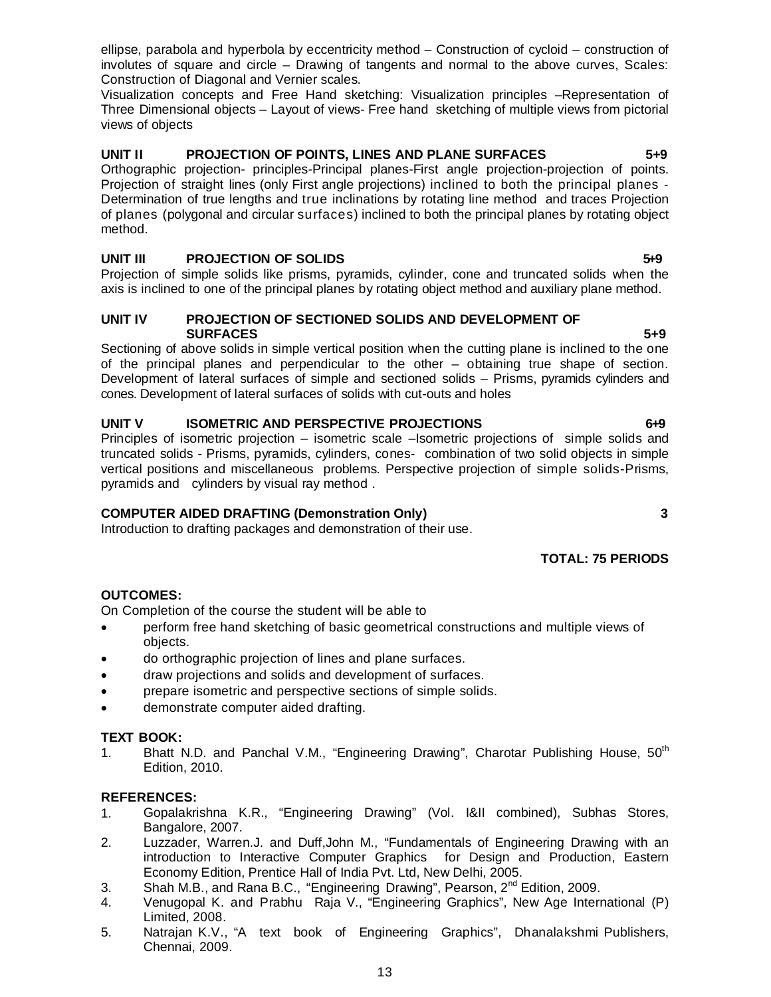ellipse, parabola and hyperbola by eccentricity method – Construction of cycloid – construction of involutes of square and circle – Drawing of tangents and normal to the above curves, Scales: Construction of Diagonal and Vernier scales.

Visualization concepts and Free Hand sketching: Visualization principles –Representation of Three Dimensional objects – Layout of views- Free hand sketching of multiple views from pictorial views of objects

# **UNIT II PROJECTION OF POINTS, LINES AND PLANE SURFACES 5+9**

Orthographic projection- principles-Principal planes-First angle projection-projection of points. Projection of straight lines (only First angle projections) inclined to both the principal planes - Determination of true lengths and true inclinations by rotating line method and traces Projection of planes (polygonal and circular surfaces) inclined to both the principal planes by rotating object method.

# **UNIT III** PROJECTION OF SOLIDS **549**

Projection of simple solids like prisms, pyramids, cylinder, cone and truncated solids when the axis is inclined to one of the principal planes by rotating object method and auxiliary plane method.

### **UNIT IV PROJECTION OF SECTIONED SOLIDS AND DEVELOPMENT OF SURFACES** 5+9

Sectioning of above solids in simple vertical position when the cutting plane is inclined to the one of the principal planes and perpendicular to the other – obtaining true shape of section. Development of lateral surfaces of simple and sectioned solids – Prisms, pyramids cylinders and cones. Development of lateral surfaces of solids with cut-outs and holes

# **UNIT V ISOMETRIC AND PERSPECTIVE PROJECTIONS** 649

Principles of isometric projection – isometric scale –Isometric projections of simple solids and truncated solids - Prisms, pyramids, cylinders, cones- combination of two solid objects in simple vertical positions and miscellaneous problems. Perspective projection of simple solids-Prisms, pyramids and cylinders by visual ray method .

# **COMPUTER AIDED DRAFTING (Demonstration Only) 3**

Introduction to drafting packages and demonstration of their use.

# **TOTAL: 75 PERIODS**

# **OUTCOMES:**

On Completion of the course the student will be able to

- perform free hand sketching of basic geometrical constructions and multiple views of objects.
- do orthographic projection of lines and plane surfaces.
- draw projections and solids and development of surfaces.
- prepare isometric and perspective sections of simple solids.
- demonstrate computer aided drafting.

## **TEXT BOOK:**

1. Bhatt N.D. and Panchal V.M., "Engineering Drawing", Charotar Publishing House,  $50^{\text{th}}$ Edition, 2010.

### **REFERENCES:**

- 1. Gopalakrishna K.R., "Engineering Drawing" (Vol. I&II combined), Subhas Stores, Bangalore, 2007.
- 2. Luzzader, Warren.J. and Duff,John M., "Fundamentals of Engineering Drawing with an introduction to Interactive Computer Graphics for Design and Production, Eastern Economy Edition, Prentice Hall of India Pvt. Ltd, New Delhi, 2005.
- 3. Shah M.B., and Rana B.C., "Engineering Drawing", Pearson,  $2^{nd}$  Edition, 2009.
- 4. Venugopal K. and Prabhu Raja V., "Engineering Graphics", New Age International (P) Limited, 2008.
- 5. Natrajan K.V., "A text book of Engineering Graphics", Dhanalakshmi Publishers, Chennai, 2009.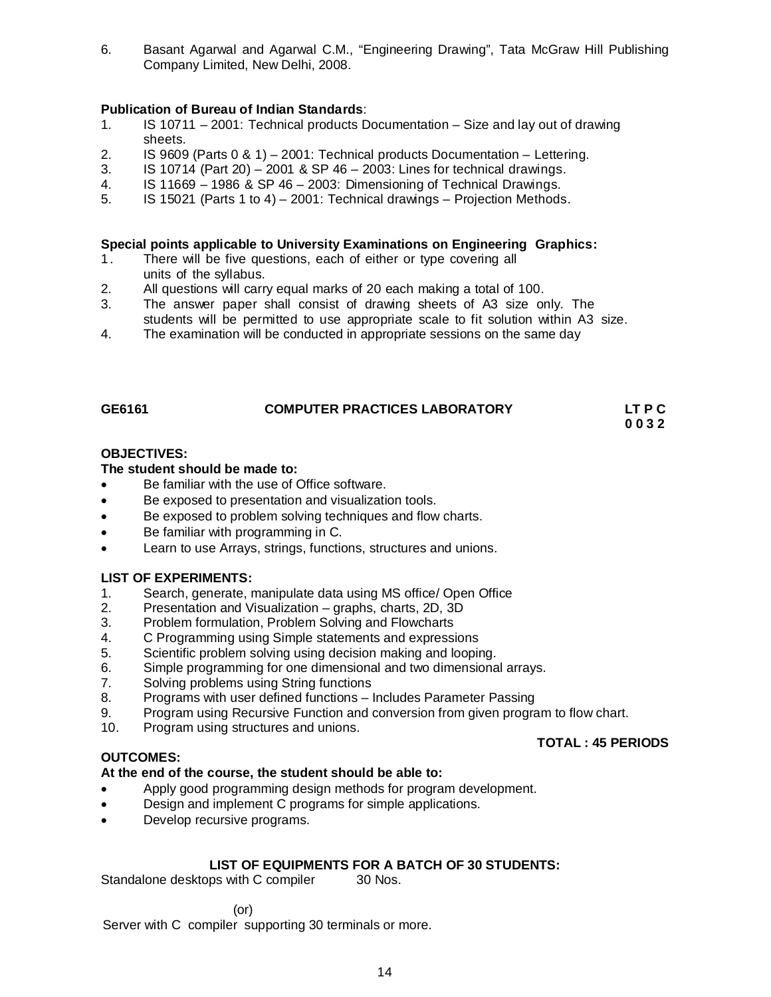6. Basant Agarwal and Agarwal C.M., "Engineering Drawing", Tata McGraw Hill Publishing Company Limited, New Delhi, 2008.

# **Publication of Bureau of Indian Standards**:

- 1. IS 10711 2001: Technical products Documentation Size and lay out of drawing sheets.<br>2. IS 9609
- 2. IS 9609 (Parts 0 & 1) 2001: Technical products Documentation Lettering.
- 3. IS 10714 (Part 20) 2001 & SP 46 2003: Lines for technical drawings.
- 4. IS 11669 1986 & SP 46 2003: Dimensioning of Technical Drawings.
- 5. IS 15021 (Parts 1 to 4) 2001: Technical drawings Projection Methods.

### **Special points applicable to University Examinations on Engineering Graphics:**

- 1. There will be five questions, each of either or type covering all units of the syllabus.
- 2. All questions will carry equal marks of 20 each making a total of 100.
- 3. The answer paper shall consist of drawing sheets of A3 size only. The students will be permitted to use appropriate scale to fit solution within A3 size.<br>4. The examination will be conducted in appropriate sessions on the same day
- The examination will be conducted in appropriate sessions on the same day

# GE6161 **COMPUTER PRACTICES LABORATORY** LT P C<br>0 0 3 2

 **0 0 3 2**

### **OBJECTIVES:**

### **The student should be made to:**

- Be familiar with the use of Office software.
- Be exposed to presentation and visualization tools.
- Be exposed to problem solving techniques and flow charts.
- Be familiar with programming in C.
- Learn to use Arrays, strings, functions, structures and unions.

### **LIST OF EXPERIMENTS:**

- 1. Search, generate, manipulate data using MS office/ Open Office
- 2. Presentation and Visualization graphs, charts, 2D, 3D
- 3. Problem formulation, Problem Solving and Flowcharts
- 4. C Programming using Simple statements and expressions
- 5. Scientific problem solving using decision making and looping.
- 6. Simple programming for one dimensional and two dimensional arrays.
- 7. Solving problems using String functions
- 8. Programs with user defined functions Includes Parameter Passing<br>9. Program using Recursive Function and conversion from given program
- Program using Recursive Function and conversion from given program to flow chart.
- 10. Program using structures and unions.

## **OUTCOMES:**

## **At the end of the course, the student should be able to:**

- Apply good programming design methods for program development.
- Design and implement C programs for simple applications.
- Develop recursive programs.

## **LIST OF EQUIPMENTS FOR A BATCH OF 30 STUDENTS:**

Standalone desktops with C compiler 30 Nos.

### (or)

Server with C compiler supporting 30 terminals or more.

## **TOTAL : 45 PERIODS**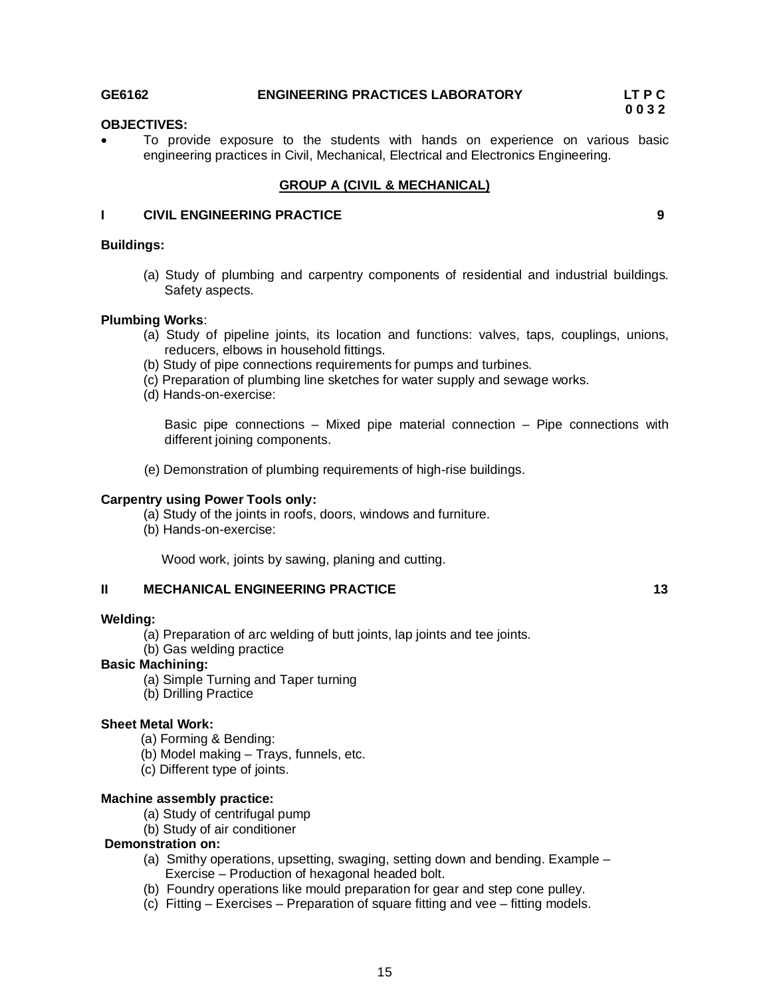### **GE6162 ENGINEERING PRACTICES LABORATORY LT P C**

**0 0 3 2** 

# **OBJECTIVES:**

 To provide exposure to the students with hands on experience on various basic engineering practices in Civil, Mechanical, Electrical and Electronics Engineering.

### **GROUP A (CIVIL & MECHANICAL)**

### **I CIVIL ENGINEERING PRACTICE 9**

### **Buildings:**

(a) Study of plumbing and carpentry components of residential and industrial buildings. Safety aspects.

### **Plumbing Works**:

- (a) Study of pipeline joints, its location and functions: valves, taps, couplings, unions, reducers, elbows in household fittings.
- (b) Study of pipe connections requirements for pumps and turbines.
- (c) Preparation of plumbing line sketches for water supply and sewage works.
- (d) Hands-on-exercise:

Basic pipe connections – Mixed pipe material connection – Pipe connections with different joining components.

(e) Demonstration of plumbing requirements of high-rise buildings.

### **Carpentry using Power Tools only:**

- (a) Study of the joints in roofs, doors, windows and furniture.
- (b) Hands-on-exercise:

Wood work, joints by sawing, planing and cutting.

### **II MECHANICAL ENGINEERING PRACTICE 13 13**

### **Welding:**

- (a) Preparation of arc welding of butt joints, lap joints and tee joints.
- (b) Gas welding practice

### **Basic Machining:**

- (a) Simple Turning and Taper turning
- (b) Drilling Practice

### **Sheet Metal Work:**

- (a) Forming & Bending:
- (b) Model making Trays, funnels, etc.
- (c) Different type of joints.

### **Machine assembly practice:**

- (a) Study of centrifugal pump
- (b) Study of air conditioner

### **Demonstration on:**

- (a) Smithy operations, upsetting, swaging, setting down and bending. Example Exercise – Production of hexagonal headed bolt.
- (b) Foundry operations like mould preparation for gear and step cone pulley.
- (c) Fitting Exercises Preparation of square fitting and vee fitting models.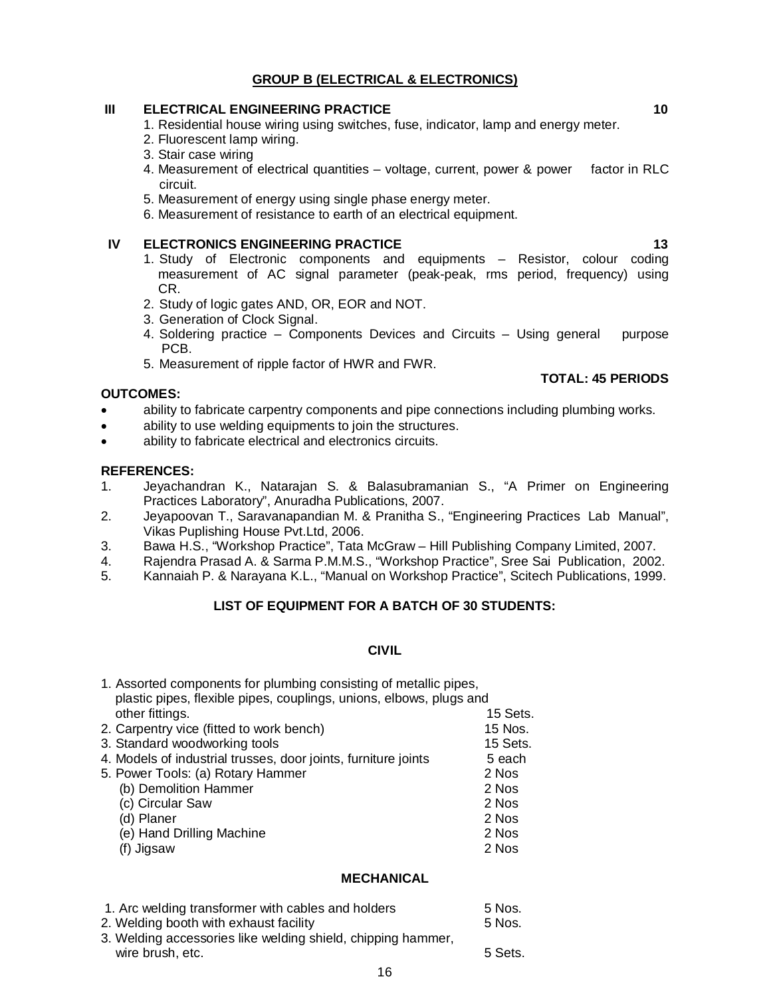# **GROUP B (ELECTRICAL & ELECTRONICS)**

### **III ELECTRICAL ENGINEERING PRACTICE 10**

- 1. Residential house wiring using switches, fuse, indicator, lamp and energy meter.
- 2. Fluorescent lamp wiring.
- 3. Stair case wiring
- 4. Measurement of electrical quantities voltage, current, power & power factor in RLC circuit.
- 5. Measurement of energy using single phase energy meter.
- 6. Measurement of resistance to earth of an electrical equipment.

### **IV ELECTRONICS ENGINEERING PRACTICE 13 13**

- 1. Study of Electronic components and equipments Resistor, colour coding measurement of AC signal parameter (peak-peak, rms period, frequency) using CR.
- 2. Study of logic gates AND, OR, EOR and NOT.
- 3. Generation of Clock Signal.
- 4. Soldering practice Components Devices and Circuits Using general purpose PCB.
- 5. Measurement of ripple factor of HWR and FWR.

### **OUTCOMES:**

- ability to fabricate carpentry components and pipe connections including plumbing works.
- ability to use welding equipments to join the structures.
- ability to fabricate electrical and electronics circuits.

### **REFERENCES:**

- 1. Jeyachandran K., Natarajan S. & Balasubramanian S., "A Primer on Engineering Practices Laboratory", Anuradha Publications, 2007.
- 2. Jeyapoovan T., Saravanapandian M. & Pranitha S., "Engineering Practices Lab Manual", Vikas Puplishing House Pvt.Ltd, 2006.
- 3. Bawa H.S., "Workshop Practice", Tata McGraw Hill Publishing Company Limited, 2007.
- 4. Rajendra Prasad A. & Sarma P.M.M.S., "Workshop Practice", Sree Sai Publication, 2002.<br>5. Kannaiah P. & Naravana K.L., "Manual on Workshop Practice". Scitech Publications. 1999.
- 5. Kannaiah P. & Narayana K.L., "Manual on Workshop Practice", Scitech Publications, 1999.

# **LIST OF EQUIPMENT FOR A BATCH OF 30 STUDENTS:**

# **CIVIL**

| 1. Assorted components for plumbing consisting of metallic pipes,<br>plastic pipes, flexible pipes, couplings, unions, elbows, plugs and |          |
|------------------------------------------------------------------------------------------------------------------------------------------|----------|
| other fittings.                                                                                                                          | 15 Sets. |
| 2. Carpentry vice (fitted to work bench)                                                                                                 | 15 Nos.  |
| 3. Standard woodworking tools                                                                                                            | 15 Sets. |
| 4. Models of industrial trusses, door joints, furniture joints                                                                           | 5 each   |
| 5. Power Tools: (a) Rotary Hammer                                                                                                        | 2 Nos    |
| (b) Demolition Hammer                                                                                                                    | 2 Nos    |
| (c) Circular Saw                                                                                                                         | 2 Nos    |
| (d) Planer                                                                                                                               | 2 Nos    |
| (e) Hand Drilling Machine                                                                                                                | 2 Nos    |
| (f) Jigsaw                                                                                                                               | 2 Nos    |

## **MECHANICAL**

| 1. Arc welding transformer with cables and holders           | 5 Nos.  |
|--------------------------------------------------------------|---------|
| 2. Welding booth with exhaust facility                       | 5 Nos.  |
| 3. Welding accessories like welding shield, chipping hammer, |         |
| wire brush, etc.                                             | 5 Sets. |

**TOTAL: 45 PERIODS**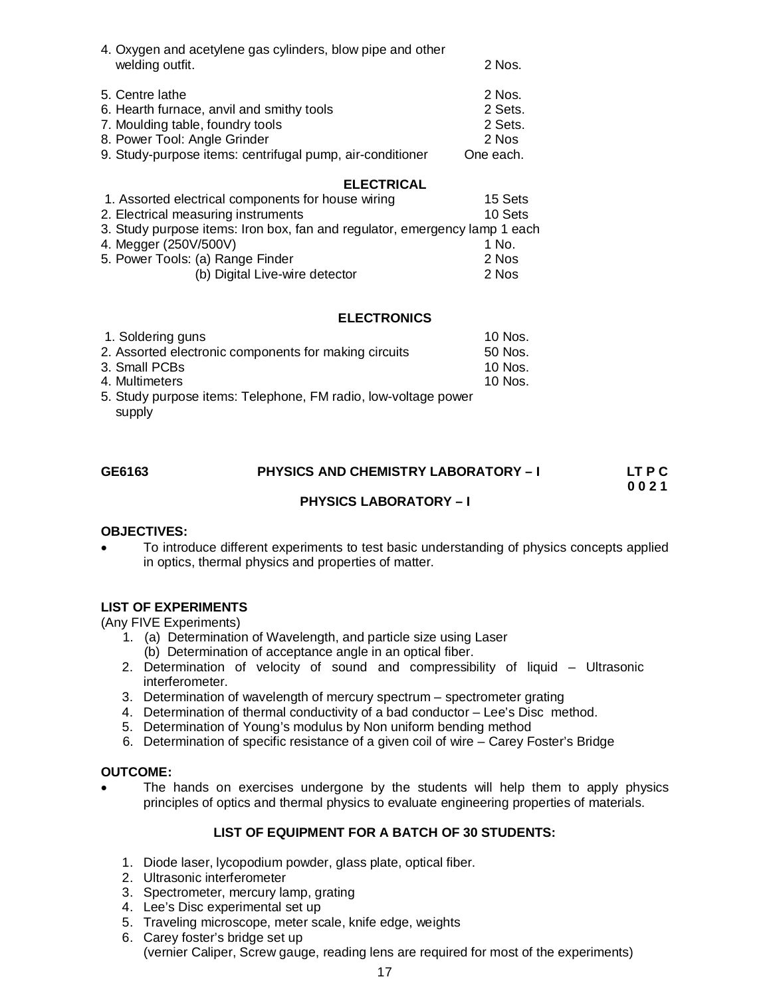| 4. Oxygen and acetylene gas cylinders, blow pipe and other<br>welding outfit. | $2$ Nos.  |
|-------------------------------------------------------------------------------|-----------|
| 5. Centre lathe                                                               | 2 Nos.    |
| 6. Hearth furnace, anvil and smithy tools                                     | 2 Sets.   |
| 7. Moulding table, foundry tools                                              | 2 Sets.   |
| 8. Power Tool: Angle Grinder                                                  | 2 Nos     |
| 9. Study-purpose items: centrifugal pump, air-conditioner                     | One each. |

## **ELECTRICAL**

| 1. Assorted electrical components for house wiring                         | 15 Sets |
|----------------------------------------------------------------------------|---------|
| 2. Electrical measuring instruments                                        | 10 Sets |
| 3. Study purpose items: Iron box, fan and regulator, emergency lamp 1 each |         |
| 4. Megger (250V/500V)                                                      | 1 No.   |
| 5. Power Tools: (a) Range Finder                                           | 2 Nos   |
| (b) Digital Live-wire detector                                             | 2 Nos   |
|                                                                            |         |

## **ELECTRONICS**

| 1. Soldering guns                                              | 10 Nos.   |
|----------------------------------------------------------------|-----------|
| 2. Assorted electronic components for making circuits          | 50 Nos.   |
| 3. Small PCBs                                                  | 10 Nos.   |
| 4. Multimeters                                                 | $10$ Nos. |
| 5. Study purpose items: Telephone, FM radio, low-voltage power |           |
| supply                                                         |           |

| GE6163 | <b>PHYSICS AND CHEMISTRY LABORATORY - I</b> | LT P C |
|--------|---------------------------------------------|--------|
|        |                                             | 0021   |
|        | <b>PHYSICS LABORATORY – I</b>               |        |
|        |                                             |        |

### **OBJECTIVES:**

 To introduce different experiments to test basic understanding of physics concepts applied in optics, thermal physics and properties of matter.

## **LIST OF EXPERIMENTS**

(Any FIVE Experiments)

- 1. (a) Determination of Wavelength, and particle size using Laser
	- (b) Determination of acceptance angle in an optical fiber.
- 2. Determination of velocity of sound and compressibility of liquid Ultrasonic interferometer.
- 3. Determination of wavelength of mercury spectrum spectrometer grating
- 4. Determination of thermal conductivity of a bad conductor Lee's Disc method.
- 5. Determination of Young's modulus by Non uniform bending method
- 6. Determination of specific resistance of a given coil of wire Carey Foster's Bridge

### **OUTCOME:**

 The hands on exercises undergone by the students will help them to apply physics principles of optics and thermal physics to evaluate engineering properties of materials.

## **LIST OF EQUIPMENT FOR A BATCH OF 30 STUDENTS:**

- 1. Diode laser, lycopodium powder, glass plate, optical fiber.
- 2. Ultrasonic interferometer
- 3. Spectrometer, mercury lamp, grating
- 4. Lee's Disc experimental set up
- 5. Traveling microscope, meter scale, knife edge, weights
- 6. Carey foster's bridge set up (vernier Caliper, Screw gauge, reading lens are required for most of the experiments)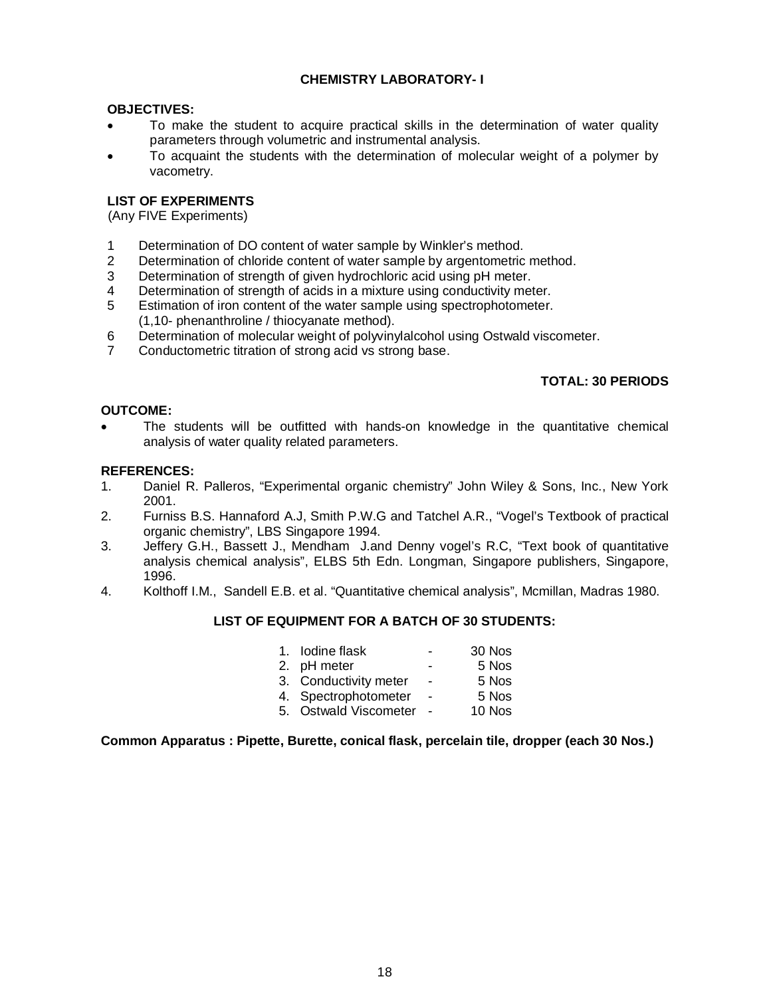# **CHEMISTRY LABORATORY- I**

### **OBJECTIVES:**

- To make the student to acquire practical skills in the determination of water quality parameters through volumetric and instrumental analysis.
- To acquaint the students with the determination of molecular weight of a polymer by vacometry.

## **LIST OF EXPERIMENTS**

(Any FIVE Experiments)

- 1 Determination of DO content of water sample by Winkler's method.
- 2 Determination of chloride content of water sample by argentometric method.
- 3 Determination of strength of given hydrochloric acid using pH meter.<br>4 Determination of strength of acids in a mixture using conductivity met
- Determination of strength of acids in a mixture using conductivity meter.
- 5 Estimation of iron content of the water sample using spectrophotometer. (1,10- phenanthroline / thiocyanate method).
- 6 Determination of molecular weight of polyvinylalcohol using Ostwald viscometer.
- 7 Conductometric titration of strong acid vs strong base.

# **TOTAL: 30 PERIODS**

### **OUTCOME:**

 The students will be outfitted with hands-on knowledge in the quantitative chemical analysis of water quality related parameters.

### **REFERENCES:**

- 1. Daniel R. Palleros, "Experimental organic chemistry" John Wiley & Sons, Inc., New York 2001.
- 2. Furniss B.S. Hannaford A.J, Smith P.W.G and Tatchel A.R., "Vogel's Textbook of practical organic chemistry", LBS Singapore 1994.
- 3. Jeffery G.H., Bassett J., Mendham J.and Denny vogel's R.C, "Text book of quantitative analysis chemical analysis", ELBS 5th Edn. Longman, Singapore publishers, Singapore, 1996.
- 4. Kolthoff I.M., Sandell E.B. et al. "Quantitative chemical analysis", Mcmillan, Madras 1980.

### **LIST OF EQUIPMENT FOR A BATCH OF 30 STUDENTS:**

| 1. Iodine flask       | ۰              | 30 Nos |
|-----------------------|----------------|--------|
| 2. pH meter           | -              | 5 Nos  |
| 3. Conductivity meter | $\blacksquare$ | 5 Nos  |
| 4. Spectrophotometer  | $\blacksquare$ | 5 Nos  |
| 5. Ostwald Viscometer |                | 10 Nos |

### **Common Apparatus : Pipette, Burette, conical flask, percelain tile, dropper (each 30 Nos.)**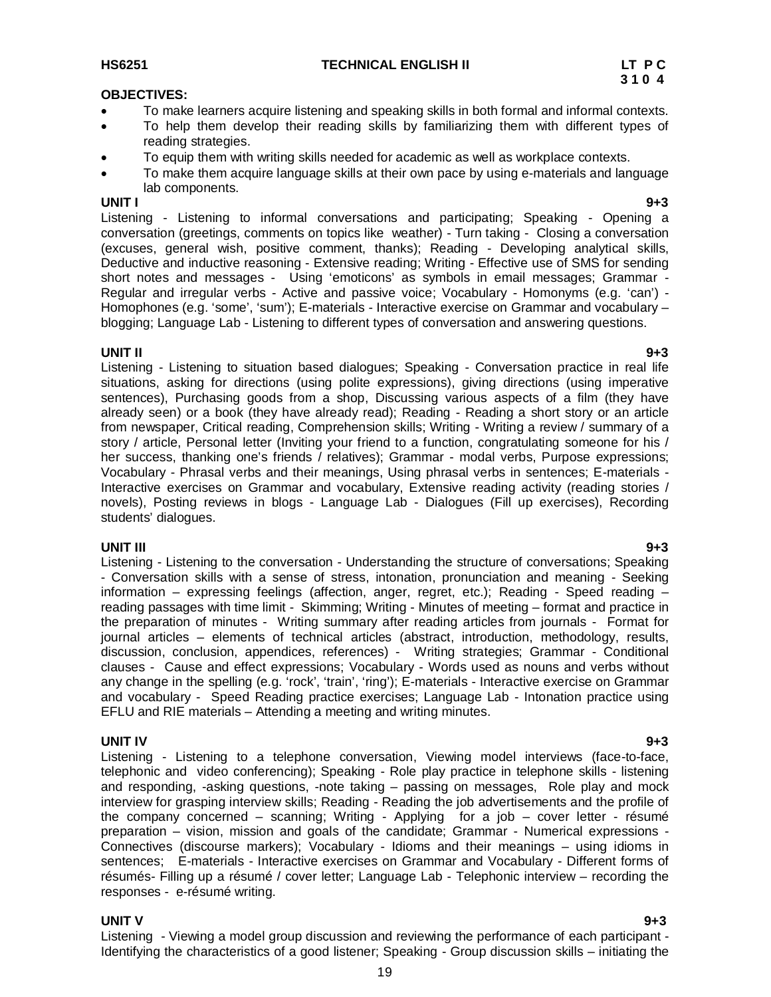### **OBJECTIVES:**

- To make learners acquire listening and speaking skills in both formal and informal contexts.
- To help them develop their reading skills by familiarizing them with different types of reading strategies.
- To equip them with writing skills needed for academic as well as workplace contexts.
- To make them acquire language skills at their own pace by using e-materials and language lab components.

### **UNIT I 9+3**

Listening - Listening to informal conversations and participating; Speaking - Opening a conversation (greetings, comments on topics like weather) - Turn taking - Closing a conversation (excuses, general wish, positive comment, thanks); Reading - Developing analytical skills, Deductive and inductive reasoning - Extensive reading; Writing - Effective use of SMS for sending short notes and messages - Using 'emoticons' as symbols in email messages; Grammar - Regular and irregular verbs - Active and passive voice; Vocabulary - Homonyms (e.g. 'can') - Homophones (e.g. 'some', 'sum'); E-materials - Interactive exercise on Grammar and vocabulary – blogging; Language Lab - Listening to different types of conversation and answering questions.

**UNIT II 9+3** Listening - Listening to situation based dialogues; Speaking - Conversation practice in real life situations, asking for directions (using polite expressions), giving directions (using imperative sentences), Purchasing goods from a shop, Discussing various aspects of a film (they have already seen) or a book (they have already read); Reading - Reading a short story or an article from newspaper, Critical reading, Comprehension skills; Writing - Writing a review / summary of a story / article, Personal letter (Inviting your friend to a function, congratulating someone for his / her success, thanking one's friends / relatives); Grammar - modal verbs, Purpose expressions; Vocabulary - Phrasal verbs and their meanings, Using phrasal verbs in sentences; E-materials - Interactive exercises on Grammar and vocabulary, Extensive reading activity (reading stories / novels), Posting reviews in blogs - Language Lab - Dialogues (Fill up exercises), Recording students' dialogues.

### **UNIT III 9+3**

Listening - Listening to the conversation - Understanding the structure of conversations; Speaking - Conversation skills with a sense of stress, intonation, pronunciation and meaning - Seeking information – expressing feelings (affection, anger, regret, etc.); Reading - Speed reading – reading passages with time limit - Skimming; Writing - Minutes of meeting – format and practice in the preparation of minutes - Writing summary after reading articles from journals - Format for journal articles – elements of technical articles (abstract, introduction, methodology, results, discussion, conclusion, appendices, references) - Writing strategies; Grammar - Conditional clauses - Cause and effect expressions; Vocabulary - Words used as nouns and verbs without any change in the spelling (e.g. 'rock', 'train', 'ring'); E-materials - Interactive exercise on Grammar and vocabulary - Speed Reading practice exercises; Language Lab - Intonation practice using EFLU and RIE materials – Attending a meeting and writing minutes.

**UNIT IV 9+3** Listening - Listening to a telephone conversation, Viewing model interviews (face-to-face, telephonic and video conferencing); Speaking - Role play practice in telephone skills - listening and responding, -asking questions, -note taking – passing on messages, Role play and mock interview for grasping interview skills; Reading - Reading the job advertisements and the profile of the company concerned – scanning; Writing - Applying for a job – cover letter - résumé preparation – vision, mission and goals of the candidate; Grammar - Numerical expressions - Connectives (discourse markers); Vocabulary - Idioms and their meanings – using idioms in sentences; E-materials - Interactive exercises on Grammar and Vocabulary - Different forms of résumés- Filling up a résumé / cover letter; Language Lab - Telephonic interview – recording the responses - e-résumé writing.

# **UNIT V 9+3**

Listening - Viewing a model group discussion and reviewing the performance of each participant - Identifying the characteristics of a good listener; Speaking - Group discussion skills – initiating the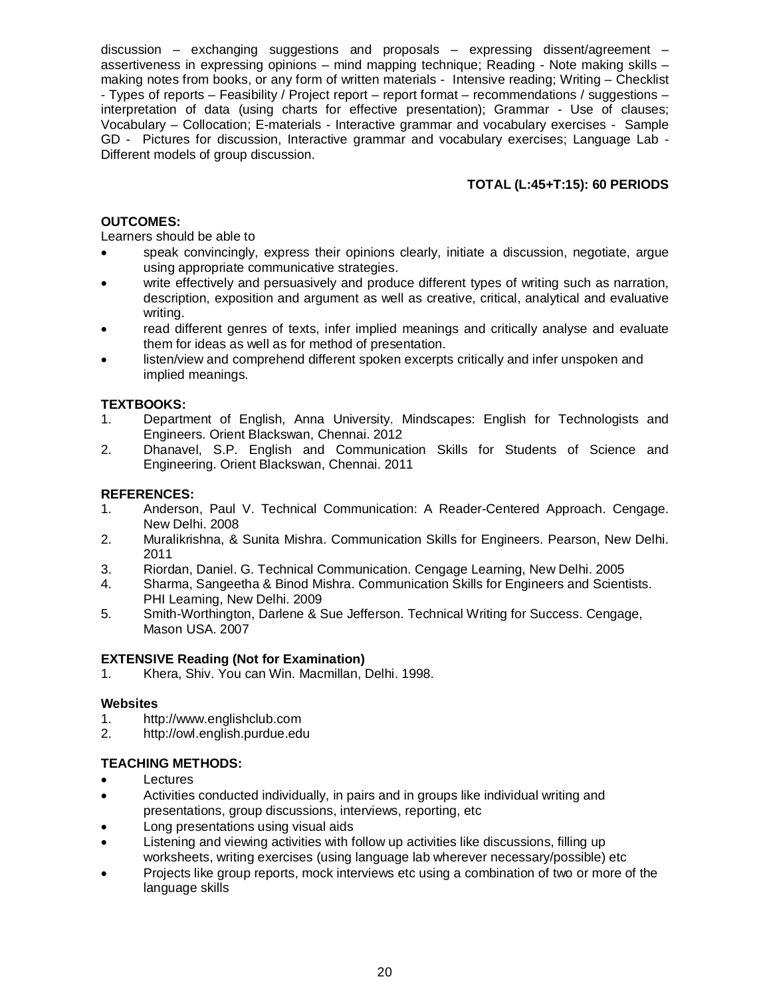discussion – exchanging suggestions and proposals – expressing dissent/agreement – assertiveness in expressing opinions – mind mapping technique; Reading - Note making skills – making notes from books, or any form of written materials - Intensive reading; Writing – Checklist - Types of reports – Feasibility / Project report – report format – recommendations / suggestions – interpretation of data (using charts for effective presentation); Grammar - Use of clauses; Vocabulary – Collocation; E-materials - Interactive grammar and vocabulary exercises - Sample GD - Pictures for discussion, Interactive grammar and vocabulary exercises; Language Lab - Different models of group discussion.

# **TOTAL (L:45+T:15): 60 PERIODS**

# **OUTCOMES:**

Learners should be able to

- speak convincingly, express their opinions clearly, initiate a discussion, negotiate, argue using appropriate communicative strategies.
- write effectively and persuasively and produce different types of writing such as narration, description, exposition and argument as well as creative, critical, analytical and evaluative writing.
- read different genres of texts, infer implied meanings and critically analyse and evaluate them for ideas as well as for method of presentation.
- listen/view and comprehend different spoken excerpts critically and infer unspoken and implied meanings.

## **TEXTBOOKS:**

- 1. Department of English, Anna University. Mindscapes: English for Technologists and Engineers. Orient Blackswan, Chennai. 2012
- 2. Dhanavel, S.P. English and Communication Skills for Students of Science and Engineering. Orient Blackswan, Chennai. 2011

# **REFERENCES:**

- 1. Anderson, Paul V. Technical Communication: A Reader-Centered Approach. Cengage. New Delhi. 2008
- 2. Muralikrishna, & Sunita Mishra. Communication Skills for Engineers. Pearson, New Delhi. 2011
- 3. Riordan, Daniel. G. Technical Communication. Cengage Learning, New Delhi. 2005
- 4. Sharma, Sangeetha & Binod Mishra. Communication Skills for Engineers and Scientists. PHI Learning, New Delhi. 2009
- 5. Smith-Worthington, Darlene & Sue Jefferson. Technical Writing for Success. Cengage, Mason USA. 2007

## **EXTENSIVE Reading (Not for Examination)**

1. Khera, Shiv. You can Win. Macmillan, Delhi. 1998.

## **Websites**

- 1. http://www.englishclub.com
- 2. http://owl.english.purdue.edu

# **TEACHING METHODS:**

- Lectures
- Activities conducted individually, in pairs and in groups like individual writing and presentations, group discussions, interviews, reporting, etc
- Long presentations using visual aids
- Listening and viewing activities with follow up activities like discussions, filling up worksheets, writing exercises (using language lab wherever necessary/possible) etc
- Projects like group reports, mock interviews etc using a combination of two or more of the language skills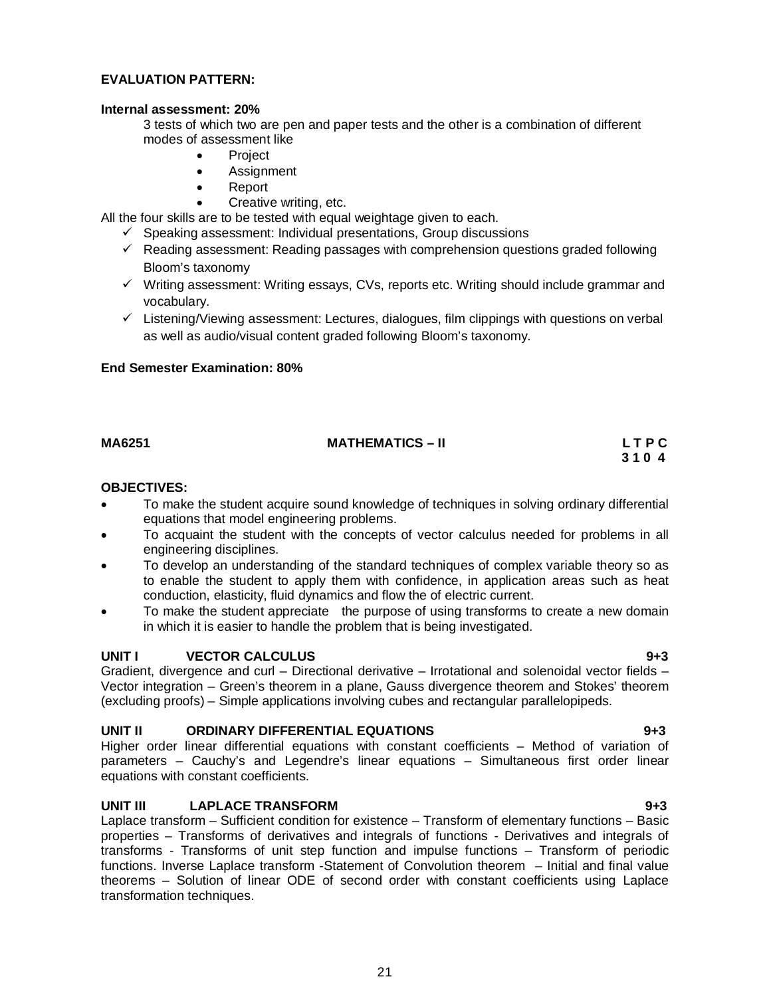# **End Semester Examination: 80%**

# **MA6251 MATHEMATICS – II L T P C**

# **OBJECTIVES:**

 To make the student acquire sound knowledge of techniques in solving ordinary differential equations that model engineering problems.

**3 1 0 4** 

- To acquaint the student with the concepts of vector calculus needed for problems in all engineering disciplines.
- To develop an understanding of the standard techniques of complex variable theory so as to enable the student to apply them with confidence, in application areas such as heat conduction, elasticity, fluid dynamics and flow the of electric current.
- To make the student appreciate the purpose of using transforms to create a new domain in which it is easier to handle the problem that is being investigated.

# **UNIT I VECTOR CALCULUS 9+3**

Gradient, divergence and curl – Directional derivative – Irrotational and solenoidal vector fields – Vector integration – Green's theorem in a plane, Gauss divergence theorem and Stokes' theorem (excluding proofs) – Simple applications involving cubes and rectangular parallelopipeds.

# **UNIT II ORDINARY DIFFERENTIAL EQUATIONS 9+3**

Higher order linear differential equations with constant coefficients – Method of variation of parameters – Cauchy's and Legendre's linear equations – Simultaneous first order linear equations with constant coefficients.

# **UNIT III LAPLACE TRANSFORM 9+3**

Laplace transform – Sufficient condition for existence – Transform of elementary functions – Basic properties – Transforms of derivatives and integrals of functions - Derivatives and integrals of transforms - Transforms of unit step function and impulse functions – Transform of periodic functions. Inverse Laplace transform -Statement of Convolution theorem – Initial and final value theorems – Solution of linear ODE of second order with constant coefficients using Laplace transformation techniques.

### 21

### **EVALUATION PATTERN:**

### **Internal assessment: 20%**

3 tests of which two are pen and paper tests and the other is a combination of different modes of assessment like

- Project
- Assignment
- Report
- Creative writing, etc.

All the four skills are to be tested with equal weightage given to each.

- $\checkmark$  Speaking assessment: Individual presentations, Group discussions
- $\checkmark$  Reading assessment: Reading passages with comprehension questions graded following Bloom's taxonomy
- $\checkmark$  Writing assessment: Writing essays, CVs, reports etc. Writing should include grammar and vocabulary.
- $\checkmark$  Listening/Viewing assessment: Lectures, dialogues, film clippings with questions on verbal as well as audio/visual content graded following Bloom's taxonomy.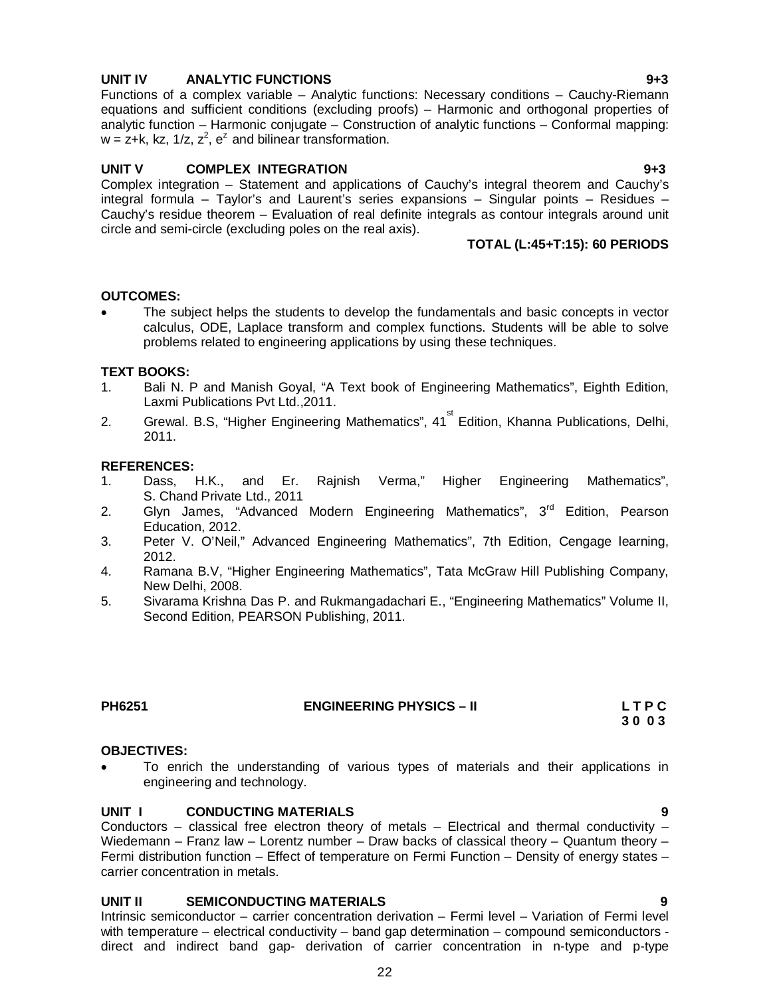# **UNIT IV ANALYTIC FUNCTIONS 9+3**

Functions of a complex variable – Analytic functions: Necessary conditions – Cauchy-Riemann equations and sufficient conditions (excluding proofs) – Harmonic and orthogonal properties of analytic function – Harmonic conjugate – Construction of analytic functions – Conformal mapping:  $w = z + k$ , kz, 1/z,  $z^2$ ,  $e^z$  and bilinear transformation.

# UNIT V COMPLEX INTEGRATION **1943**

Complex integration – Statement and applications of Cauchy's integral theorem and Cauchy's integral formula – Taylor's and Laurent's series expansions – Singular points – Residues – Cauchy's residue theorem – Evaluation of real definite integrals as contour integrals around unit circle and semi-circle (excluding poles on the real axis).

# **TOTAL (L:45+T:15): 60 PERIODS**

### **OUTCOMES:**

 The subject helps the students to develop the fundamentals and basic concepts in vector calculus, ODE, Laplace transform and complex functions. Students will be able to solve problems related to engineering applications by using these techniques.

### **TEXT BOOKS:**

- 1. Bali N. P and Manish Goyal, "A Text book of Engineering Mathematics", Eighth Edition, Laxmi Publications Pvt Ltd.,2011.
- 2. Grewal. B.S, "Higher Engineering Mathematics", 41<sup>st</sup> Edition, Khanna Publications, Delhi, 2011.

### **REFERENCES:**

- 1. Dass, H.K., and Er. Rajnish Verma," Higher Engineering Mathematics", S. Chand Private Ltd., 2011
- 2. Glyn James, "Advanced Modern Engineering Mathematics", 3<sup>rd</sup> Edition, Pearson Education, 2012.
- 3. Peter V. O'Neil," Advanced Engineering Mathematics", 7th Edition, Cengage learning, 2012.
- 4. Ramana B.V, "Higher Engineering Mathematics", Tata McGraw Hill Publishing Company, New Delhi, 2008.
- 5. Sivarama Krishna Das P. and Rukmangadachari E., "Engineering Mathematics" Volume II, Second Edition, PEARSON Publishing, 2011.

**PH6251 ENGINEERING PHYSICS – II L T P C** 

### **OBJECTIVES:**

 To enrich the understanding of various types of materials and their applications in engineering and technology.

### **UNIT I CONDUCTING MATERIALS 9**

Conductors – classical free electron theory of metals – Electrical and thermal conductivity – Wiedemann – Franz law – Lorentz number – Draw backs of classical theory – Quantum theory – Fermi distribution function – Effect of temperature on Fermi Function – Density of energy states – carrier concentration in metals.

### **UNIT II SEMICONDUCTING MATERIALS**

Intrinsic semiconductor – carrier concentration derivation – Fermi level – Variation of Fermi level with temperature – electrical conductivity – band gap determination – compound semiconductors direct and indirect band gap- derivation of carrier concentration in n-type and p-type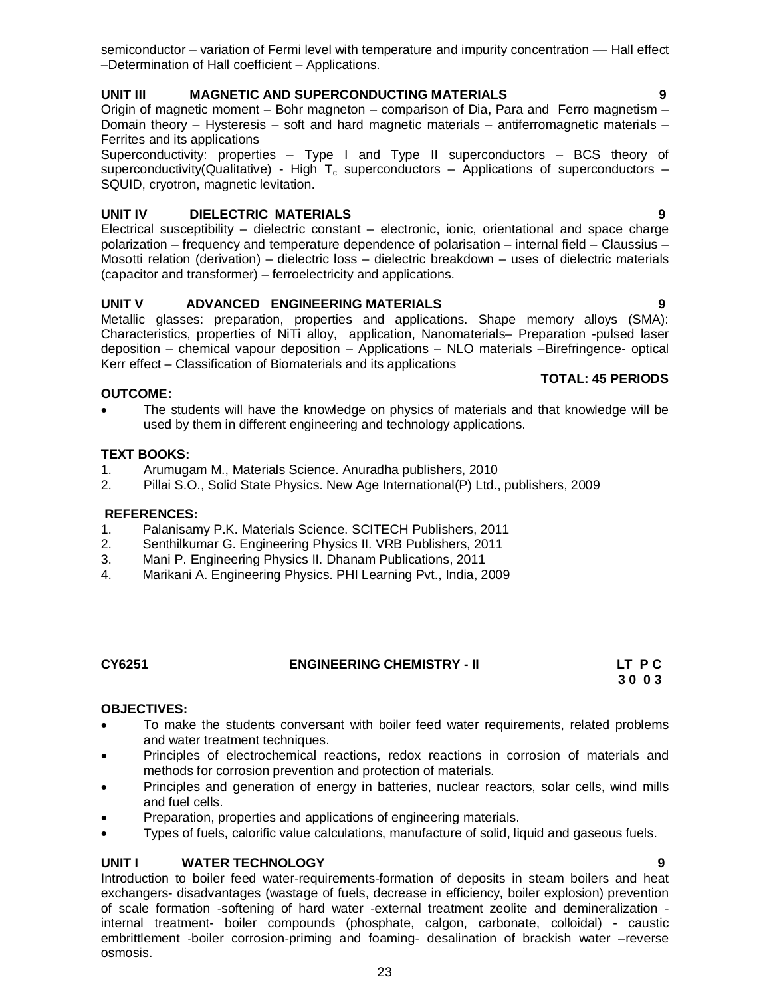semiconductor – variation of Fermi level with temperature and impurity concentration — Hall effect –Determination of Hall coefficient – Applications.

# **UNIT III MAGNETIC AND SUPERCONDUCTING MATERIALS 9**

Origin of magnetic moment – Bohr magneton – comparison of Dia, Para and Ferro magnetism – Domain theory – Hysteresis – soft and hard magnetic materials – antiferromagnetic materials – Ferrites and its applications

Superconductivity: properties – Type I and Type II superconductors – BCS theory of superconductivity(Qualitative) - High  $T_c$  superconductors – Applications of superconductors – SQUID, cryotron, magnetic levitation.

# **UNIT IV DIELECTRIC MATERIALS 9**

Electrical susceptibility – dielectric constant – electronic, ionic, orientational and space charge polarization – frequency and temperature dependence of polarisation – internal field – Claussius – Mosotti relation (derivation) – dielectric loss – dielectric breakdown – uses of dielectric materials (capacitor and transformer) – ferroelectricity and applications.

# **UNIT V ADVANCED ENGINEERING MATERIALS 9**

Metallic glasses: preparation, properties and applications. Shape memory alloys (SMA): Characteristics, properties of NiTi alloy, application, Nanomaterials– Preparation -pulsed laser deposition – chemical vapour deposition – Applications – NLO materials –Birefringence- optical Kerr effect – Classification of Biomaterials and its applications

### **OUTCOME:**

 The students will have the knowledge on physics of materials and that knowledge will be used by them in different engineering and technology applications.

## **TEXT BOOKS:**

- 1. Arumugam M., Materials Science. Anuradha publishers, 2010
- 2. Pillai S.O., Solid State Physics. New Age International(P) Ltd., publishers, 2009

### **REFERENCES:**

- 1. Palanisamy P.K. Materials Science. SCITECH Publishers, 2011
- 2. Senthilkumar G. Engineering Physics II. VRB Publishers, 2011
- 3. Mani P. Engineering Physics II. Dhanam Publications, 2011
- 4. Marikani A. Engineering Physics. PHI Learning Pvt., India, 2009

### **CY6251 ENGINEERING CHEMISTRY - II LT P C 3 0 0 3**

### **OBJECTIVES:**

- To make the students conversant with boiler feed water requirements, related problems and water treatment techniques.
- Principles of electrochemical reactions, redox reactions in corrosion of materials and methods for corrosion prevention and protection of materials.
- Principles and generation of energy in batteries, nuclear reactors, solar cells, wind mills and fuel cells.
- Preparation, properties and applications of engineering materials.
- Types of fuels, calorific value calculations, manufacture of solid, liquid and gaseous fuels.

## **UNIT I WATER TECHNOLOGY 9**

Introduction to boiler feed water-requirements-formation of deposits in steam boilers and heat exchangers- disadvantages (wastage of fuels, decrease in efficiency, boiler explosion) prevention of scale formation -softening of hard water -external treatment zeolite and demineralization internal treatment- boiler compounds (phosphate, calgon, carbonate, colloidal) - caustic embrittlement -boiler corrosion-priming and foaming- desalination of brackish water –reverse osmosis.

**TOTAL: 45 PERIODS**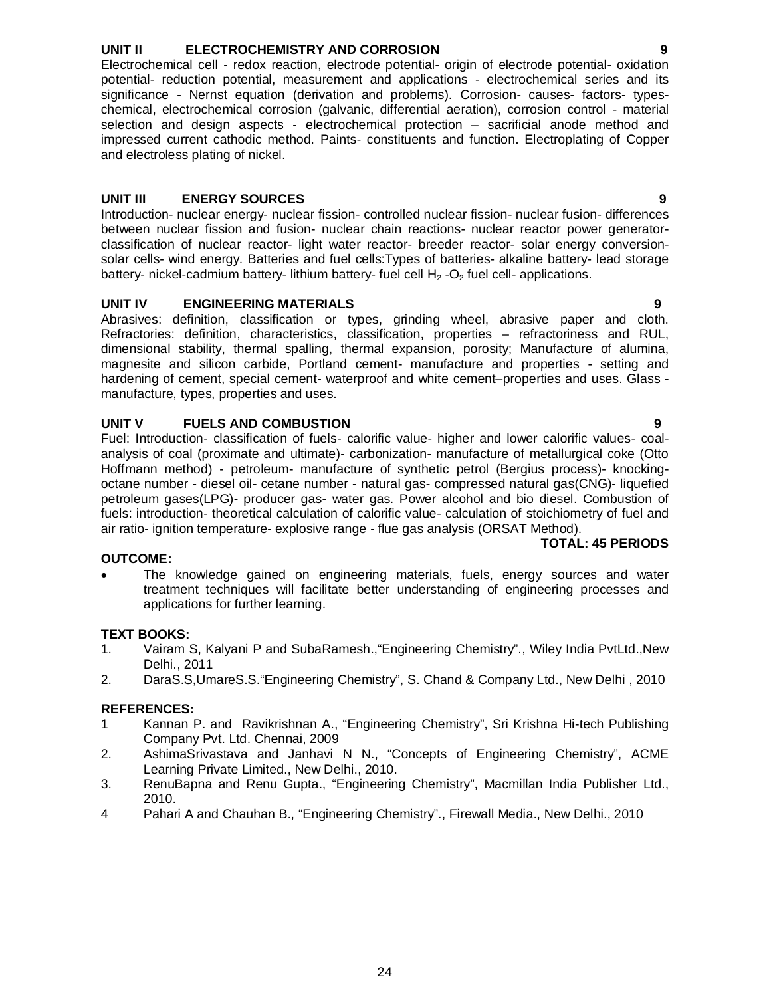### UNIT II **ELECTROCHEMISTRY AND CORROSION**

Electrochemical cell - redox reaction, electrode potential- origin of electrode potential- oxidation potential- reduction potential, measurement and applications - electrochemical series and its significance - Nernst equation (derivation and problems). Corrosion- causes- factors- typeschemical, electrochemical corrosion (galvanic, differential aeration), corrosion control - material selection and design aspects - electrochemical protection – sacrificial anode method and impressed current cathodic method. Paints- constituents and function. Electroplating of Copper

# **UNIT III ENERGY SOURCES 9**

and electroless plating of nickel.

Introduction- nuclear energy- nuclear fission- controlled nuclear fission- nuclear fusion- differences between nuclear fission and fusion- nuclear chain reactions- nuclear reactor power generatorclassification of nuclear reactor- light water reactor- breeder reactor- solar energy conversionsolar cells- wind energy. Batteries and fuel cells:Types of batteries- alkaline battery- lead storage battery- nickel-cadmium battery- lithium battery- fuel cell  $H_2$  -O<sub>2</sub> fuel cell- applications.

# **UNIT IV ENGINEERING MATERIALS 9**

Abrasives: definition, classification or types, grinding wheel, abrasive paper and cloth. Refractories: definition, characteristics, classification, properties – refractoriness and RUL, dimensional stability, thermal spalling, thermal expansion, porosity; Manufacture of alumina, magnesite and silicon carbide, Portland cement- manufacture and properties - setting and hardening of cement, special cement- waterproof and white cement–properties and uses. Glass manufacture, types, properties and uses.

# **UNIT V FUELS AND COMBUSTION 9**

Fuel: Introduction- classification of fuels- calorific value- higher and lower calorific values- coalanalysis of coal (proximate and ultimate)- carbonization- manufacture of metallurgical coke (Otto Hoffmann method) - petroleum- manufacture of synthetic petrol (Bergius process)- knockingoctane number - diesel oil- cetane number - natural gas- compressed natural gas(CNG)- liquefied petroleum gases(LPG)- producer gas- water gas. Power alcohol and bio diesel. Combustion of fuels: introduction- theoretical calculation of calorific value- calculation of stoichiometry of fuel and air ratio- ignition temperature- explosive range - flue gas analysis (ORSAT Method).

## **OUTCOME:**

 The knowledge gained on engineering materials, fuels, energy sources and water treatment techniques will facilitate better understanding of engineering processes and applications for further learning.

## **TEXT BOOKS:**

- 1. Vairam S, Kalyani P and SubaRamesh.,"Engineering Chemistry"., Wiley India PvtLtd.,New Delhi., 2011
- 2. DaraS.S,UmareS.S."Engineering Chemistry", S. Chand & Company Ltd., New Delhi , 2010

## **REFERENCES:**

- 1 Kannan P. and Ravikrishnan A., "Engineering Chemistry", Sri Krishna Hi-tech Publishing Company Pvt. Ltd. Chennai, 2009
- 2. AshimaSrivastava and Janhavi N N., "Concepts of Engineering Chemistry", ACME Learning Private Limited., New Delhi., 2010.
- 3. RenuBapna and Renu Gupta., "Engineering Chemistry", Macmillan India Publisher Ltd., 2010.
- 4 Pahari A and Chauhan B., "Engineering Chemistry"., Firewall Media., New Delhi., 2010

**TOTAL: 45 PERIODS**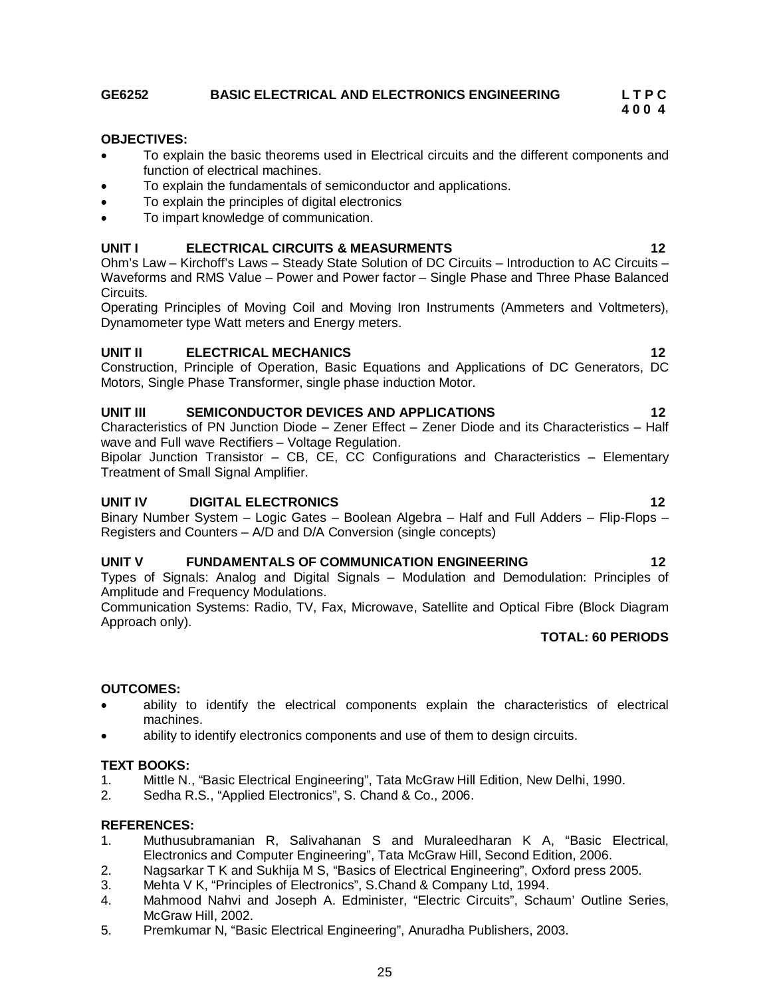# **GE6252 BASIC ELECTRICAL AND ELECTRONICS ENGINEERING L T P C**

### **OBJECTIVES:**

- To explain the basic theorems used in Electrical circuits and the different components and function of electrical machines.
- To explain the fundamentals of semiconductor and applications.
- To explain the principles of digital electronics
- To impart knowledge of communication.

# **UNIT I ELECTRICAL CIRCUITS & MEASURMENTS 12**

Ohm's Law – Kirchoff's Laws – Steady State Solution of DC Circuits – Introduction to AC Circuits – Waveforms and RMS Value – Power and Power factor – Single Phase and Three Phase Balanced Circuits.

Operating Principles of Moving Coil and Moving Iron Instruments (Ammeters and Voltmeters), Dynamometer type Watt meters and Energy meters.

## **UNIT II ELECTRICAL MECHANICS 12**

Construction, Principle of Operation, Basic Equations and Applications of DC Generators, DC Motors, Single Phase Transformer, single phase induction Motor.

### **UNIT III SEMICONDUCTOR DEVICES AND APPLICATIONS 12**

Characteristics of PN Junction Diode – Zener Effect – Zener Diode and its Characteristics – Half wave and Full wave Rectifiers – Voltage Regulation.

Bipolar Junction Transistor – CB,  $\overline{CE}$ , CC Configurations and Characteristics – Elementary Treatment of Small Signal Amplifier.

## **UNIT IV DIGITAL ELECTRONICS 12**

Binary Number System – Logic Gates – Boolean Algebra – Half and Full Adders – Flip-Flops – Registers and Counters – A/D and D/A Conversion (single concepts)

## **UNIT V FUNDAMENTALS OF COMMUNICATION ENGINEERING 12**

Types of Signals: Analog and Digital Signals – Modulation and Demodulation: Principles of Amplitude and Frequency Modulations.

Communication Systems: Radio, TV, Fax, Microwave, Satellite and Optical Fibre (Block Diagram Approach only).

# **TOTAL: 60 PERIODS**

## **OUTCOMES:**

- ability to identify the electrical components explain the characteristics of electrical machines.
- ability to identify electronics components and use of them to design circuits.

## **TEXT BOOKS:**

- 1. Mittle N., "Basic Electrical Engineering", Tata McGraw Hill Edition, New Delhi, 1990.
- 2. Sedha R.S., "Applied Electronics", S. Chand & Co., 2006.

### **REFERENCES:**

- 1. Muthusubramanian R, Salivahanan S and Muraleedharan K A, "Basic Electrical, Electronics and Computer Engineering", Tata McGraw Hill, Second Edition, 2006.
- 2. Nagsarkar T K and Sukhija M S, "Basics of Electrical Engineering", Oxford press 2005.
- 3. Mehta V K, "Principles of Electronics", S.Chand & Company Ltd, 1994.
- 4. Mahmood Nahvi and Joseph A. Edminister, "Electric Circuits", Schaum' Outline Series, McGraw Hill, 2002.
- 5. Premkumar N, "Basic Electrical Engineering", Anuradha Publishers, 2003.

**4 0 0 4**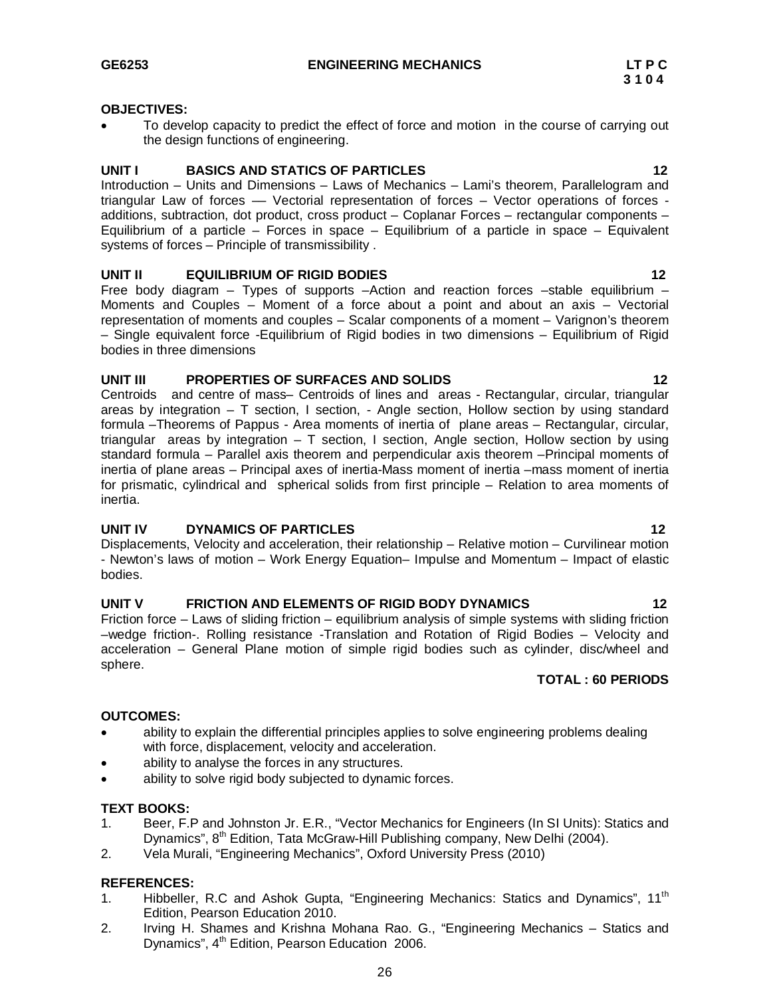### **OBJECTIVES:**

 To develop capacity to predict the effect of force and motion in the course of carrying out the design functions of engineering.

### **UNIT I BASICS AND STATICS OF PARTICLES 12**

Introduction – Units and Dimensions – Laws of Mechanics – Lami's theorem, Parallelogram and triangular Law of forces –– Vectorial representation of forces – Vector operations of forces additions, subtraction, dot product, cross product – Coplanar Forces – rectangular components – Equilibrium of a particle – Forces in space – Equilibrium of a particle in space – Equivalent systems of forces – Principle of transmissibility .

### **UNIT II EQUILIBRIUM OF RIGID BODIES 12**

Free body diagram – Types of supports –Action and reaction forces –stable equilibrium – Moments and Couples – Moment of a force about a point and about an axis – Vectorial representation of moments and couples – Scalar components of a moment – Varignon's theorem – Single equivalent force -Equilibrium of Rigid bodies in two dimensions – Equilibrium of Rigid bodies in three dimensions

### **UNIT III PROPERTIES OF SURFACES AND SOLIDS 12**

Centroids and centre of mass– Centroids of lines and areas - Rectangular, circular, triangular areas by integration  $-$  T section, I section,  $-$  Angle section, Hollow section by using standard formula –Theorems of Pappus - Area moments of inertia of plane areas – Rectangular, circular, triangular areas by integration – T section, I section, Angle section, Hollow section by using standard formula – Parallel axis theorem and perpendicular axis theorem –Principal moments of inertia of plane areas – Principal axes of inertia-Mass moment of inertia –mass moment of inertia for prismatic, cylindrical and spherical solids from first principle – Relation to area moments of inertia.

## **UNIT IV DYNAMICS OF PARTICLES** 22

Displacements, Velocity and acceleration, their relationship – Relative motion – Curvilinear motion - Newton's laws of motion – Work Energy Equation– Impulse and Momentum – Impact of elastic bodies.

# UNIT V FRICTION AND ELEMENTS OF RIGID BODY DYNAMICS 12

Friction force – Laws of sliding friction – equilibrium analysis of simple systems with sliding friction –wedge friction-. Rolling resistance -Translation and Rotation of Rigid Bodies – Velocity and acceleration – General Plane motion of simple rigid bodies such as cylinder, disc/wheel and sphere.

## **TOTAL : 60 PERIODS**

### **OUTCOMES:**

- ability to explain the differential principles applies to solve engineering problems dealing with force, displacement, velocity and acceleration.
- ability to analyse the forces in any structures.
- ability to solve rigid body subjected to dynamic forces.

### **TEXT BOOKS:**

- 1. Beer, F.P and Johnston Jr. E.R., "Vector Mechanics for Engineers (In SI Units): Statics and Dynamics", 8<sup>th</sup> Edition, Tata McGraw-Hill Publishing company, New Delhi (2004).
- 2. Vela Murali, "Engineering Mechanics", Oxford University Press (2010)

### **REFERENCES:**

- 1. Hibbeller, R.C and Ashok Gupta, "Engineering Mechanics: Statics and Dynamics", 11<sup>th</sup> Edition, Pearson Education 2010.
- 2. Irving H. Shames and Krishna Mohana Rao. G., "Engineering Mechanics Statics and Dynamics", 4<sup>th</sup> Edition, Pearson Education 2006.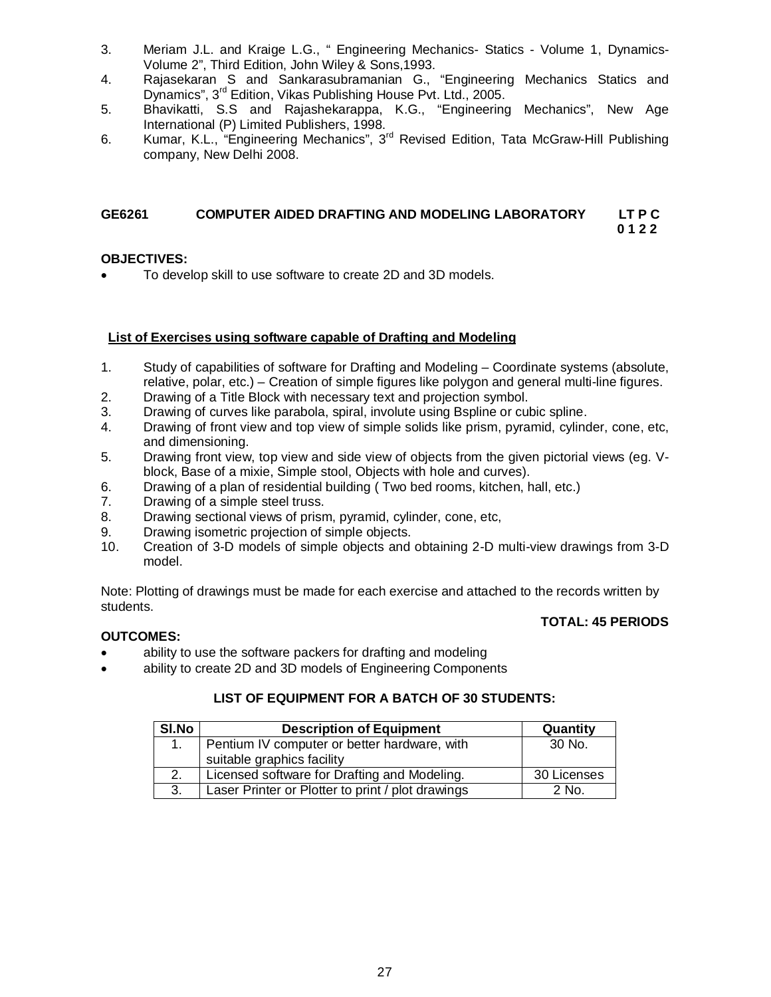- 3. Meriam J.L. and Kraige L.G., " Engineering Mechanics- Statics Volume 1, Dynamics-Volume 2", Third Edition, John Wiley & Sons,1993.
- 4. Rajasekaran S and Sankarasubramanian G., "Engineering Mechanics Statics and Dynamics", 3rd Edition, Vikas Publishing House Pvt. Ltd., 2005.
- 5. Bhavikatti, S.S and Rajashekarappa, K.G., "Engineering Mechanics", New Age International (P) Limited Publishers, 1998.
- 6. Kumar, K.L., "Engineering Mechanics", 3<sup>rd</sup> Revised Edition, Tata McGraw-Hill Publishing company, New Delhi 2008.

### **GE6261 COMPUTER AIDED DRAFTING AND MODELING LABORATORY LT P C 0 1 2 2**

## **OBJECTIVES:**

To develop skill to use software to create 2D and 3D models.

# **List of Exercises using software capable of Drafting and Modeling**

- 1. Study of capabilities of software for Drafting and Modeling Coordinate systems (absolute, relative, polar, etc.) – Creation of simple figures like polygon and general multi-line figures.
- 2. Drawing of a Title Block with necessary text and projection symbol.
- 3. Drawing of curves like parabola, spiral, involute using Bspline or cubic spline.
- 4. Drawing of front view and top view of simple solids like prism, pyramid, cylinder, cone, etc, and dimensioning.
- 5. Drawing front view, top view and side view of objects from the given pictorial views (eg. Vblock, Base of a mixie, Simple stool, Objects with hole and curves).
- 6. Drawing of a plan of residential building ( Two bed rooms, kitchen, hall, etc.)
- 7. Drawing of a simple steel truss.
- 8. Drawing sectional views of prism, pyramid, cylinder, cone, etc,
- 9. Drawing isometric projection of simple objects.<br>10. Creation of 3-D models of simple objects and
- 10. Creation of 3-D models of simple objects and obtaining 2-D multi-view drawings from 3-D model.

Note: Plotting of drawings must be made for each exercise and attached to the records written by students.

## **TOTAL: 45 PERIODS**

## **OUTCOMES:**

- ability to use the software packers for drafting and modeling
- ability to create 2D and 3D models of Engineering Components

# **LIST OF EQUIPMENT FOR A BATCH OF 30 STUDENTS:**

| <b>SI.No</b> | <b>Description of Equipment</b>                                            | Quantity    |
|--------------|----------------------------------------------------------------------------|-------------|
|              | Pentium IV computer or better hardware, with<br>suitable graphics facility | 30 No.      |
| 2.           | Licensed software for Drafting and Modeling.                               | 30 Licenses |
| 3.           | Laser Printer or Plotter to print / plot drawings                          | 2 No.       |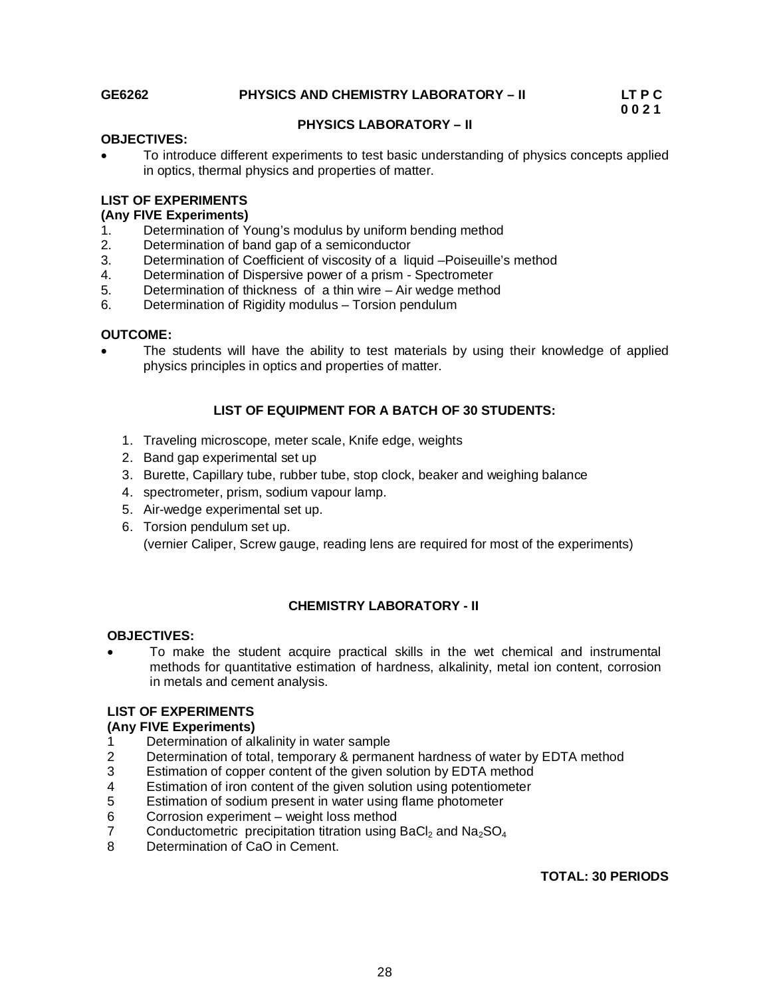# **GE6262 PHYSICS AND CHEMISTRY LABORATORY – II LT P C**

 **0 0 2 1**

# **PHYSICS LABORATORY – II**

### **OBJECTIVES:**

 To introduce different experiments to test basic understanding of physics concepts applied in optics, thermal physics and properties of matter.

### **LIST OF EXPERIMENTS**

### **(Any FIVE Experiments)**

- 1. Determination of Young's modulus by uniform bending method
- 2. Determination of band gap of a semiconductor
- 3. Determination of Coefficient of viscosity of a liquid –Poiseuille's method
- 4. Determination of Dispersive power of a prism Spectrometer<br>5. Determination of thickness of a thin wire Air wedge method
- 5. Determination of thickness of a thin wire Air wedge method
- 6. Determination of Rigidity modulus Torsion pendulum

### **OUTCOME:**

 The students will have the ability to test materials by using their knowledge of applied physics principles in optics and properties of matter.

## **LIST OF EQUIPMENT FOR A BATCH OF 30 STUDENTS:**

- 1. Traveling microscope, meter scale, Knife edge, weights
- 2. Band gap experimental set up
- 3. Burette, Capillary tube, rubber tube, stop clock, beaker and weighing balance
- 4. spectrometer, prism, sodium vapour lamp.
- 5. Air-wedge experimental set up.
- 6. Torsion pendulum set up. (vernier Caliper, Screw gauge, reading lens are required for most of the experiments)

## **CHEMISTRY LABORATORY - II**

### **OBJECTIVES:**

 To make the student acquire practical skills in the wet chemical and instrumental methods for quantitative estimation of hardness, alkalinity, metal ion content, corrosion in metals and cement analysis.

## **LIST OF EXPERIMENTS**

### **(Any FIVE Experiments)**

- 1 Determination of alkalinity in water sample<br>2 Determination of total, temporary & permar
- Determination of total, temporary & permanent hardness of water by EDTA method
- 3 Estimation of copper content of the given solution by EDTA method
- 4 Estimation of iron content of the given solution using potentiometer
- 5 Estimation of sodium present in water using flame photometer
- 6 Corrosion experiment weight loss method
- 7 Conductometric precipitation titration using BaCl<sub>2</sub> and  $Na<sub>2</sub>SO<sub>4</sub>$ <br>8 Determination of CaO in Cement.
- Determination of CaO in Cement.

## **TOTAL: 30 PERIODS**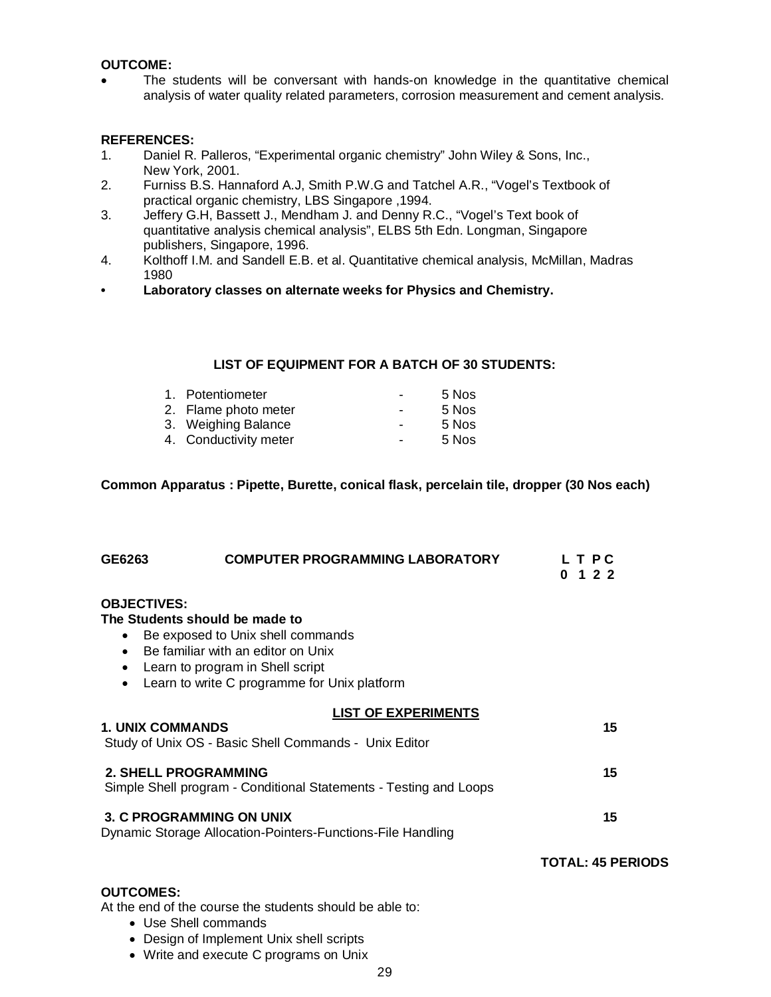### **OUTCOME:**

 The students will be conversant with hands-on knowledge in the quantitative chemical analysis of water quality related parameters, corrosion measurement and cement analysis.

### **REFERENCES:**

- 1. Daniel R. Palleros, "Experimental organic chemistry" John Wiley & Sons, Inc., New York, 2001.
- 2. Furniss B.S. Hannaford A.J, Smith P.W.G and Tatchel A.R., "Vogel's Textbook of practical organic chemistry, LBS Singapore ,1994.
- 3. Jeffery G.H, Bassett J., Mendham J. and Denny R.C., "Vogel's Text book of quantitative analysis chemical analysis", ELBS 5th Edn. Longman, Singapore publishers, Singapore, 1996.
- 4. Kolthoff I.M. and Sandell E.B. et al. Quantitative chemical analysis, McMillan, Madras 1980
- **Laboratory classes on alternate weeks for Physics and Chemistry.**

## **LIST OF EQUIPMENT FOR A BATCH OF 30 STUDENTS:**

| $\overline{\phantom{0}}$                                                                 | 5 Nos |
|------------------------------------------------------------------------------------------|-------|
| $\blacksquare$                                                                           | 5 Nos |
| $\blacksquare$                                                                           | 5 Nos |
| $\blacksquare$                                                                           | 5 Nos |
| 1. Potentiometer<br>2. Flame photo meter<br>3. Weighing Balance<br>4. Conductivity meter |       |

**Common Apparatus : Pipette, Burette, conical flask, percelain tile, dropper (30 Nos each)**

| GE6263                                                                                         | <b>COMPUTER PROGRAMMING LABORATORY</b>                                                                                                                                                        | L T P C<br>0<br>122      |
|------------------------------------------------------------------------------------------------|-----------------------------------------------------------------------------------------------------------------------------------------------------------------------------------------------|--------------------------|
| <b>OBJECTIVES:</b><br>$\bullet$<br>$\bullet$<br>٠<br>$\bullet$                                 | The Students should be made to<br>Be exposed to Unix shell commands<br>Be familiar with an editor on Unix<br>Learn to program in Shell script<br>Learn to write C programme for Unix platform |                          |
| <b>1. UNIX COMMANDS</b>                                                                        | <b>LIST OF EXPERIMENTS</b><br>Study of Unix OS - Basic Shell Commands - Unix Editor                                                                                                           | 15                       |
|                                                                                                | <b>2. SHELL PROGRAMMING</b><br>Simple Shell program - Conditional Statements - Testing and Loops                                                                                              | 15                       |
| <b>3. C PROGRAMMING ON UNIX</b><br>Dynamic Storage Allocation-Pointers-Functions-File Handling |                                                                                                                                                                                               | 15                       |
|                                                                                                |                                                                                                                                                                                               | <b>TOTAL: 45 PERIODS</b> |
| <b>OUTCOMES:</b>                                                                               | At the end of the course the students should be able to:<br>• Use Shell commands<br>• Design of Implement Unix shell scripts                                                                  |                          |

Write and execute C programs on Unix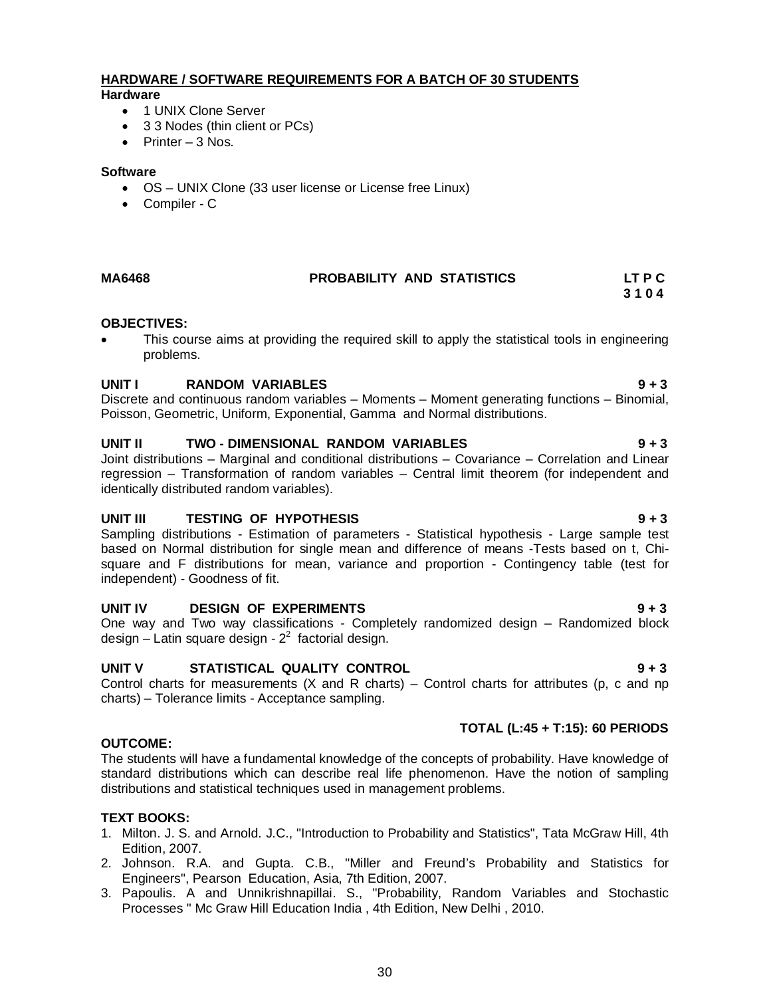### **HARDWARE / SOFTWARE REQUIREMENTS FOR A BATCH OF 30 STUDENTS Hardware**

- 1 UNIX Clone Server
- 3 3 Nodes (thin client or PCs)
- $\bullet$  Printer 3 Nos.

### **Software**

- OS UNIX Clone (33 user license or License free Linux)
- Compiler C

# **MA6468 PROBABILITY AND STATISTICS LT P C**

# **OBJECTIVES:**

 This course aims at providing the required skill to apply the statistical tools in engineering problems.

 **3 1 0 4**

# **UNIT I RANDOM VARIABLES 9 + 3**

Discrete and continuous random variables – Moments – Moment generating functions – Binomial, Poisson, Geometric, Uniform, Exponential, Gamma and Normal distributions.

## **UNIT II TWO - DIMENSIONAL RANDOM VARIABLES 9 + 3**

Joint distributions – Marginal and conditional distributions – Covariance – Correlation and Linear regression – Transformation of random variables – Central limit theorem (for independent and identically distributed random variables).

# **UNIT III TESTING OF HYPOTHESIS 9 + 3**

Sampling distributions - Estimation of parameters - Statistical hypothesis - Large sample test based on Normal distribution for single mean and difference of means -Tests based on t, Chisquare and F distributions for mean, variance and proportion - Contingency table (test for independent) - Goodness of fit.

## **UNIT IV DESIGN OF EXPERIMENTS 9 + 3**

One way and Two way classifications - Completely randomized design – Randomized block design – Latin square design -  $2^2$  factorial design.

# **UNIT V STATISTICAL QUALITY CONTROL 9 + 3**

Control charts for measurements  $(X \text{ and } R \text{ charts})$  – Control charts for attributes (p, c and np charts) – Tolerance limits - Acceptance sampling.

## **OUTCOME:**

The students will have a fundamental knowledge of the concepts of probability. Have knowledge of standard distributions which can describe real life phenomenon. Have the notion of sampling distributions and statistical techniques used in management problems.

## **TEXT BOOKS:**

- 1. Milton. J. S. and Arnold. J.C., "Introduction to Probability and Statistics", Tata McGraw Hill, 4th Edition, 2007.
- 2. Johnson. R.A. and Gupta. C.B., "Miller and Freund's Probability and Statistics for Engineers", Pearson Education, Asia, 7th Edition, 2007.
- 3. Papoulis. A and Unnikrishnapillai. S., "Probability, Random Variables and Stochastic Processes " Mc Graw Hill Education India , 4th Edition, New Delhi , 2010.

 **TOTAL (L:45 + T:15): 60 PERIODS**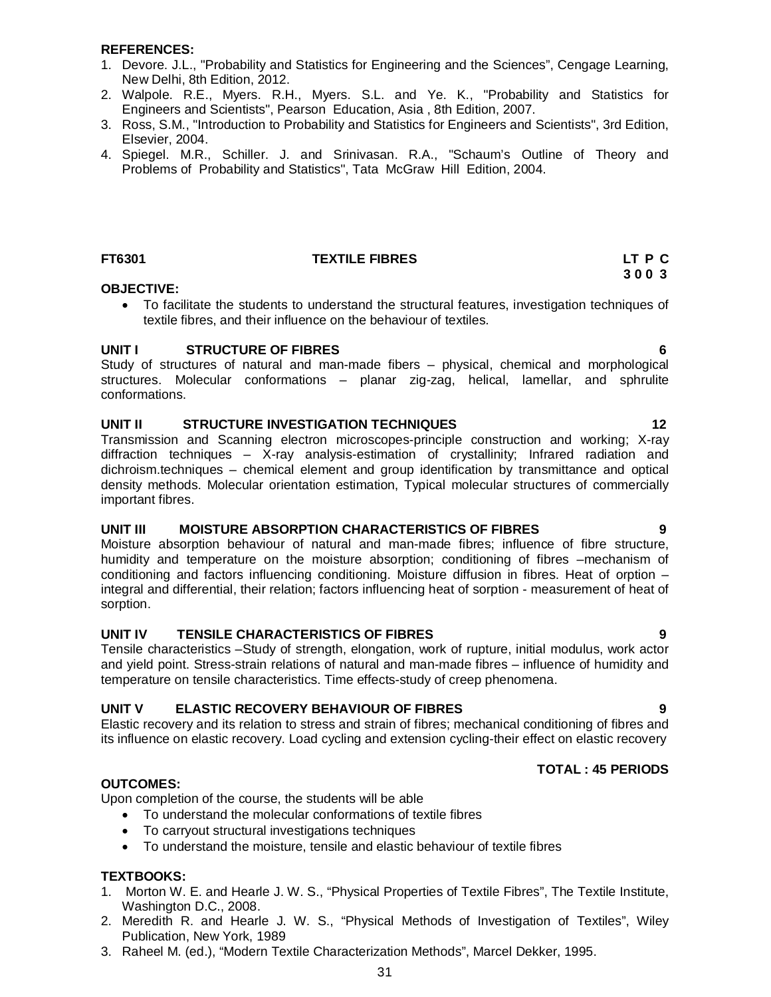### **REFERENCES:**

- 1. Devore. J.L., "Probability and Statistics for Engineering and the Sciences", Cengage Learning, New Delhi, 8th Edition, 2012.
- 2. Walpole. R.E., Myers. R.H., Myers. S.L. and Ye. K., "Probability and Statistics for Engineers and Scientists", Pearson Education, Asia , 8th Edition, 2007.
- 3. Ross, S.M., "Introduction to Probability and Statistics for Engineers and Scientists", 3rd Edition, Elsevier, 2004.
- 4. Spiegel. M.R., Schiller. J. and Srinivasan. R.A., "Schaum's Outline of Theory and Problems of Probability and Statistics", Tata McGraw Hill Edition, 2004.

### **FT6301 TEXTILE FIBRES LT P C**

### **OBJECTIVE:**

 To facilitate the students to understand the structural features, investigation techniques of textile fibres, and their influence on the behaviour of textiles.

 **3 0 0 3 3 0 0 3** 

### **UNIT I STRUCTURE OF FIBRES 6**

Study of structures of natural and man-made fibers – physical, chemical and morphological structures. Molecular conformations – planar zig-zag, helical, lamellar, and sphrulite conformations.

### **UNIT II** STRUCTURE INVESTIGATION TECHNIQUES 12

Transmission and Scanning electron microscopes-principle construction and working; X-ray diffraction techniques – X-ray analysis-estimation of crystallinity; Infrared radiation and dichroism.techniques – chemical element and group identification by transmittance and optical density methods. Molecular orientation estimation, Typical molecular structures of commercially important fibres.

### **UNIT III MOISTURE ABSORPTION CHARACTERISTICS OF FIBRES 9**

Moisture absorption behaviour of natural and man-made fibres; influence of fibre structure, humidity and temperature on the moisture absorption; conditioning of fibres –mechanism of conditioning and factors influencing conditioning. Moisture diffusion in fibres. Heat of orption – integral and differential, their relation; factors influencing heat of sorption - measurement of heat of sorption.

### **UNIT IV TENSILE CHARACTERISTICS OF FIBRES 9**

Tensile characteristics –Study of strength, elongation, work of rupture, initial modulus, work actor and yield point. Stress-strain relations of natural and man-made fibres – influence of humidity and temperature on tensile characteristics. Time effects-study of creep phenomena.

## **UNIT V ELASTIC RECOVERY BEHAVIOUR OF FIBRES 9**

Elastic recovery and its relation to stress and strain of fibres; mechanical conditioning of fibres and its influence on elastic recovery. Load cycling and extension cycling-their effect on elastic recovery

### **TOTAL : 45 PERIODS**

**OUTCOMES:**

Upon completion of the course, the students will be able

- To understand the molecular conformations of textile fibres
- To carryout structural investigations techniques
- To understand the moisture, tensile and elastic behaviour of textile fibres

### **TEXTBOOKS:**

- 1. Morton W. E. and Hearle J. W. S., "Physical Properties of Textile Fibres", The Textile Institute, Washington D.C., 2008.
- 2. Meredith R. and Hearle J. W. S., "Physical Methods of Investigation of Textiles", Wiley Publication, New York, 1989
- 3. Raheel M. (ed.), "Modern Textile Characterization Methods", Marcel Dekker, 1995.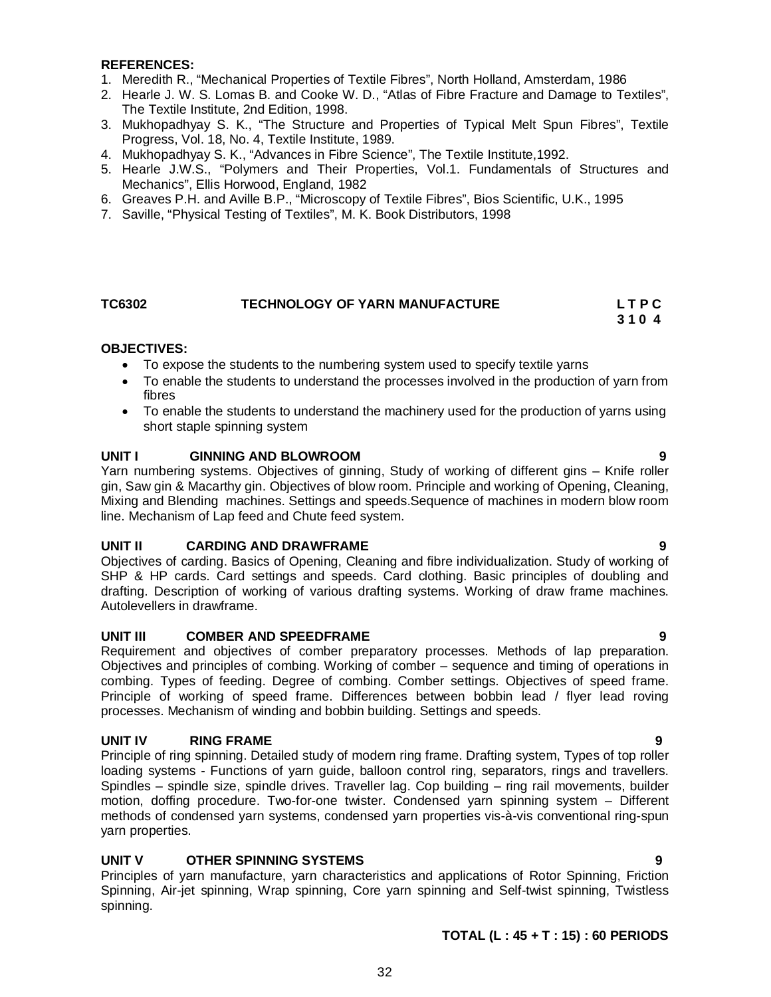### **REFERENCES:**

- 1. Meredith R., "Mechanical Properties of Textile Fibres", North Holland, Amsterdam, 1986
- 2. Hearle J. W. S. Lomas B. and Cooke W. D., "Atlas of Fibre Fracture and Damage to Textiles", The Textile Institute, 2nd Edition, 1998.
- 3. Mukhopadhyay S. K., "The Structure and Properties of Typical Melt Spun Fibres", Textile Progress, Vol. 18, No. 4, Textile Institute, 1989.
- 4. Mukhopadhyay S. K., "Advances in Fibre Science", The Textile Institute,1992.
- 5. Hearle J.W.S., "Polymers and Their Properties, Vol.1. Fundamentals of Structures and Mechanics", Ellis Horwood, England, 1982
- 6. Greaves P.H. and Aville B.P., "Microscopy of Textile Fibres", Bios Scientific, U.K., 1995
- 7. Saville, "Physical Testing of Textiles", M. K. Book Distributors, 1998

## TC6302 **TECHNOLOGY OF YARN MANUFACTURE** L T P C<br>3 1 0 4  **3 1 0** 4

### **OBJECTIVES:**

- To expose the students to the numbering system used to specify textile yarns
- To enable the students to understand the processes involved in the production of yarn from fibres
- To enable the students to understand the machinery used for the production of yarns using short staple spinning system

### **UNIT I GINNING AND BLOWROOM 9**

Yarn numbering systems. Objectives of ginning, Study of working of different gins – Knife roller gin, Saw gin & Macarthy gin. Objectives of blow room. Principle and working of Opening, Cleaning, Mixing and Blending machines. Settings and speeds.Sequence of machines in modern blow room line. Mechanism of Lap feed and Chute feed system.

### **UNIT II CARDING AND DRAWFRAME 9**

Objectives of carding. Basics of Opening, Cleaning and fibre individualization. Study of working of SHP & HP cards. Card settings and speeds. Card clothing. Basic principles of doubling and drafting. Description of working of various drafting systems. Working of draw frame machines. Autolevellers in drawframe.

### **UNIT III COMBER AND SPEEDFRAME 9**

Requirement and objectives of comber preparatory processes. Methods of lap preparation. Objectives and principles of combing. Working of comber – sequence and timing of operations in combing. Types of feeding. Degree of combing. Comber settings. Objectives of speed frame. Principle of working of speed frame. Differences between bobbin lead / flyer lead roving processes. Mechanism of winding and bobbin building. Settings and speeds.

## **UNIT IV RING FRAME 9**

Principle of ring spinning. Detailed study of modern ring frame. Drafting system, Types of top roller loading systems - Functions of yarn guide, balloon control ring, separators, rings and travellers. Spindles – spindle size, spindle drives. Traveller lag. Cop building – ring rail movements, builder motion, doffing procedure. Two-for-one twister. Condensed yarn spinning system – Different methods of condensed yarn systems, condensed yarn properties vis-à-vis conventional ring-spun yarn properties.

## **UNIT V OTHER SPINNING SYSTEMS 9**

Principles of yarn manufacture, yarn characteristics and applications of Rotor Spinning, Friction Spinning, Air-jet spinning, Wrap spinning, Core yarn spinning and Self-twist spinning, Twistless spinning.

## **TOTAL (L : 45 + T : 15) : 60 PERIODS**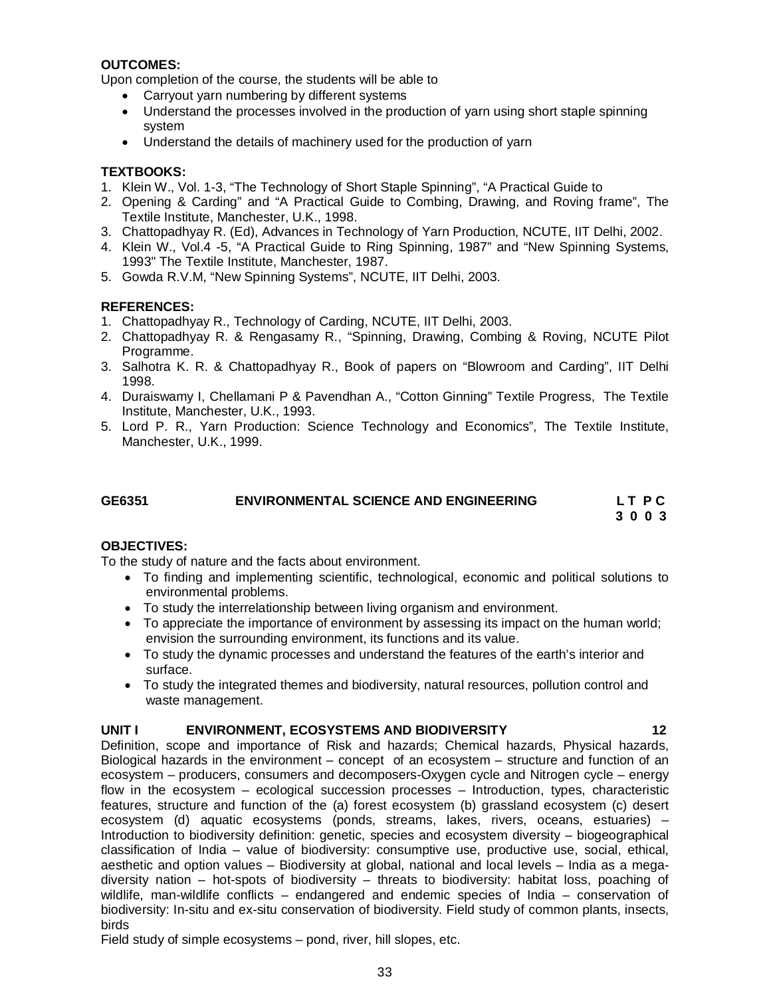## **OUTCOMES:**

Upon completion of the course, the students will be able to

- Carryout yarn numbering by different systems
- Understand the processes involved in the production of yarn using short staple spinning system
- Understand the details of machinery used for the production of yarn

# **TEXTBOOKS:**

- 1. Klein W., Vol. 1-3, "The Technology of Short Staple Spinning", "A Practical Guide to
- 2. Opening & Carding" and "A Practical Guide to Combing, Drawing, and Roving frame", The Textile Institute, Manchester, U.K., 1998.
- 3. Chattopadhyay R. (Ed), Advances in Technology of Yarn Production, NCUTE, IIT Delhi, 2002.
- 4. Klein W., Vol.4 -5, "A Practical Guide to Ring Spinning, 1987" and "New Spinning Systems, 1993" The Textile Institute, Manchester, 1987.
- 5. Gowda R.V.M, "New Spinning Systems", NCUTE, IIT Delhi, 2003.

# **REFERENCES:**

- 1. Chattopadhyay R., Technology of Carding, NCUTE, IIT Delhi, 2003.
- 2. Chattopadhyay R. & Rengasamy R., "Spinning, Drawing, Combing & Roving, NCUTE Pilot Programme.
- 3. Salhotra K. R. & Chattopadhyay R., Book of papers on "Blowroom and Carding", IIT Delhi 1998.
- 4. Duraiswamy I, Chellamani P & Pavendhan A., "Cotton Ginning" Textile Progress, The Textile Institute, Manchester, U.K., 1993.
- 5. Lord P. R., Yarn Production: Science Technology and Economics", The Textile Institute, Manchester, U.K., 1999.

# **GE6351 ENVIRONMENTAL SCIENCE AND ENGINEERING L T P C 3 0 0 3**

## **OBJECTIVES:**

To the study of nature and the facts about environment.

- To finding and implementing scientific, technological, economic and political solutions to environmental problems.
- To study the interrelationship between living organism and environment.
- To appreciate the importance of environment by assessing its impact on the human world; envision the surrounding environment, its functions and its value.
- To study the dynamic processes and understand the features of the earth's interior and surface.
- To study the integrated themes and biodiversity, natural resources, pollution control and waste management.

## **UNIT I ENVIRONMENT, ECOSYSTEMS AND BIODIVERSITY 12**

Definition, scope and importance of Risk and hazards; Chemical hazards, Physical hazards, Biological hazards in the environment – concept of an ecosystem – structure and function of an ecosystem – producers, consumers and decomposers-Oxygen cycle and Nitrogen cycle – energy flow in the ecosystem – ecological succession processes – Introduction, types, characteristic features, structure and function of the (a) forest ecosystem (b) grassland ecosystem (c) desert ecosystem (d) aquatic ecosystems (ponds, streams, lakes, rivers, oceans, estuaries) – Introduction to biodiversity definition: genetic, species and ecosystem diversity – biogeographical classification of India – value of biodiversity: consumptive use, productive use, social, ethical, aesthetic and option values – Biodiversity at global, national and local levels – India as a megadiversity nation – hot-spots of biodiversity – threats to biodiversity: habitat loss, poaching of wildlife, man-wildlife conflicts – endangered and endemic species of India – conservation of biodiversity: In-situ and ex-situ conservation of biodiversity. Field study of common plants, insects, birds

Field study of simple ecosystems – pond, river, hill slopes, etc.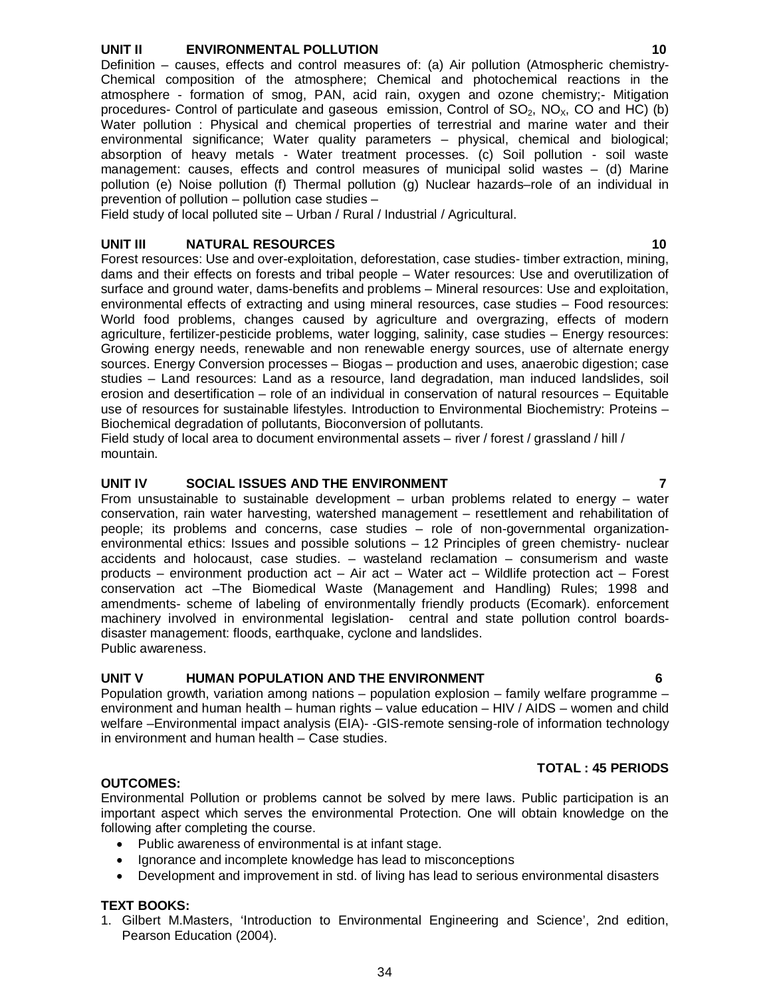# **UNIT II ENVIRONMENTAL POLLUTION 10**

Definition – causes, effects and control measures of: (a) Air pollution (Atmospheric chemistry-Chemical composition of the atmosphere; Chemical and photochemical reactions in the atmosphere - formation of smog, PAN, acid rain, oxygen and ozone chemistry;- Mitigation procedures- Control of particulate and gaseous emission, Control of  $SO_2$ ,  $NO<sub>X</sub>$ , CO and HC) (b) Water pollution : Physical and chemical properties of terrestrial and marine water and their environmental significance; Water quality parameters – physical, chemical and biological; absorption of heavy metals - Water treatment processes. (c) Soil pollution - soil waste management: causes, effects and control measures of municipal solid wastes – (d) Marine pollution (e) Noise pollution (f) Thermal pollution (g) Nuclear hazards–role of an individual in prevention of pollution – pollution case studies –

Field study of local polluted site – Urban / Rural / Industrial / Agricultural.

# **UNIT III** NATURAL RESOURCES 10

Forest resources: Use and over-exploitation, deforestation, case studies- timber extraction, mining, dams and their effects on forests and tribal people – Water resources: Use and overutilization of surface and ground water, dams-benefits and problems – Mineral resources: Use and exploitation, environmental effects of extracting and using mineral resources, case studies – Food resources: World food problems, changes caused by agriculture and overgrazing, effects of modern agriculture, fertilizer-pesticide problems, water logging, salinity, case studies – Energy resources: Growing energy needs, renewable and non renewable energy sources, use of alternate energy sources. Energy Conversion processes – Biogas – production and uses, anaerobic digestion; case studies – Land resources: Land as a resource, land degradation, man induced landslides, soil erosion and desertification – role of an individual in conservation of natural resources – Equitable use of resources for sustainable lifestyles. Introduction to Environmental Biochemistry: Proteins – Biochemical degradation of pollutants, Bioconversion of pollutants.

Field study of local area to document environmental assets – river / forest / grassland / hill / mountain.

# **UNIT IV SOCIAL ISSUES AND THE ENVIRONMENT 7**

From unsustainable to sustainable development – urban problems related to energy – water conservation, rain water harvesting, watershed management – resettlement and rehabilitation of people; its problems and concerns, case studies – role of non-governmental organizationenvironmental ethics: Issues and possible solutions – 12 Principles of green chemistry- nuclear accidents and holocaust, case studies. – wasteland reclamation – consumerism and waste products – environment production act – Air act – Water act – Wildlife protection act – Forest conservation act –The Biomedical Waste (Management and Handling) Rules; 1998 and amendments- scheme of labeling of environmentally friendly products (Ecomark). enforcement machinery involved in environmental legislation- central and state pollution control boardsdisaster management: floods, earthquake, cyclone and landslides. Public awareness.

## **UNIT V HUMAN POPULATION AND THE ENVIRONMENT 6**

Population growth, variation among nations – population explosion – family welfare programme – environment and human health – human rights – value education – HIV / AIDS – women and child welfare –Environmental impact analysis (EIA)- -GIS-remote sensing-role of information technology in environment and human health – Case studies.

# **OUTCOMES:**

Environmental Pollution or problems cannot be solved by mere laws. Public participation is an important aspect which serves the environmental Protection. One will obtain knowledge on the following after completing the course.

- Public awareness of environmental is at infant stage.
- Ignorance and incomplete knowledge has lead to misconceptions
- Development and improvement in std. of living has lead to serious environmental disasters

# **TEXT BOOKS:**

1. Gilbert M.Masters, 'Introduction to Environmental Engineering and Science', 2nd edition, Pearson Education (2004).

**TOTAL : 45 PERIODS**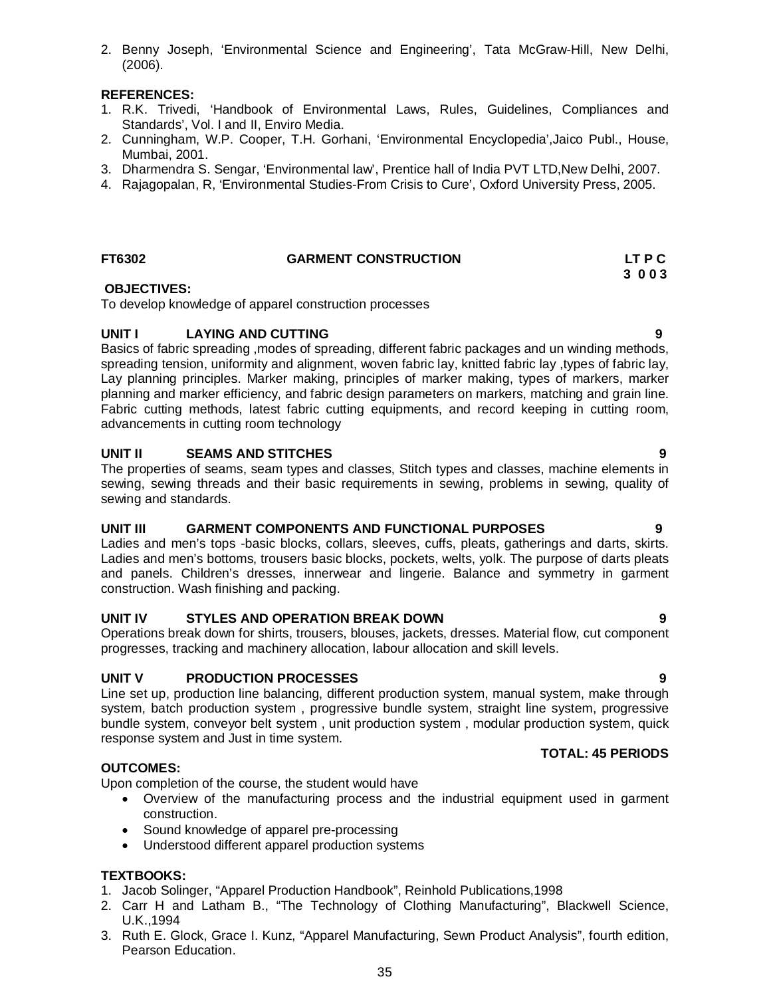2. Benny Joseph, 'Environmental Science and Engineering', Tata McGraw-Hill, New Delhi, (2006).

# **REFERENCES:**

- 1. R.K. Trivedi, 'Handbook of Environmental Laws, Rules, Guidelines, Compliances and Standards', Vol. I and II, Enviro Media.
- 2. Cunningham, W.P. Cooper, T.H. Gorhani, 'Environmental Encyclopedia',Jaico Publ., House, Mumbai, 2001.
- 3. Dharmendra S. Sengar, 'Environmental law', Prentice hall of India PVT LTD,New Delhi, 2007.
- 4. Rajagopalan, R, 'Environmental Studies-From Crisis to Cure', Oxford University Press, 2005.

## **FT6302 GARMENT CONSTRUCTION LT P C**

# **OBJECTIVES:**

To develop knowledge of apparel construction processes

# **UNIT I LAYING AND CUTTING 9**

Basics of fabric spreading ,modes of spreading, different fabric packages and un winding methods, spreading tension, uniformity and alignment, woven fabric lay, knitted fabric lay ,types of fabric lay, Lay planning principles. Marker making, principles of marker making, types of markers, marker planning and marker efficiency, and fabric design parameters on markers, matching and grain line. Fabric cutting methods, latest fabric cutting equipments, and record keeping in cutting room, advancements in cutting room technology

# **UNIT II SEAMS AND STITCHES 9**

The properties of seams, seam types and classes, Stitch types and classes, machine elements in sewing, sewing threads and their basic requirements in sewing, problems in sewing, quality of sewing and standards.

## **UNIT III GARMENT COMPONENTS AND FUNCTIONAL PURPOSES 9**

Ladies and men's tops -basic blocks, collars, sleeves, cuffs, pleats, gatherings and darts, skirts. Ladies and men's bottoms, trousers basic blocks, pockets, welts, yolk. The purpose of darts pleats and panels. Children's dresses, innerwear and lingerie. Balance and symmetry in garment construction. Wash finishing and packing.

## **UNIT IV STYLES AND OPERATION BREAK DOWN 9**

Operations break down for shirts, trousers, blouses, jackets, dresses. Material flow, cut component progresses, tracking and machinery allocation, labour allocation and skill levels.

# **UNIT V PRODUCTION PROCESSES 9**

Line set up, production line balancing, different production system, manual system, make through system, batch production system , progressive bundle system, straight line system, progressive bundle system, conveyor belt system , unit production system , modular production system, quick response system and Just in time system.

# **OUTCOMES:**

Upon completion of the course, the student would have

- Overview of the manufacturing process and the industrial equipment used in garment construction.
- Sound knowledge of apparel pre-processing
- Understood different apparel production systems

## **TEXTBOOKS:**

- 1. Jacob Solinger, "Apparel Production Handbook", Reinhold Publications,1998
- 2. Carr H and Latham B., "The Technology of Clothing Manufacturing", Blackwell Science,
- 3. Ruth E. Glock, Grace I. Kunz, "Apparel Manufacturing, Sewn Product Analysis", fourth edition,

**TOTAL: 45 PERIODS**

 **3 0 0 3**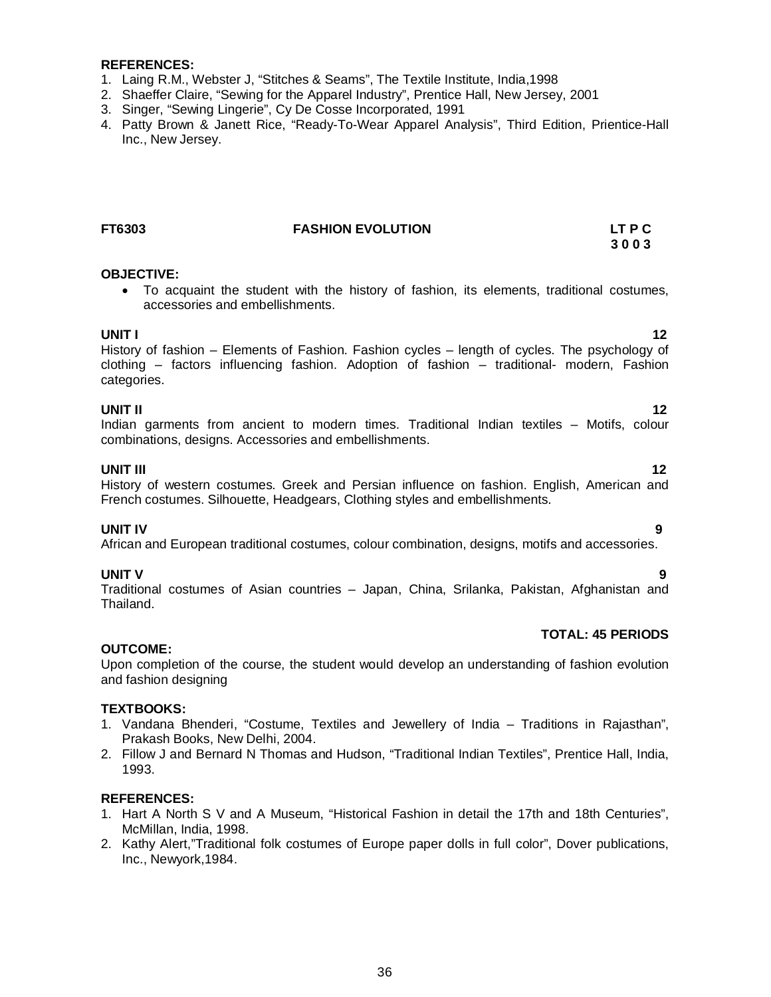### **REFERENCES:**

- 1. Laing R.M., Webster J, "Stitches & Seams", The Textile Institute, India,1998
- 2. Shaeffer Claire, "Sewing for the Apparel Industry", Prentice Hall, New Jersey, 2001
- 3. Singer, "Sewing Lingerie", Cy De Cosse Incorporated, 1991
- 4. Patty Brown & Janett Rice, "Ready-To-Wear Apparel Analysis", Third Edition, Prientice-Hall Inc., New Jersey.

### **FT6303 FASHION EVOLUTION LT P C**

### **OBJECTIVE:**

 To acquaint the student with the history of fashion, its elements, traditional costumes, accessories and embellishments.

**UNIT I** 12 History of fashion – Elements of Fashion. Fashion cycles – length of cycles. The psychology of clothing – factors influencing fashion. Adoption of fashion – traditional- modern, Fashion categories.

### **UNIT II** 12

Indian garments from ancient to modern times. Traditional Indian textiles – Motifs, colour combinations, designs. Accessories and embellishments.

**UNIT III** 12 History of western costumes. Greek and Persian influence on fashion. English, American and French costumes. Silhouette, Headgears, Clothing styles and embellishments.

### **UNIT IV 9**

African and European traditional costumes, colour combination, designs, motifs and accessories.

### **UNIT V 9**

Traditional costumes of Asian countries – Japan, China, Srilanka, Pakistan, Afghanistan and Thailand.

### **TOTAL: 45 PERIODS**

### **OUTCOME:**

Upon completion of the course, the student would develop an understanding of fashion evolution and fashion designing

### **TEXTBOOKS:**

- 1. Vandana Bhenderi, "Costume, Textiles and Jewellery of India Traditions in Rajasthan", Prakash Books, New Delhi, 2004.
- 2. Fillow J and Bernard N Thomas and Hudson, "Traditional Indian Textiles", Prentice Hall, India, 1993.

### **REFERENCES:**

- 1. Hart A North S V and A Museum, "Historical Fashion in detail the 17th and 18th Centuries", McMillan, India, 1998.
- 2. Kathy Alert,"Traditional folk costumes of Europe paper dolls in full color", Dover publications, Inc., Newyork,1984.

# **3 0 0 3**

- 
-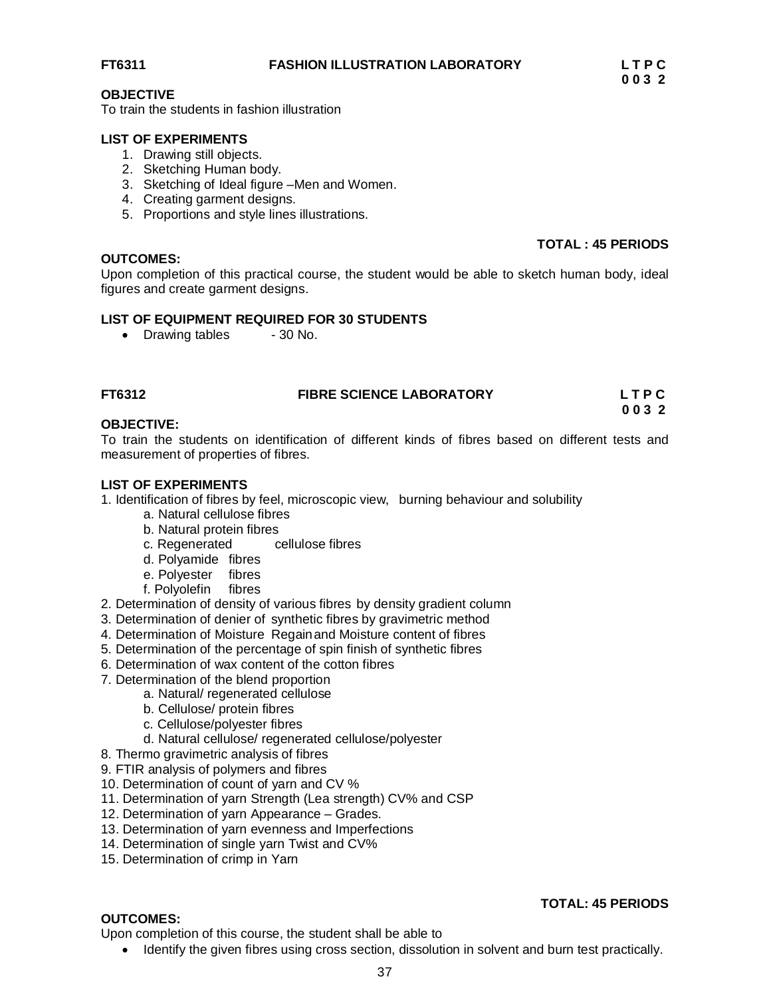#### **OBJECTIVE**

To train the students in fashion illustration

#### **LIST OF EXPERIMENTS**

- 1. Drawing still objects.
- 2. Sketching Human body.
- 3. Sketching of Ideal figure –Men and Women.
- 4. Creating garment designs.
- 5. Proportions and style lines illustrations.

#### **OUTCOMES:**

#### **TOTAL : 45 PERIODS**

**TOTAL: 45 PERIODS**

Upon completion of this practical course, the student would be able to sketch human body, ideal figures and create garment designs.

#### **LIST OF EQUIPMENT REQUIRED FOR 30 STUDENTS**

• Drawing tables - 30 No.

| FT6312 | <b>FIBRE SCIENCE LABORATORY</b> | LTPC |
|--------|---------------------------------|------|
|        |                                 |      |

 **0 0 3 2**

#### **OBJECTIVE:**

To train the students on identification of different kinds of fibres based on different tests and measurement of properties of fibres.

#### **LIST OF EXPERIMENTS**

- 1. Identification of fibres by feel, microscopic view, burning behaviour and solubility
	- a. Natural cellulose fibres
	- b. Natural protein fibres
	- c. Regenerated cellulose fibres
	- d. Polyamide fibres
	- e. Polyester fibres
	- f. Polyolefin fibres
- 2. Determination of density of various fibres by density gradient column
- 3. Determination of denier of synthetic fibres by gravimetric method
- 4. Determination of Moisture Regainand Moisture content of fibres
- 5. Determination of the percentage of spin finish of synthetic fibres
- 6. Determination of wax content of the cotton fibres
- 7. Determination of the blend proportion
	- a. Natural/ regenerated cellulose
	- b. Cellulose/ protein fibres
	- c. Cellulose/polyester fibres
	- d. Natural cellulose/ regenerated cellulose/polyester
- 8. Thermo gravimetric analysis of fibres
- 9. FTIR analysis of polymers and fibres
- 10. Determination of count of yarn and CV %
- 11. Determination of yarn Strength (Lea strength) CV% and CSP
- 12. Determination of yarn Appearance Grades.
- 13. Determination of yarn evenness and Imperfections
- 14. Determination of single yarn Twist and CV%
- 15. Determination of crimp in Yarn

#### **OUTCOMES:**

Upon completion of this course, the student shall be able to

• Identify the given fibres using cross section, dissolution in solvent and burn test practically.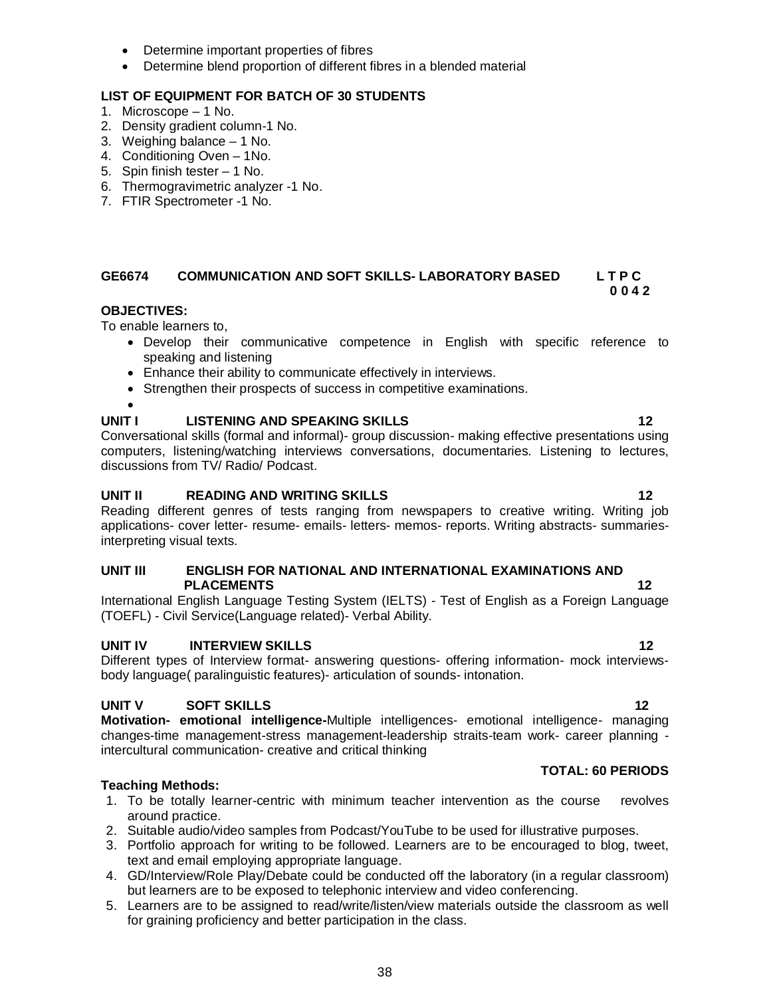38

- Determine important properties of fibres
- Determine blend proportion of different fibres in a blended material

## **LIST OF EQUIPMENT FOR BATCH OF 30 STUDENTS**

- 1. Microscope 1 No.
- 2. Density gradient column-1 No.
- 3. Weighing balance 1 No.
- 4. Conditioning Oven 1No.
- 5. Spin finish tester 1 No.
- 6. Thermogravimetric analyzer -1 No.
- 7. FTIR Spectrometer -1 No.

#### **GE6674 COMMUNICATION AND SOFT SKILLS- LABORATORY BASED L T P C 0 0 4 2**

## **OBJECTIVES:**

To enable learners to,

- Develop their communicative competence in English with specific reference to speaking and listening
- Enhance their ability to communicate effectively in interviews.
- Strengthen their prospects of success in competitive examinations.

## $\bullet$

## **UNIT I LISTENING AND SPEAKING SKILLS 12**

Conversational skills (formal and informal)- group discussion- making effective presentations using computers, listening/watching interviews conversations, documentaries. Listening to lectures, discussions from TV/ Radio/ Podcast.

## **UNIT II READING AND WRITING SKILLS 12**

Reading different genres of tests ranging from newspapers to creative writing. Writing job applications- cover letter- resume- emails- letters- memos- reports. Writing abstracts- summariesinterpreting visual texts.

### **UNIT III ENGLISH FOR NATIONAL AND INTERNATIONAL EXAMINATIONS AND PLACEMENTS 12**

International English Language Testing System (IELTS) - Test of English as a Foreign Language (TOEFL) - Civil Service(Language related)- Verbal Ability.

## **UNIT IV BY INTERVIEW SKILLS 12 12**

Different types of Interview format- answering questions- offering information- mock interviewsbody language( paralinguistic features)- articulation of sounds- intonation.

## **UNIT V SOFT SKILLS 12**

**Motivation- emotional intelligence-**Multiple intelligences- emotional intelligence- managing changes-time management-stress management-leadership straits-team work- career planning intercultural communication- creative and critical thinking

## **Teaching Methods:**

- 1. To be totally learner-centric with minimum teacher intervention as the course revolves around practice.
- 2. Suitable audio/video samples from Podcast/YouTube to be used for illustrative purposes.
- 3. Portfolio approach for writing to be followed. Learners are to be encouraged to blog, tweet, text and email employing appropriate language.
- 4. GD/Interview/Role Play/Debate could be conducted off the laboratory (in a regular classroom) but learners are to be exposed to telephonic interview and video conferencing.
- 5. Learners are to be assigned to read/write/listen/view materials outside the classroom as well for graining proficiency and better participation in the class.

## **TOTAL: 60 PERIODS**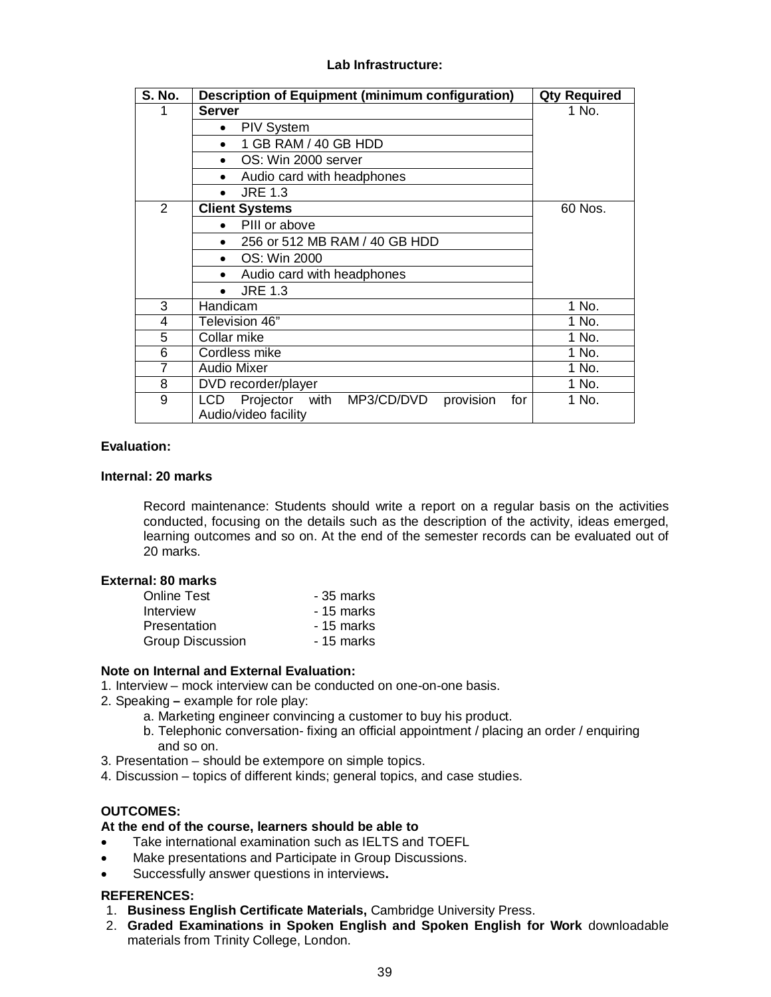#### **Lab Infrastructure:**

| <b>S. No.</b> | Description of Equipment (minimum configuration)           | <b>Qty Required</b> |
|---------------|------------------------------------------------------------|---------------------|
|               | <b>Server</b>                                              | 1 No.               |
|               | <b>PIV System</b><br>٠                                     |                     |
|               | 1 GB RAM / 40 GB HDD                                       |                     |
|               | OS: Win 2000 server                                        |                     |
|               | Audio card with headphones                                 |                     |
|               | <b>JRE 1.3</b>                                             |                     |
| 2             | <b>Client Systems</b>                                      | 60 Nos.             |
|               | PIII or above                                              |                     |
|               | 256 or 512 MB RAM / 40 GB HDD                              |                     |
|               | OS: Win 2000                                               |                     |
|               | Audio card with headphones                                 |                     |
|               | <b>JRE 1.3</b>                                             |                     |
| 3             | Handicam                                                   | 1 No.               |
| 4             | Television 46"                                             | 1 No.               |
| 5             | Collar mike                                                | 1 No.               |
| 6             | Cordless mike                                              | 1 No.               |
| 7             | <b>Audio Mixer</b>                                         | 1 No.               |
| 8             | DVD recorder/player                                        | 1 No.               |
| 9             | Projector<br>provision<br>LCD<br>with<br>MP3/CD/DVD<br>for | 1 No.               |
|               | Audio/video facility                                       |                     |

#### **Evaluation:**

#### **Internal: 20 marks**

Record maintenance: Students should write a report on a regular basis on the activities conducted, focusing on the details such as the description of the activity, ideas emerged, learning outcomes and so on. At the end of the semester records can be evaluated out of 20 marks.

#### **External: 80 marks**

| <b>Online Test</b>      | - 35 marks |
|-------------------------|------------|
| Interview               | - 15 marks |
| Presentation            | - 15 marks |
| <b>Group Discussion</b> | - 15 marks |

### **Note on Internal and External Evaluation:**

- 1. Interview mock interview can be conducted on one-on-one basis.
- 2. Speaking **–** example for role play:
	- a. Marketing engineer convincing a customer to buy his product.
	- b. Telephonic conversation- fixing an official appointment / placing an order / enquiring and so on.
- 3. Presentation should be extempore on simple topics.
- 4. Discussion topics of different kinds; general topics, and case studies.

### **OUTCOMES:**

#### **At the end of the course, learners should be able to**

- Take international examination such as IELTS and TOEFL
- Make presentations and Participate in Group Discussions.
- Successfully answer questions in interviews**.**

#### **REFERENCES:**

- 1. **Business English Certificate Materials,** Cambridge University Press.
- 2. **Graded Examinations in Spoken English and Spoken English for Work** downloadable materials from Trinity College, London.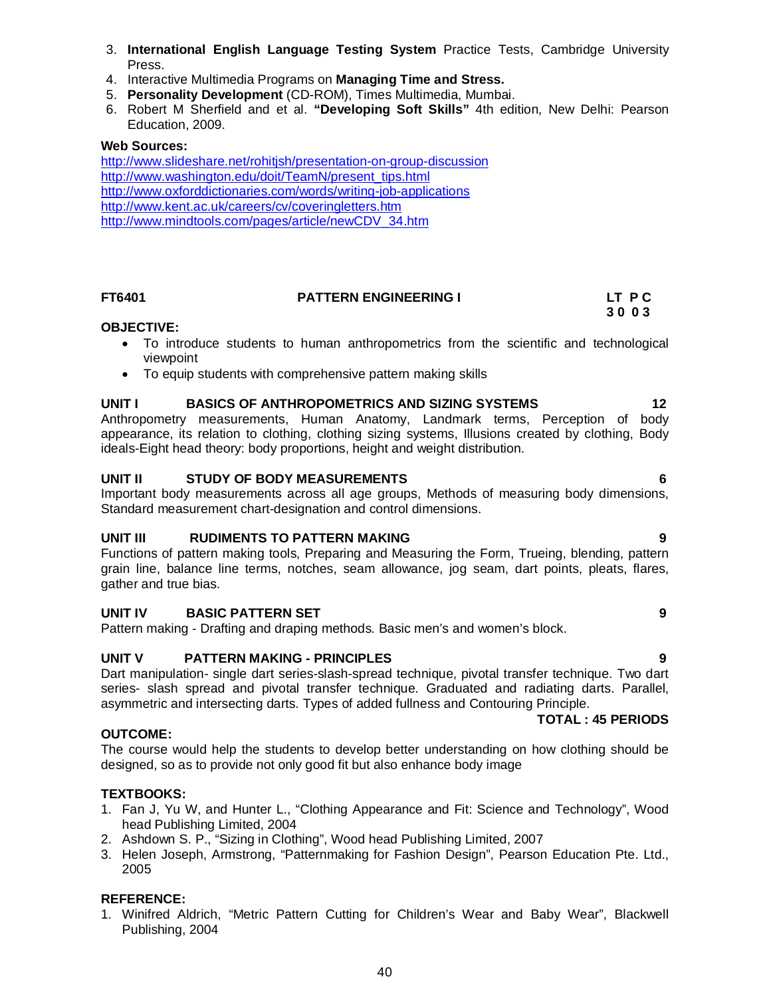- 3. **International English Language Testing System** Practice Tests, Cambridge University Press.
- 4. Interactive Multimedia Programs on **Managing Time and Stress.**
- 5. **Personality Development** (CD-ROM), Times Multimedia, Mumbai.
- 6. Robert M Sherfield and et al. **"Developing Soft Skills"** 4th edition, New Delhi: Pearson Education, 2009.

#### **Web Sources:**

http://www.slideshare.net/rohitjsh/presentation-on-group-discussion http://www.washington.edu/doit/TeamN/present\_tips.html http://www.oxforddictionaries.com/words/writing-job-applications http://www.kent.ac.uk/careers/cv/coveringletters.htm http://www.mindtools.com/pages/article/newCDV\_34.htm

#### **FT6401 PATTERN ENGINEERING I LT P C**

## **3 0 0 3**

#### **OBJECTIVE:**

- To introduce students to human anthropometrics from the scientific and technological viewpoint
- To equip students with comprehensive pattern making skills

#### UNIT I BASICS OF ANTHROPOMETRICS AND SIZING SYSTEMS 12

Anthropometry measurements, Human Anatomy, Landmark terms, Perception of body appearance, its relation to clothing, clothing sizing systems, Illusions created by clothing, Body ideals-Eight head theory: body proportions, height and weight distribution.

#### **UNIT II STUDY OF BODY MEASUREMENTS 6**

Important body measurements across all age groups, Methods of measuring body dimensions, Standard measurement chart-designation and control dimensions.

#### **UNIT III RUDIMENTS TO PATTERN MAKING 9**

Functions of pattern making tools, Preparing and Measuring the Form, Trueing, blending, pattern grain line, balance line terms, notches, seam allowance, jog seam, dart points, pleats, flares, gather and true bias.

#### **UNIT IV BASIC PATTERN SET 9**

Pattern making - Drafting and draping methods. Basic men's and women's block.

#### **UNIT V PATTERN MAKING - PRINCIPLES**

Dart manipulation- single dart series-slash-spread technique, pivotal transfer technique. Two dart series- slash spread and pivotal transfer technique. Graduated and radiating darts. Parallel, asymmetric and intersecting darts. Types of added fullness and Contouring Principle.

#### **TOTAL : 45 PERIODS**

#### **OUTCOME:**

The course would help the students to develop better understanding on how clothing should be designed, so as to provide not only good fit but also enhance body image

#### **TEXTBOOKS:**

- 1. Fan J, Yu W, and Hunter L., "Clothing Appearance and Fit: Science and Technology", Wood head Publishing Limited, 2004
- 2. Ashdown S. P., "Sizing in Clothing", Wood head Publishing Limited, 2007
- 3. Helen Joseph, Armstrong, "Patternmaking for Fashion Design", Pearson Education Pte. Ltd., 2005

#### **REFERENCE:**

1. Winifred Aldrich, "Metric Pattern Cutting for Children's Wear and Baby Wear", Blackwell Publishing, 2004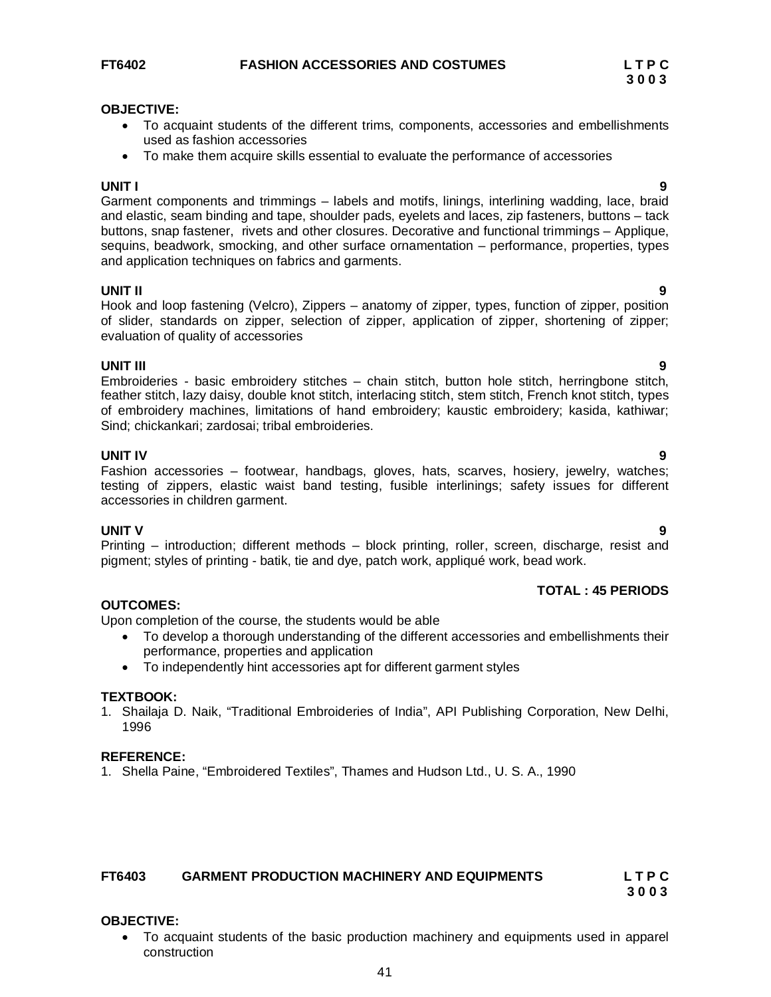#### **OBJECTIVE:**

- To acquaint students of the different trims, components, accessories and embellishments used as fashion accessories
- To make them acquire skills essential to evaluate the performance of accessories

**UNIT I 9** Garment components and trimmings – labels and motifs, linings, interlining wadding, lace, braid and elastic, seam binding and tape, shoulder pads, eyelets and laces, zip fasteners, buttons – tack buttons, snap fastener, rivets and other closures. Decorative and functional trimmings – Applique, sequins, beadwork, smocking, and other surface ornamentation – performance, properties, types and application techniques on fabrics and garments.

#### **UNIT II 9**

Hook and loop fastening (Velcro), Zippers – anatomy of zipper, types, function of zipper, position of slider, standards on zipper, selection of zipper, application of zipper, shortening of zipper; evaluation of quality of accessories

**UNIT III 9** Embroideries - basic embroidery stitches – chain stitch, button hole stitch, herringbone stitch, feather stitch, lazy daisy, double knot stitch, interlacing stitch, stem stitch, French knot stitch, types of embroidery machines, limitations of hand embroidery; kaustic embroidery; kasida, kathiwar; Sind; chickankari; zardosai; tribal embroideries.

**UNIT IV 9** Fashion accessories – footwear, handbags, gloves, hats, scarves, hosiery, jewelry, watches; testing of zippers, elastic waist band testing, fusible interlinings; safety issues for different accessories in children garment.

**UNIT V 9** Printing – introduction; different methods – block printing, roller, screen, discharge, resist and pigment; styles of printing - batik, tie and dye, patch work, appliqué work, bead work.

### **TOTAL : 45 PERIODS**

#### **OUTCOMES:**

Upon completion of the course, the students would be able

- To develop a thorough understanding of the different accessories and embellishments their performance, properties and application
- To independently hint accessories apt for different garment styles

#### **TEXTBOOK:**

1. Shailaja D. Naik, "Traditional Embroideries of India", API Publishing Corporation, New Delhi, 1996

#### **REFERENCE:**

1. Shella Paine, "Embroidered Textiles", Thames and Hudson Ltd., U. S. A., 1990

#### **FT6403 GARMENT PRODUCTION MACHINERY AND EQUIPMENTS L T P C**

**3 0 0 3**

#### **OBJECTIVE:**

 To acquaint students of the basic production machinery and equipments used in apparel construction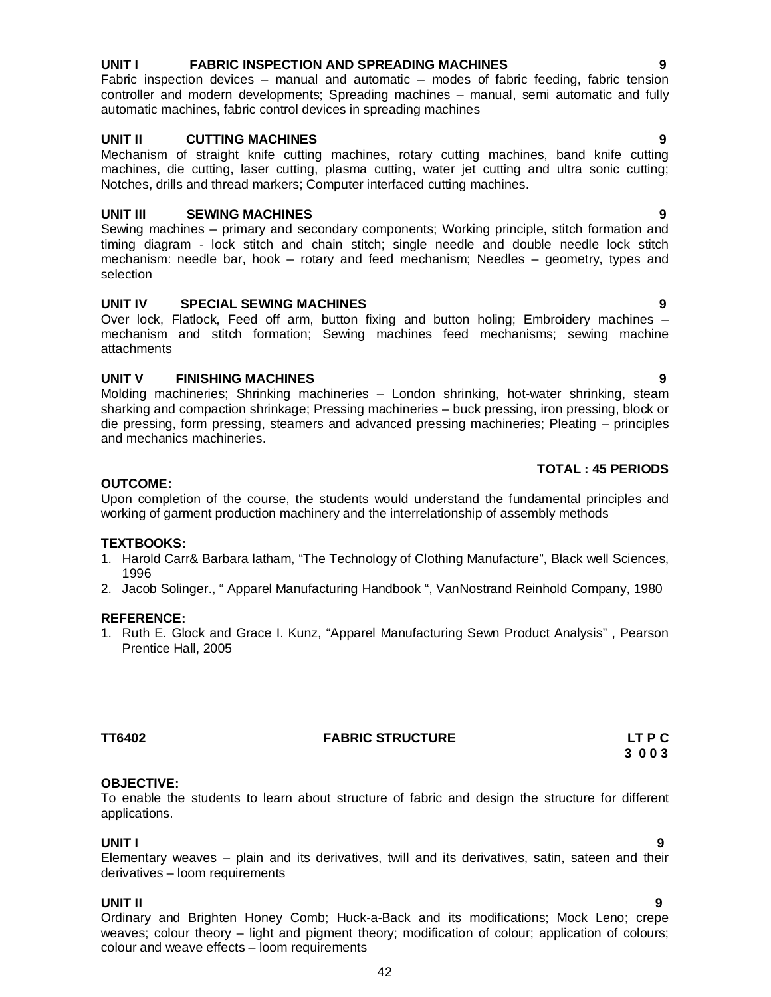#### **UNIT I FABRIC INSPECTION AND SPREADING MACHINES 9**

Fabric inspection devices – manual and automatic – modes of fabric feeding, fabric tension controller and modern developments; Spreading machines – manual, semi automatic and fully automatic machines, fabric control devices in spreading machines

#### **UNIT II CUTTING MACHINES 9**

Mechanism of straight knife cutting machines, rotary cutting machines, band knife cutting machines, die cutting, laser cutting, plasma cutting, water jet cutting and ultra sonic cutting; Notches, drills and thread markers; Computer interfaced cutting machines.

#### **UNIT III SEWING MACHINES 9**

Sewing machines – primary and secondary components; Working principle, stitch formation and timing diagram - lock stitch and chain stitch; single needle and double needle lock stitch mechanism: needle bar, hook – rotary and feed mechanism; Needles – geometry, types and selection

#### **UNIT IV SPECIAL SEWING MACHINES 9**

Over lock, Flatlock, Feed off arm, button fixing and button holing; Embroidery machines – mechanism and stitch formation; Sewing machines feed mechanisms; sewing machine attachments

#### **UNIT V FINISHING MACHINES 9**

Molding machineries; Shrinking machineries – London shrinking, hot-water shrinking, steam sharking and compaction shrinkage; Pressing machineries – buck pressing, iron pressing, block or die pressing, form pressing, steamers and advanced pressing machineries; Pleating – principles and mechanics machineries.

#### **TOTAL : 45 PERIODS**

#### **OUTCOME:**

Upon completion of the course, the students would understand the fundamental principles and working of garment production machinery and the interrelationship of assembly methods

#### **TEXTBOOKS:**

- 1. Harold Carr& Barbara latham, "The Technology of Clothing Manufacture", Black well Sciences, 1996
- 2. Jacob Solinger., " Apparel Manufacturing Handbook ", VanNostrand Reinhold Company, 1980

#### **REFERENCE:**

1. Ruth E. Glock and Grace I. Kunz, "Apparel Manufacturing Sewn Product Analysis" , Pearson Prentice Hall, 2005

**TT6402 FABRIC STRUCTURE LT P C**

#### **OBJECTIVE:**

To enable the students to learn about structure of fabric and design the structure for different applications.

#### **UNIT I 9**

Elementary weaves – plain and its derivatives, twill and its derivatives, satin, sateen and their derivatives – loom requirements

#### **UNIT II 9**

Ordinary and Brighten Honey Comb; Huck-a-Back and its modifications; Mock Leno; crepe weaves; colour theory – light and pigment theory; modification of colour; application of colours; colour and weave effects – loom requirements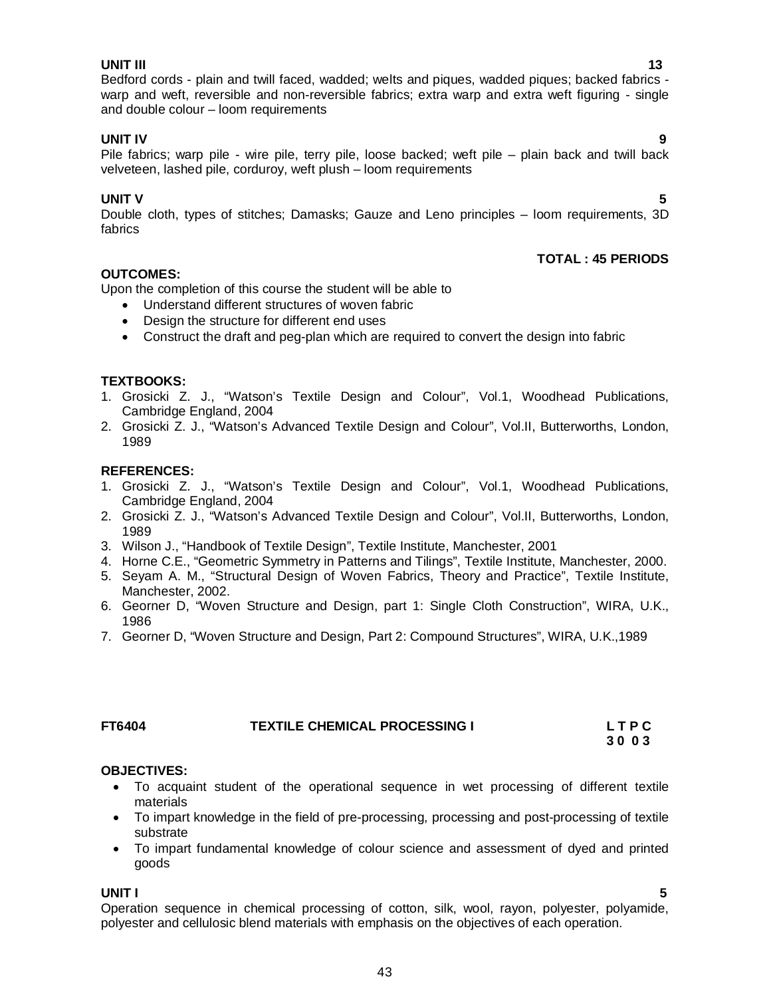**UNIT IV 9** Pile fabrics; warp pile - wire pile, terry pile, loose backed; weft pile – plain back and twill back velveteen, lashed pile, corduroy, weft plush – loom requirements

### **UNIT V** 5

Double cloth, types of stitches; Damasks; Gauze and Leno principles – loom requirements, 3D fabrics

### **TOTAL : 45 PERIODS**

#### **OUTCOMES:**

Upon the completion of this course the student will be able to

- Understand different structures of woven fabric
- Design the structure for different end uses
- Construct the draft and peg-plan which are required to convert the design into fabric

### **TEXTBOOKS:**

- 1. Grosicki Z. J., "Watson's Textile Design and Colour", Vol.1, Woodhead Publications, Cambridge England, 2004
- 2. Grosicki Z. J., "Watson's Advanced Textile Design and Colour", Vol.II, Butterworths, London, 1989

### **REFERENCES:**

- 1. Grosicki Z. J., "Watson's Textile Design and Colour", Vol.1, Woodhead Publications, Cambridge England, 2004
- 2. Grosicki Z. J., "Watson's Advanced Textile Design and Colour", Vol.II, Butterworths, London, 1989
- 3. Wilson J., "Handbook of Textile Design", Textile Institute, Manchester, 2001
- 4. Horne C.E., "Geometric Symmetry in Patterns and Tilings", Textile Institute, Manchester, 2000.
- 5. Seyam A. M., "Structural Design of Woven Fabrics, Theory and Practice", Textile Institute, Manchester, 2002.
- 6. Georner D, "Woven Structure and Design, part 1: Single Cloth Construction", WIRA, U.K., 1986
- 7. Georner D, "Woven Structure and Design, Part 2: Compound Structures", WIRA, U.K.,1989

#### **FT6404 TEXTILE CHEMICAL PROCESSING I L T P C 3 0 0 3**

#### **OBJECTIVES:**

- To acquaint student of the operational sequence in wet processing of different textile materials
- To impart knowledge in the field of pre-processing, processing and post-processing of textile substrate
- To impart fundamental knowledge of colour science and assessment of dyed and printed goods

**UNIT I 5** Operation sequence in chemical processing of cotton, silk, wool, rayon, polyester, polyamide, polyester and cellulosic blend materials with emphasis on the objectives of each operation.

43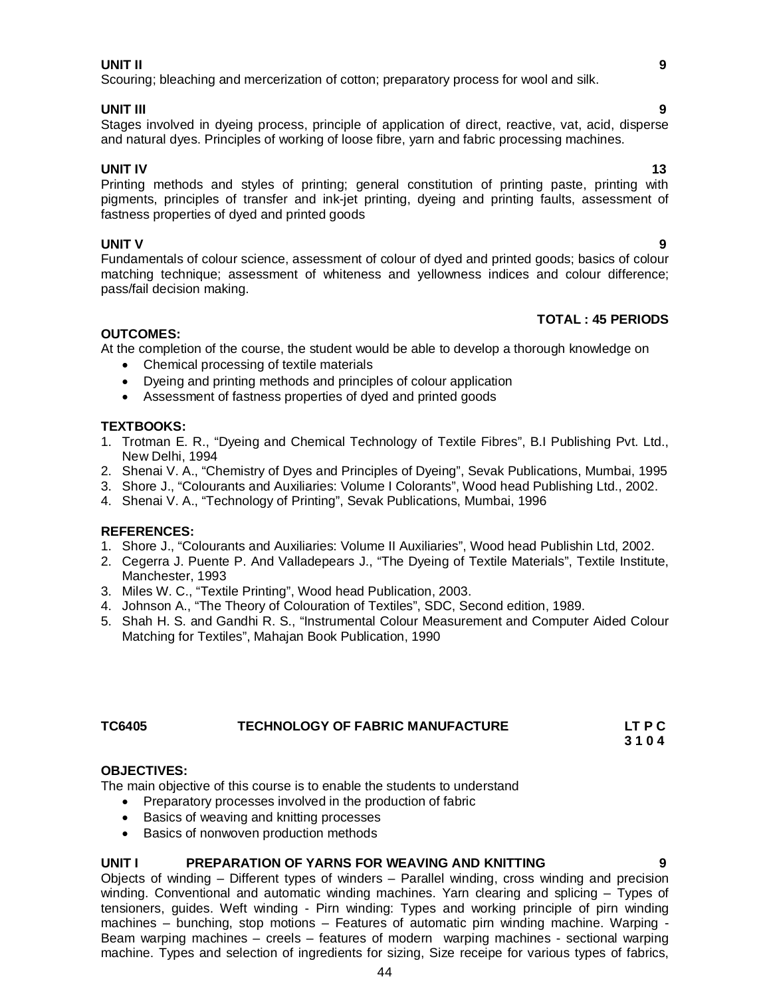#### **UNIT II 9**

Scouring; bleaching and mercerization of cotton; preparatory process for wool and silk.

#### **UNIT III 9**

Stages involved in dyeing process, principle of application of direct, reactive, vat, acid, disperse and natural dyes. Principles of working of loose fibre, yarn and fabric processing machines.

**UNIT IV** 13 Printing methods and styles of printing; general constitution of printing paste, printing with pigments, principles of transfer and ink-jet printing, dyeing and printing faults, assessment of fastness properties of dyed and printed goods

**UNIT V 9** Fundamentals of colour science, assessment of colour of dyed and printed goods; basics of colour matching technique; assessment of whiteness and yellowness indices and colour difference; pass/fail decision making.

### **TOTAL : 45 PERIODS**

### **OUTCOMES:**

At the completion of the course, the student would be able to develop a thorough knowledge on

- Chemical processing of textile materials
- Dyeing and printing methods and principles of colour application
- Assessment of fastness properties of dyed and printed goods

#### **TEXTBOOKS:**

- 1. Trotman E. R., "Dyeing and Chemical Technology of Textile Fibres", B.I Publishing Pvt. Ltd., New Delhi, 1994
- 2. Shenai V. A., "Chemistry of Dyes and Principles of Dyeing", Sevak Publications, Mumbai, 1995
- 3. Shore J., "Colourants and Auxiliaries: Volume I Colorants", Wood head Publishing Ltd., 2002.
- 4. Shenai V. A., "Technology of Printing", Sevak Publications, Mumbai, 1996

#### **REFERENCES:**

- 1. Shore J., "Colourants and Auxiliaries: Volume II Auxiliaries", Wood head Publishin Ltd, 2002.
- 2. Cegerra J. Puente P. And Valladepears J., "The Dyeing of Textile Materials", Textile Institute, Manchester, 1993
- 3. Miles W. C., "Textile Printing", Wood head Publication, 2003.
- 4. Johnson A., "The Theory of Colouration of Textiles", SDC, Second edition, 1989.
- 5. Shah H. S. and Gandhi R. S., "Instrumental Colour Measurement and Computer Aided Colour Matching for Textiles", Mahajan Book Publication, 1990

#### **TC6405 TECHNOLOGY OF FABRIC MANUFACTURE LT P C 3 1 0 4**

#### **OBJECTIVES:**

The main objective of this course is to enable the students to understand

- Preparatory processes involved in the production of fabric
- Basics of weaving and knitting processes
- Basics of nonwoven production methods

#### **UNIT I PREPARATION OF YARNS FOR WEAVING AND KNITTING**

Objects of winding – Different types of winders – Parallel winding, cross winding and precision winding. Conventional and automatic winding machines. Yarn clearing and splicing – Types of tensioners, guides. Weft winding - Pirn winding: Types and working principle of pirn winding machines – bunching, stop motions – Features of automatic pirn winding machine. Warping - Beam warping machines – creels – features of modern warping machines - sectional warping machine. Types and selection of ingredients for sizing, Size receipe for various types of fabrics,

44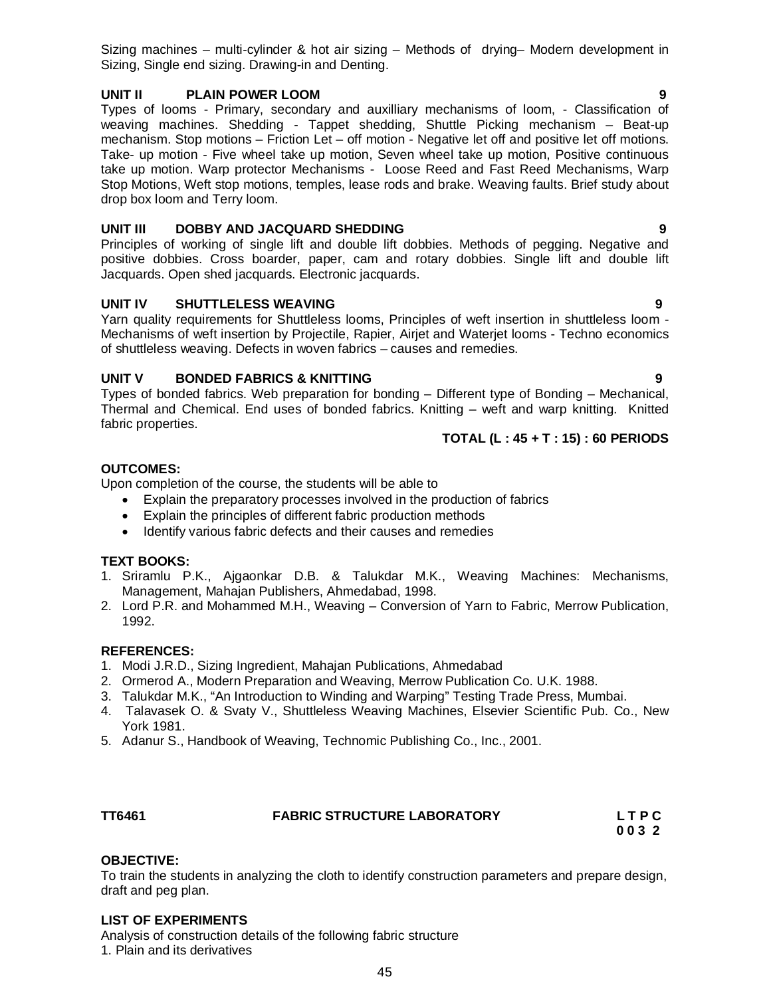Sizing machines – multi-cylinder & hot air sizing – Methods of drying– Modern development in Sizing, Single end sizing. Drawing-in and Denting.

#### **UNIT II PLAIN POWER LOOM 9**

Types of looms - Primary, secondary and auxilliary mechanisms of loom, - Classification of weaving machines. Shedding - Tappet shedding, Shuttle Picking mechanism – Beat-up mechanism. Stop motions – Friction Let – off motion - Negative let off and positive let off motions. Take- up motion - Five wheel take up motion, Seven wheel take up motion, Positive continuous take up motion. Warp protector Mechanisms - Loose Reed and Fast Reed Mechanisms, Warp Stop Motions, Weft stop motions, temples, lease rods and brake. Weaving faults. Brief study about drop box loom and Terry loom.

### **UNIT III DOBBY AND JACQUARD SHEDDING 9**

Principles of working of single lift and double lift dobbies. Methods of pegging. Negative and positive dobbies. Cross boarder, paper, cam and rotary dobbies. Single lift and double lift Jacquards. Open shed jacquards. Electronic jacquards.

### **UNIT IV SHUTTLELESS WEAVING 9**

Yarn quality requirements for Shuttleless looms, Principles of weft insertion in shuttleless loom - Mechanisms of weft insertion by Projectile, Rapier, Airjet and Waterjet looms - Techno economics of shuttleless weaving. Defects in woven fabrics – causes and remedies.

### **UNIT V BONDED FABRICS & KNITTING 9**

Types of bonded fabrics. Web preparation for bonding – Different type of Bonding – Mechanical, Thermal and Chemical. End uses of bonded fabrics. Knitting – weft and warp knitting. Knitted fabric properties.

**TOTAL (L : 45 + T : 15) : 60 PERIODS**

### **OUTCOMES:**

Upon completion of the course, the students will be able to

- Explain the preparatory processes involved in the production of fabrics
- Explain the principles of different fabric production methods
- Identify various fabric defects and their causes and remedies

#### **TEXT BOOKS:**

- 1. Sriramlu P.K., Ajgaonkar D.B. & Talukdar M.K., Weaving Machines: Mechanisms, Management, Mahajan Publishers, Ahmedabad, 1998.
- 2. Lord P.R. and Mohammed M.H., Weaving Conversion of Yarn to Fabric, Merrow Publication, 1992.

#### **REFERENCES:**

- 1. Modi J.R.D., Sizing Ingredient, Mahajan Publications, Ahmedabad
- 2. Ormerod A., Modern Preparation and Weaving, Merrow Publication Co. U.K. 1988.
- 3. Talukdar M.K., "An Introduction to Winding and Warping" Testing Trade Press, Mumbai.
- 4. Talavasek O. & Svaty V., Shuttleless Weaving Machines, Elsevier Scientific Pub. Co., New York 1981.
- 5. Adanur S., Handbook of Weaving, Technomic Publishing Co., Inc., 2001.

#### **TT6461 FABRIC STRUCTURE LABORATORY L T P C**

 **0 0 3 2**

#### **OBJECTIVE:**

To train the students in analyzing the cloth to identify construction parameters and prepare design, draft and peg plan.

#### **LIST OF EXPERIMENTS**

Analysis of construction details of the following fabric structure 1. Plain and its derivatives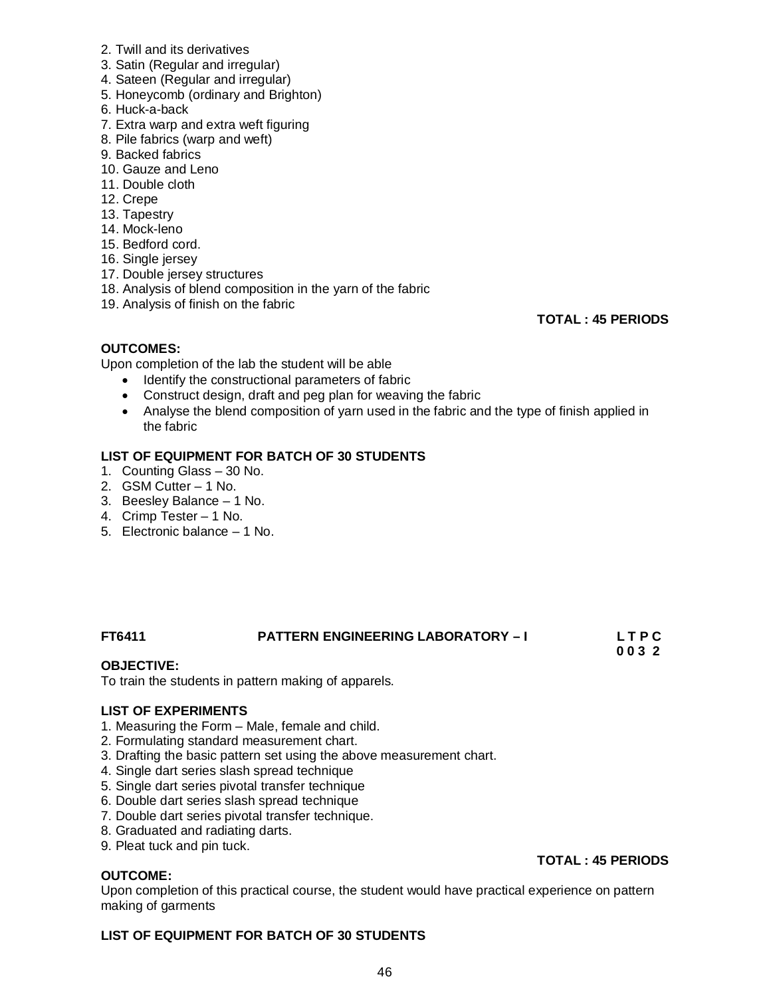- 2. Twill and its derivatives
- 3. Satin (Regular and irregular)
- 4. Sateen (Regular and irregular)
- 5. Honeycomb (ordinary and Brighton)
- 6. Huck-a-back
- 7. Extra warp and extra weft figuring
- 8. Pile fabrics (warp and weft)
- 9. Backed fabrics
- 10. Gauze and Leno
- 11. Double cloth
- 12. Crepe
- 13. Tapestry
- 14. Mock-leno
- 15. Bedford cord.
- 16. Single jersey
- 17. Double jersey structures
- 18. Analysis of blend composition in the yarn of the fabric
- 19. Analysis of finish on the fabric

**TOTAL : 45 PERIODS**

#### **OUTCOMES:**

Upon completion of the lab the student will be able

- Identify the constructional parameters of fabric
- Construct design, draft and peg plan for weaving the fabric
- Analyse the blend composition of yarn used in the fabric and the type of finish applied in the fabric

#### **LIST OF EQUIPMENT FOR BATCH OF 30 STUDENTS**

- 1. Counting Glass 30 No.
- 2. GSM Cutter 1 No.
- 3. Beesley Balance 1 No.
- 4. Crimp Tester 1 No.
- 5. Electronic balance 1 No.

#### **FT6411 PATTERN ENGINEERING LABORATORY – I L T P C 0 0 3 2**

#### **OBJECTIVE:**

To train the students in pattern making of apparels.

#### **LIST OF EXPERIMENTS**

- 1. Measuring the Form Male, female and child.
- 2. Formulating standard measurement chart.
- 3. Drafting the basic pattern set using the above measurement chart.
- 4. Single dart series slash spread technique
- 5. Single dart series pivotal transfer technique
- 6. Double dart series slash spread technique
- 7. Double dart series pivotal transfer technique.
- 8. Graduated and radiating darts.
- 9. Pleat tuck and pin tuck.

#### **OUTCOME:**

Upon completion of this practical course, the student would have practical experience on pattern making of garments

#### **LIST OF EQUIPMENT FOR BATCH OF 30 STUDENTS**

### **TOTAL : 45 PERIODS**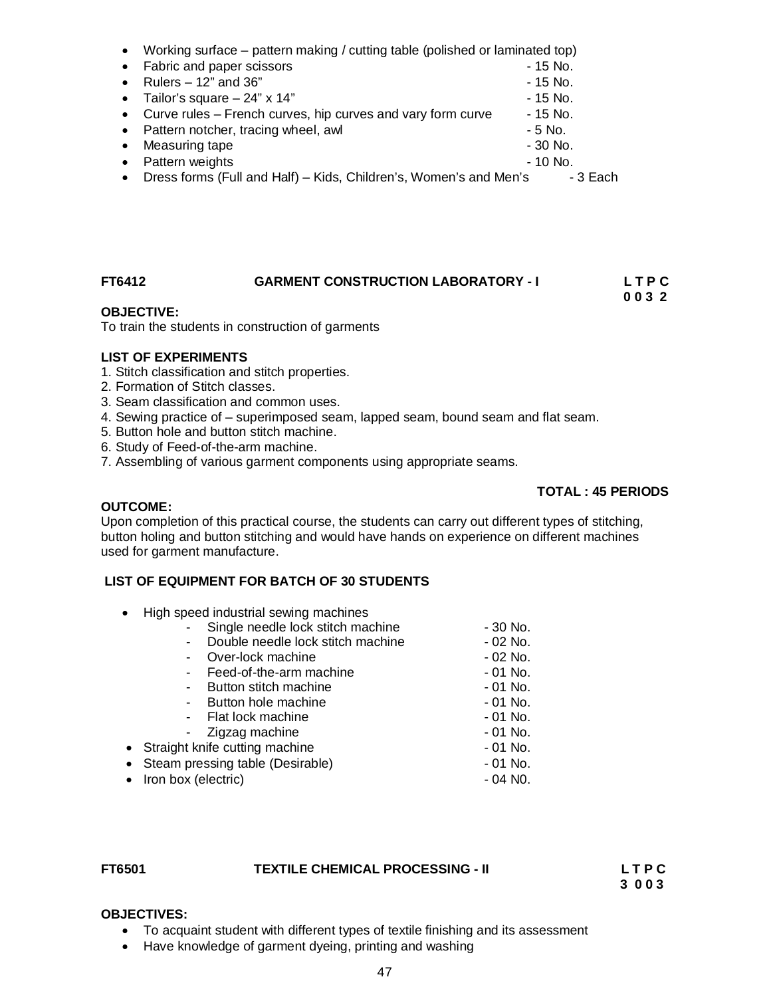|           | • Working surface – pattern making / cutting table (polished or laminated top) |           |  |
|-----------|--------------------------------------------------------------------------------|-----------|--|
|           | • Fabric and paper scissors                                                    | - 15 No.  |  |
|           | Rulers $-12$ " and 36"                                                         | - 15 No.  |  |
|           | • Tailor's square $-24$ " x 14"                                                | - 15 No.  |  |
|           | • Curve rules – French curves, hip curves and vary form curve                  | - 15 No.  |  |
|           | • Pattern notcher, tracing wheel, awl                                          | - 5 No.   |  |
|           | Measuring tape                                                                 | $-30$ No. |  |
| $\bullet$ | Pattern weights                                                                | $-10$ No. |  |
|           | Dress forms (Full and Half) – Kids, Children's, Women's and Men's              | - 3 Each  |  |
|           |                                                                                |           |  |

## **FT6412 GARMENT CONSTRUCTION LABORATORY - I L T P C**

### **OBJECTIVE:**

To train the students in construction of garments

#### **LIST OF EXPERIMENTS**

- 1. Stitch classification and stitch properties.
- 2. Formation of Stitch classes.
- 3. Seam classification and common uses.
- 4. Sewing practice of superimposed seam, lapped seam, bound seam and flat seam.
- 5. Button hole and button stitch machine.
- 6. Study of Feed-of-the-arm machine.
- 7. Assembling of various garment components using appropriate seams.

#### **TOTAL : 45 PERIODS**

 **0 0 3 2**

#### **OUTCOME:**

Upon completion of this practical course, the students can carry out different types of stitching, button holing and button stitching and would have hands on experience on different machines used for garment manufacture.

#### **LIST OF EQUIPMENT FOR BATCH OF 30 STUDENTS**

• High speed industrial sewing machines

|                       | Single needle lock stitch machine  | $-30$ No. |
|-----------------------|------------------------------------|-----------|
| $\blacksquare$        | Double needle lock stitch machine  | - 02 No.  |
| $\blacksquare$        | Over-lock machine                  | - 02 No.  |
|                       | Feed-of-the-arm machine            | $-01$ No. |
| $\sim$ 10 $\pm$       | Button stitch machine              | - 01 No.  |
| $\blacksquare$        | Button hole machine                | $-01$ No. |
|                       | - Flat lock machine                | - 01 No.  |
|                       | - Zigzag machine                   | - 01 No.  |
|                       | • Straight knife cutting machine   | - 01 No.  |
|                       | • Steam pressing table (Desirable) | $-01$ No. |
| • Iron box (electric) |                                    | - 04 NO.  |
|                       |                                    |           |

#### **FT6501 TEXTILE CHEMICAL PROCESSING - II L T P C**

 **3 0 0 3**

#### **OBJECTIVES:**

- To acquaint student with different types of textile finishing and its assessment
- Have knowledge of garment dyeing, printing and washing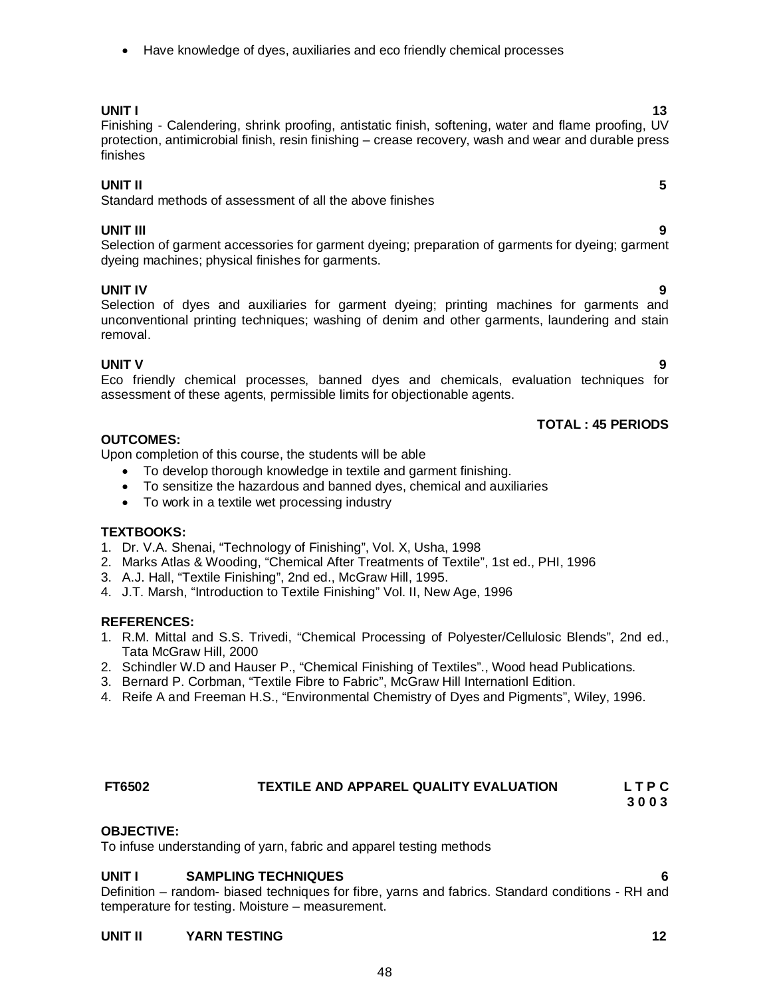Have knowledge of dyes, auxiliaries and eco friendly chemical processes

### **UNIT I** 13

Finishing - Calendering, shrink proofing, antistatic finish, softening, water and flame proofing, UV protection, antimicrobial finish, resin finishing – crease recovery, wash and wear and durable press finishes

### **UNIT II 5**

Standard methods of assessment of all the above finishes

### **UNIT III 9**

Selection of garment accessories for garment dyeing; preparation of garments for dyeing; garment dyeing machines; physical finishes for garments.

### **UNIT IV 9**

Selection of dyes and auxiliaries for garment dyeing; printing machines for garments and unconventional printing techniques; washing of denim and other garments, laundering and stain removal.

**UNIT V 9** Eco friendly chemical processes, banned dyes and chemicals, evaluation techniques for assessment of these agents, permissible limits for objectionable agents.

### **TOTAL : 45 PERIODS**

### **OUTCOMES:**

Upon completion of this course, the students will be able

- To develop thorough knowledge in textile and garment finishing.
- To sensitize the hazardous and banned dyes, chemical and auxiliaries
- To work in a textile wet processing industry

### **TEXTBOOKS:**

- 1. Dr. V.A. Shenai, "Technology of Finishing", Vol. X, Usha, 1998
- 2. Marks Atlas & Wooding, "Chemical After Treatments of Textile", 1st ed., PHI, 1996
- 3. A.J. Hall, "Textile Finishing", 2nd ed., McGraw Hill, 1995.
- 4. J.T. Marsh, "Introduction to Textile Finishing" Vol. II, New Age, 1996

#### **REFERENCES:**

- 1. R.M. Mittal and S.S. Trivedi, "Chemical Processing of Polyester/Cellulosic Blends", 2nd ed., Tata McGraw Hill, 2000
- 2. Schindler W.D and Hauser P., "Chemical Finishing of Textiles"., Wood head Publications.
- 3. Bernard P. Corbman, "Textile Fibre to Fabric", McGraw Hill Internationl Edition.
- 4. Reife A and Freeman H.S., "Environmental Chemistry of Dyes and Pigments", Wiley, 1996.

## **FT6502 TEXTILE AND APPAREL QUALITY EVALUATION L T P C**

#### **OBJECTIVE:**

To infuse understanding of yarn, fabric and apparel testing methods

### **UNIT I SAMPLING TECHNIQUES 6**

Definition – random- biased techniques for fibre, yarns and fabrics. Standard conditions - RH and temperature for testing. Moisture – measurement.

#### **UNIT II** YARN TESTING 12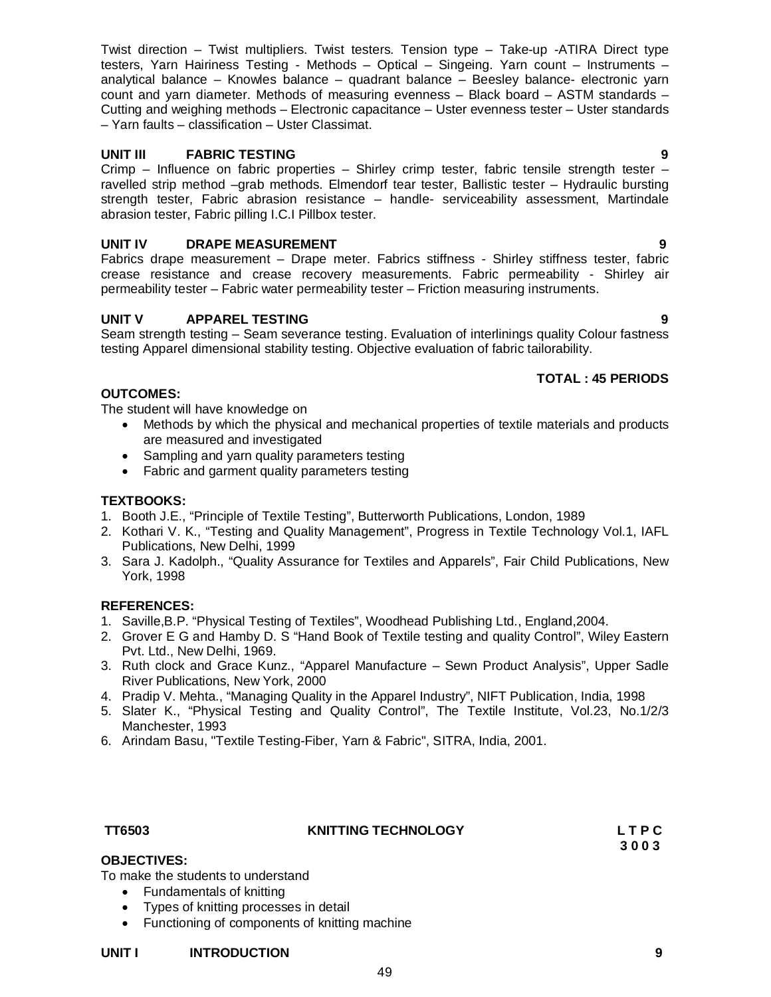Twist direction – Twist multipliers. Twist testers. Tension type – Take-up -ATIRA Direct type testers, Yarn Hairiness Testing - Methods – Optical – Singeing. Yarn count – Instruments – analytical balance – Knowles balance – quadrant balance – Beesley balance- electronic yarn count and yarn diameter. Methods of measuring evenness – Black board – ASTM standards – Cutting and weighing methods – Electronic capacitance – Uster evenness tester – Uster standards – Yarn faults – classification – Uster Classimat.

### **UNIT III FABRIC TESTING 9**

Crimp – Influence on fabric properties – Shirley crimp tester, fabric tensile strength tester – ravelled strip method –grab methods. Elmendorf tear tester, Ballistic tester – Hydraulic bursting strength tester, Fabric abrasion resistance – handle- serviceability assessment, Martindale abrasion tester, Fabric pilling I.C.I Pillbox tester.

### **UNIT IV DRAPE MEASUREMENT 9**

Fabrics drape measurement – Drape meter. Fabrics stiffness - Shirley stiffness tester, fabric crease resistance and crease recovery measurements. Fabric permeability - Shirley air permeability tester – Fabric water permeability tester – Friction measuring instruments.

### **UNIT V APPAREL TESTING 9**

Seam strength testing – Seam severance testing. Evaluation of interlinings quality Colour fastness testing Apparel dimensional stability testing. Objective evaluation of fabric tailorability.

### **TOTAL : 45 PERIODS**

### **OUTCOMES:**

The student will have knowledge on

- Methods by which the physical and mechanical properties of textile materials and products are measured and investigated
- Sampling and yarn quality parameters testing
- Fabric and garment quality parameters testing

### **TEXTBOOKS:**

- 1. Booth J.E., "Principle of Textile Testing", Butterworth Publications, London, 1989
- 2. Kothari V. K., "Testing and Quality Management", Progress in Textile Technology Vol.1, IAFL Publications, New Delhi, 1999
- 3. Sara J. Kadolph., "Quality Assurance for Textiles and Apparels", Fair Child Publications, New York, 1998

#### **REFERENCES:**

- 1. Saville,B.P. "Physical Testing of Textiles", Woodhead Publishing Ltd., England,2004.
- 2. Grover E G and Hamby D. S "Hand Book of Textile testing and quality Control", Wiley Eastern Pvt. Ltd., New Delhi, 1969.
- 3. Ruth clock and Grace Kunz., "Apparel Manufacture Sewn Product Analysis", Upper Sadle River Publications, New York, 2000
- 4. Pradip V. Mehta., "Managing Quality in the Apparel Industry", NIFT Publication, India, 1998
- 5. Slater K., "Physical Testing and Quality Control", The Textile Institute, Vol.23, No.1/2/3 Manchester, 1993
- 6. Arindam Basu, "Textile Testing-Fiber, Yarn & Fabric", SITRA, India, 2001.

#### **TT6503 KNITTING TECHNOLOGY L T P C**

49

 **3 0 0 3**

#### **OBJECTIVES:**

To make the students to understand

- Fundamentals of knitting
- Types of knitting processes in detail
- Functioning of components of knitting machine

#### **UNIT I INTRODUCTION 9**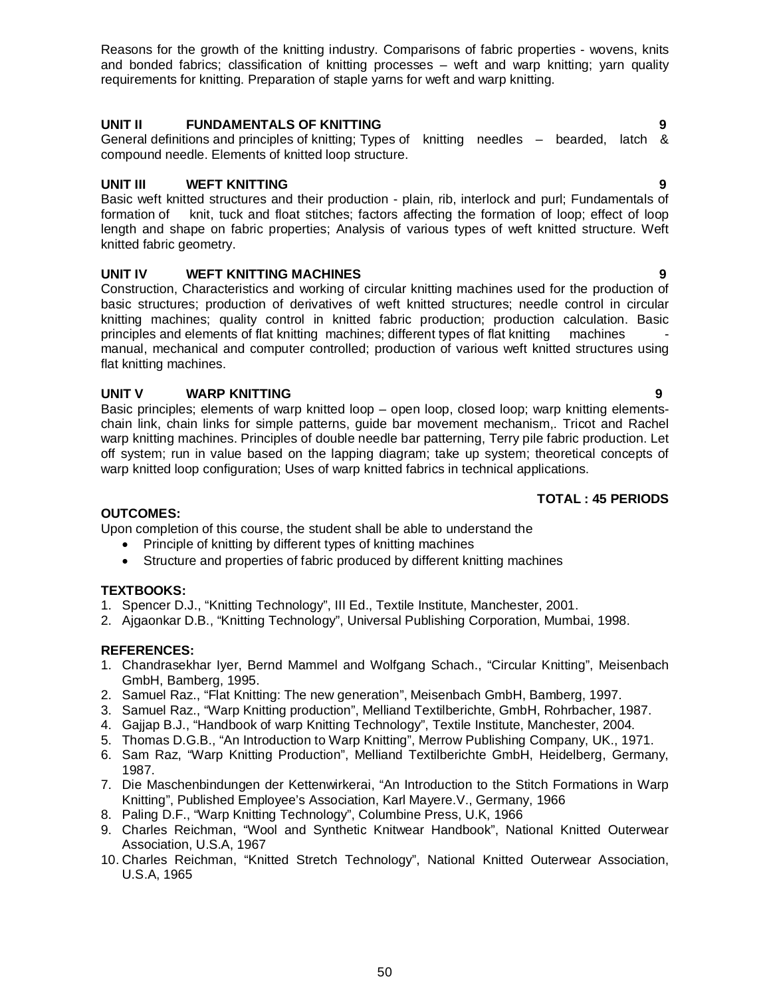Reasons for the growth of the knitting industry. Comparisons of fabric properties - wovens, knits and bonded fabrics; classification of knitting processes – weft and warp knitting; yarn quality requirements for knitting. Preparation of staple yarns for weft and warp knitting.

### **UNIT II FUNDAMENTALS OF KNITTING 9**

General definitions and principles of knitting; Types of knitting needles – bearded, latch & compound needle. Elements of knitted loop structure.

### **UNIT III WEFT KNITTING 9**

Basic weft knitted structures and their production - plain, rib, interlock and purl; Fundamentals of formation of knit, tuck and float stitches; factors affecting the formation of loop; effect of loop length and shape on fabric properties; Analysis of various types of weft knitted structure. Weft knitted fabric geometry.

### **UNIT IV WEFT KNITTING MACHINES 9**

Construction, Characteristics and working of circular knitting machines used for the production of basic structures; production of derivatives of weft knitted structures; needle control in circular knitting machines; quality control in knitted fabric production; production calculation. Basic principles and elements of flat knitting machines  $\overline{\phantom{a}}$ principles and elements of flat knitting machines; different types of flat knitting manual, mechanical and computer controlled; production of various weft knitted structures using flat knitting machines.

### **UNIT V WARP KNITTING 9**

Basic principles; elements of warp knitted loop – open loop, closed loop; warp knitting elementschain link, chain links for simple patterns, guide bar movement mechanism,. Tricot and Rachel warp knitting machines. Principles of double needle bar patterning, Terry pile fabric production. Let off system; run in value based on the lapping diagram; take up system; theoretical concepts of warp knitted loop configuration; Uses of warp knitted fabrics in technical applications.

#### **TOTAL : 45 PERIODS**

#### **OUTCOMES:**

Upon completion of this course, the student shall be able to understand the

- Principle of knitting by different types of knitting machines
- Structure and properties of fabric produced by different knitting machines

#### **TEXTBOOKS:**

- 1. Spencer D.J., "Knitting Technology", III Ed., Textile Institute, Manchester, 2001.
- 2. Ajgaonkar D.B., "Knitting Technology", Universal Publishing Corporation, Mumbai, 1998.

#### **REFERENCES:**

- 1. Chandrasekhar Iyer, Bernd Mammel and Wolfgang Schach., "Circular Knitting", Meisenbach GmbH, Bamberg, 1995.
- 2. Samuel Raz., "Flat Knitting: The new generation", Meisenbach GmbH, Bamberg, 1997.
- 3. Samuel Raz., "Warp Knitting production", Melliand Textilberichte, GmbH, Rohrbacher, 1987.
- 4. Gajjap B.J., "Handbook of warp Knitting Technology", Textile Institute, Manchester, 2004.
- 5. Thomas D.G.B., "An Introduction to Warp Knitting", Merrow Publishing Company, UK., 1971.
- 6. Sam Raz, "Warp Knitting Production", Melliand Textilberichte GmbH, Heidelberg, Germany, 1987.
- 7. Die Maschenbindungen der Kettenwirkerai, "An Introduction to the Stitch Formations in Warp Knitting", Published Employee's Association, Karl Mayere.V., Germany, 1966
- 8. Paling D.F., "Warp Knitting Technology", Columbine Press, U.K, 1966
- 9. Charles Reichman, "Wool and Synthetic Knitwear Handbook", National Knitted Outerwear Association, U.S.A, 1967
- 10. Charles Reichman, "Knitted Stretch Technology", National Knitted Outerwear Association, U.S.A, 1965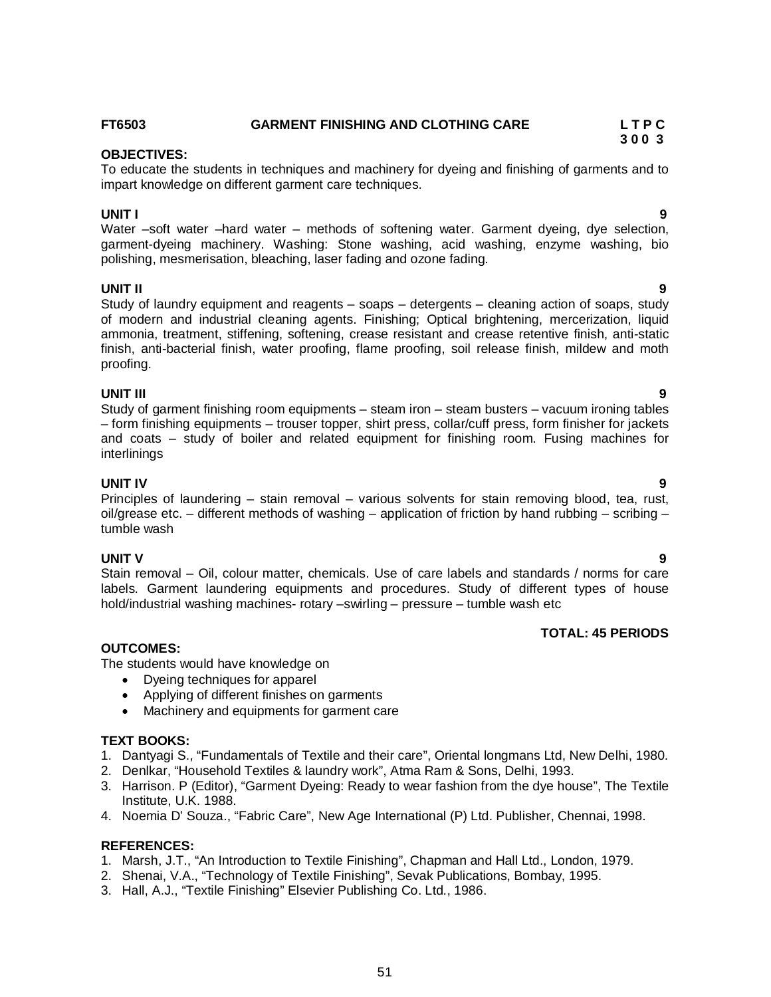#### **FT6503 GARMENT FINISHING AND CLOTHING CARE L T P C**

#### **OBJECTIVES:**

To educate the students in techniques and machinery for dyeing and finishing of garments and to impart knowledge on different garment care techniques.

#### **UNIT I 9**

Water –soft water – hard water – methods of softening water. Garment dyeing, dye selection, garment-dyeing machinery. Washing: Stone washing, acid washing, enzyme washing, bio polishing, mesmerisation, bleaching, laser fading and ozone fading.

#### **UNIT II 9**

Study of laundry equipment and reagents – soaps – detergents – cleaning action of soaps, study of modern and industrial cleaning agents. Finishing; Optical brightening, mercerization, liquid ammonia, treatment, stiffening, softening, crease resistant and crease retentive finish, anti-static finish, anti-bacterial finish, water proofing, flame proofing, soil release finish, mildew and moth proofing.

#### **UNIT III 9**

Study of garment finishing room equipments – steam iron – steam busters – vacuum ironing tables – form finishing equipments – trouser topper, shirt press, collar/cuff press, form finisher for jackets and coats – study of boiler and related equipment for finishing room. Fusing machines for interlinings

#### **UNIT IV 9**

Principles of laundering – stain removal – various solvents for stain removing blood, tea, rust, oil/grease etc. – different methods of washing – application of friction by hand rubbing – scribing – tumble wash

#### **UNIT V 9**

Stain removal – Oil, colour matter, chemicals. Use of care labels and standards / norms for care labels. Garment laundering equipments and procedures. Study of different types of house hold/industrial washing machines- rotary –swirling – pressure – tumble wash etc

#### **TOTAL: 45 PERIODS**

#### **OUTCOMES:**

The students would have knowledge on

- Dyeing techniques for apparel
- Applying of different finishes on garments
- Machinery and equipments for garment care

#### **TEXT BOOKS:**

- 1. Dantyagi S., "Fundamentals of Textile and their care", Oriental longmans Ltd, New Delhi, 1980.
- 2. Denlkar, "Household Textiles & laundry work", Atma Ram & Sons, Delhi, 1993.
- 3. Harrison. P (Editor), "Garment Dyeing: Ready to wear fashion from the dye house", The Textile Institute, U.K. 1988.
- 4. Noemia D' Souza., "Fabric Care", New Age International (P) Ltd. Publisher, Chennai, 1998.

#### **REFERENCES:**

- 1. Marsh, J.T., "An Introduction to Textile Finishing", Chapman and Hall Ltd., London, 1979.
- 2. Shenai, V.A., "Technology of Textile Finishing", Sevak Publications, Bombay, 1995.
- 3. Hall, A.J., "Textile Finishing" Elsevier Publishing Co. Ltd., 1986.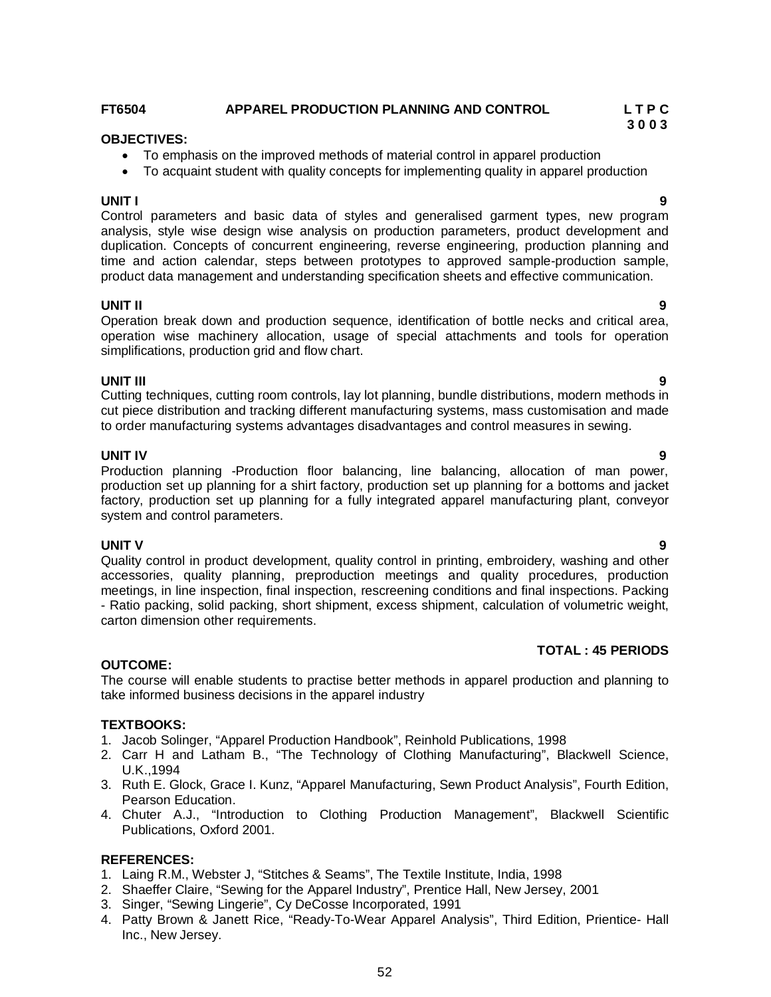### **FT6504 APPAREL PRODUCTION PLANNING AND CONTROL L T P C**

#### **OBJECTIVES:**

- To emphasis on the improved methods of material control in apparel production
- To acquaint student with quality concepts for implementing quality in apparel production

**UNIT I 9** Control parameters and basic data of styles and generalised garment types, new program analysis, style wise design wise analysis on production parameters, product development and duplication. Concepts of concurrent engineering, reverse engineering, production planning and time and action calendar, steps between prototypes to approved sample-production sample, product data management and understanding specification sheets and effective communication.

#### **UNIT II 9**

Operation break down and production sequence, identification of bottle necks and critical area, operation wise machinery allocation, usage of special attachments and tools for operation simplifications, production grid and flow chart.

**UNIT III 9** Cutting techniques, cutting room controls, lay lot planning, bundle distributions, modern methods in cut piece distribution and tracking different manufacturing systems, mass customisation and made to order manufacturing systems advantages disadvantages and control measures in sewing.

**UNIT IV 9** Production planning -Production floor balancing, line balancing, allocation of man power, production set up planning for a shirt factory, production set up planning for a bottoms and jacket factory, production set up planning for a fully integrated apparel manufacturing plant, conveyor system and control parameters.

**UNIT V 9** Quality control in product development, quality control in printing, embroidery, washing and other accessories, quality planning, preproduction meetings and quality procedures, production meetings, in line inspection, final inspection, rescreening conditions and final inspections. Packing - Ratio packing, solid packing, short shipment, excess shipment, calculation of volumetric weight, carton dimension other requirements.

### **TOTAL : 45 PERIODS**

### **OUTCOME:**

The course will enable students to practise better methods in apparel production and planning to take informed business decisions in the apparel industry

#### **TEXTBOOKS:**

- 1. Jacob Solinger, "Apparel Production Handbook", Reinhold Publications, 1998
- 2. Carr H and Latham B., "The Technology of Clothing Manufacturing", Blackwell Science, U.K.,1994
- 3. Ruth E. Glock, Grace I. Kunz, "Apparel Manufacturing, Sewn Product Analysis", Fourth Edition, Pearson Education.
- 4. Chuter A.J., "Introduction to Clothing Production Management", Blackwell Scientific Publications, Oxford 2001.

#### **REFERENCES:**

- 1. Laing R.M., Webster J, "Stitches & Seams", The Textile Institute, India, 1998
- 2. Shaeffer Claire, "Sewing for the Apparel Industry", Prentice Hall, New Jersey, 2001
- 3. Singer, "Sewing Lingerie", Cy DeCosse Incorporated, 1991
- Inc., New Jersey.
- 
-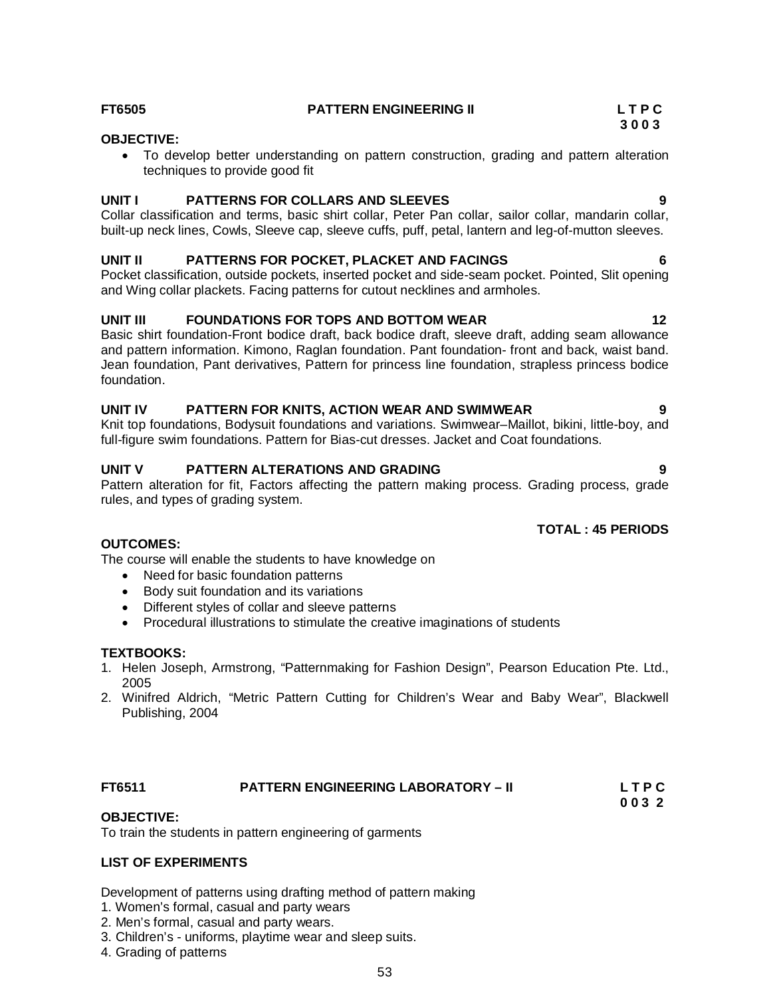#### **FT6505 PATTERN ENGINEERING II L T P C**

#### **OBJECTIVE:**

 To develop better understanding on pattern construction, grading and pattern alteration techniques to provide good fit

#### **UNIT I PATTERNS FOR COLLARS AND SLEEVES 9**

Collar classification and terms, basic shirt collar, Peter Pan collar, sailor collar, mandarin collar, built-up neck lines, Cowls, Sleeve cap, sleeve cuffs, puff, petal, lantern and leg-of-mutton sleeves.

#### **UNIT II PATTERNS FOR POCKET, PLACKET AND FACINGS 6**

Pocket classification, outside pockets, inserted pocket and side-seam pocket. Pointed, Slit opening and Wing collar plackets. Facing patterns for cutout necklines and armholes.

#### **UNIT III FOUNDATIONS FOR TOPS AND BOTTOM WEAR 12**

Basic shirt foundation-Front bodice draft, back bodice draft, sleeve draft, adding seam allowance and pattern information. Kimono, Raglan foundation. Pant foundation- front and back, waist band. Jean foundation, Pant derivatives, Pattern for princess line foundation, strapless princess bodice foundation.

#### **UNIT IV PATTERN FOR KNITS, ACTION WEAR AND SWIMWEAR 9**

Knit top foundations, Bodysuit foundations and variations. Swimwear–Maillot, bikini, little-boy, and full-figure swim foundations. Pattern for Bias-cut dresses. Jacket and Coat foundations.

#### **UNIT V PATTERN ALTERATIONS AND GRADING 9**

Pattern alteration for fit, Factors affecting the pattern making process. Grading process, grade rules, and types of grading system.

### **TOTAL : 45 PERIODS**

#### **OUTCOMES:**

The course will enable the students to have knowledge on

- Need for basic foundation patterns
- Body suit foundation and its variations
- Different styles of collar and sleeve patterns
- Procedural illustrations to stimulate the creative imaginations of students

### **TEXTBOOKS:**

- 1. Helen Joseph, Armstrong, "Patternmaking for Fashion Design", Pearson Education Pte. Ltd., 2005
- 2. Winifred Aldrich, "Metric Pattern Cutting for Children's Wear and Baby Wear", Blackwell Publishing, 2004

### **FT6511 PATTERN ENGINEERING LABORATORY – II L T P C**

 **0 0 3 2**

#### **OBJECTIVE:**

To train the students in pattern engineering of garments

#### **LIST OF EXPERIMENTS**

Development of patterns using drafting method of pattern making

- 1. Women's formal, casual and party wears
- 2. Men's formal, casual and party wears.
- 3. Children's uniforms, playtime wear and sleep suits.
- 4. Grading of patterns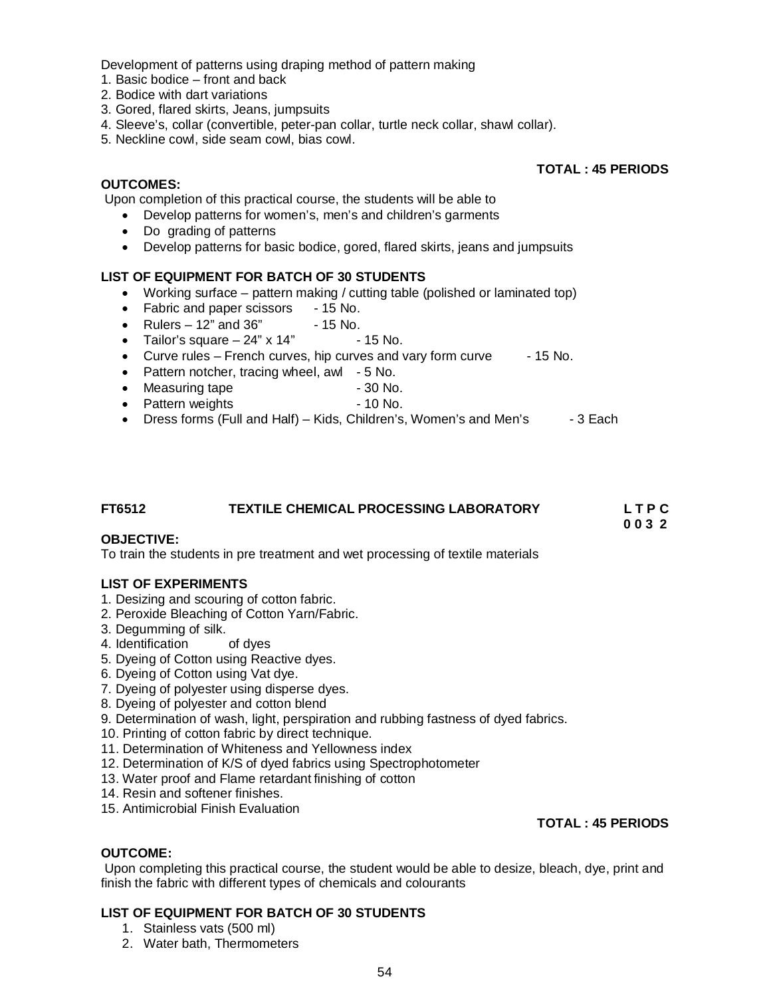Development of patterns using draping method of pattern making

- 1. Basic bodice front and back
- 2. Bodice with dart variations
- 3. Gored, flared skirts, Jeans, jumpsuits
- 4. Sleeve's, collar (convertible, peter-pan collar, turtle neck collar, shawl collar).
- 5. Neckline cowl, side seam cowl, bias cowl.

#### **OUTCOMES:**

Upon completion of this practical course, the students will be able to

- Develop patterns for women's, men's and children's garments
- Do grading of patterns
- Develop patterns for basic bodice, gored, flared skirts, jeans and jumpsuits

#### **LIST OF EQUIPMENT FOR BATCH OF 30 STUDENTS**

- Working surface pattern making / cutting table (polished or laminated top)
- Fabric and paper scissors 15 No.
- Rulers  $-12$ " and  $36$ "  $-15$  No.
- Tailor's square  $-24$ " x 14" 15 No.
- $\bullet$  Curve rules French curves, hip curves and vary form curve  $\qquad 15$  No.
- Pattern notcher, tracing wheel, awl 5 No.<br>■ Measuring tape = 30 No.
- Measuring tape
- Pattern weights 10 No.
- Dress forms (Full and Half) Kids, Children's, Women's and Men's 3 Each

### **FT6512 TEXTILE CHEMICAL PROCESSING LABORATORY L T P C**

 **0 0 3 2** 

**TOTAL : 45 PERIODS** 

### **OBJECTIVE:**

To train the students in pre treatment and wet processing of textile materials

#### **LIST OF EXPERIMENTS**

- 1. Desizing and scouring of cotton fabric.
- 2. Peroxide Bleaching of Cotton Yarn/Fabric.
- 
- 3. Degumming of silk.<br>4. Identification of dyes 4. Identification
- 5. Dyeing of Cotton using Reactive dyes.
- 6. Dyeing of Cotton using Vat dye.
- 7. Dyeing of polyester using disperse dyes.
- 8. Dyeing of polyester and cotton blend
- 9. Determination of wash, light, perspiration and rubbing fastness of dyed fabrics.
- 10. Printing of cotton fabric by direct technique.
- 11. Determination of Whiteness and Yellowness index
- 12. Determination of K/S of dyed fabrics using Spectrophotometer
- 13. Water proof and Flame retardant finishing of cotton
- 14. Resin and softener finishes.
- 15. Antimicrobial Finish Evaluation

#### **TOTAL : 45 PERIODS**

#### **OUTCOME:**

Upon completing this practical course, the student would be able to desize, bleach, dye, print and finish the fabric with different types of chemicals and colourants

#### **LIST OF EQUIPMENT FOR BATCH OF 30 STUDENTS**

- 1. Stainless vats (500 ml)
- 2. Water bath, Thermometers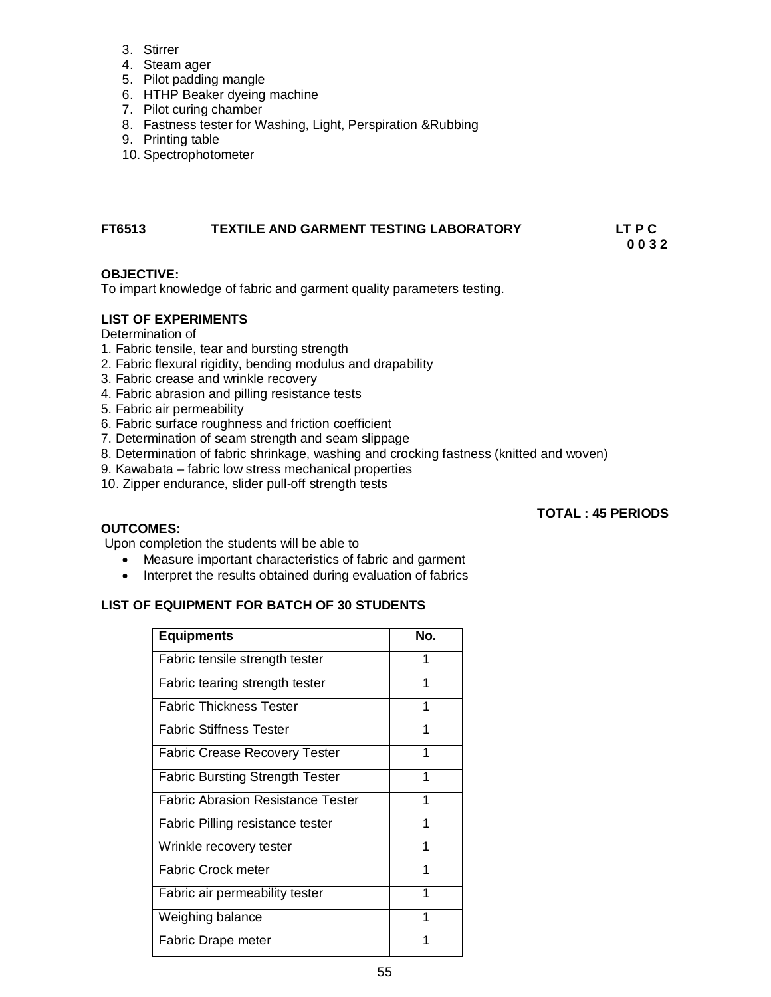- 3. Stirrer
- 4. Steam ager
- 5. Pilot padding mangle
- 6. HTHP Beaker dyeing machine
- 7. Pilot curing chamber
- 8. Fastness tester for Washing, Light, Perspiration &Rubbing
- 9. Printing table
- 10. Spectrophotometer

#### **FT6513 TEXTILE AND GARMENT TESTING LABORATORY LT P C 0 0 3 2**

#### **OBJECTIVE:**

To impart knowledge of fabric and garment quality parameters testing.

#### **LIST OF EXPERIMENTS**

### Determination of

- 1. Fabric tensile, tear and bursting strength
- 2. Fabric flexural rigidity, bending modulus and drapability
- 3. Fabric crease and wrinkle recovery
- 4. Fabric abrasion and pilling resistance tests
- 5. Fabric air permeability
- 6. Fabric surface roughness and friction coefficient
- 7. Determination of seam strength and seam slippage
- 8. Determination of fabric shrinkage, washing and crocking fastness (knitted and woven)
- 9. Kawabata fabric low stress mechanical properties
- 10. Zipper endurance, slider pull-off strength tests

#### **TOTAL : 45 PERIODS**

#### **OUTCOMES:**

Upon completion the students will be able to

- Measure important characteristics of fabric and garment
- Interpret the results obtained during evaluation of fabrics

### **LIST OF EQUIPMENT FOR BATCH OF 30 STUDENTS**

| <b>Equipments</b>                        | No. |
|------------------------------------------|-----|
| Fabric tensile strength tester           | 1   |
| Fabric tearing strength tester           | 1   |
| <b>Fabric Thickness Tester</b>           | 1   |
| <b>Fabric Stiffness Tester</b>           | 1   |
| <b>Fabric Crease Recovery Tester</b>     | 1   |
| <b>Fabric Bursting Strength Tester</b>   | 1   |
| <b>Fabric Abrasion Resistance Tester</b> | 1   |
| Fabric Pilling resistance tester         | 1   |
| Wrinkle recovery tester                  | 1   |
| <b>Fabric Crock meter</b>                | 1   |
| Fabric air permeability tester           | 1   |
| Weighing balance                         | 1   |
| Fabric Drape meter                       | 1   |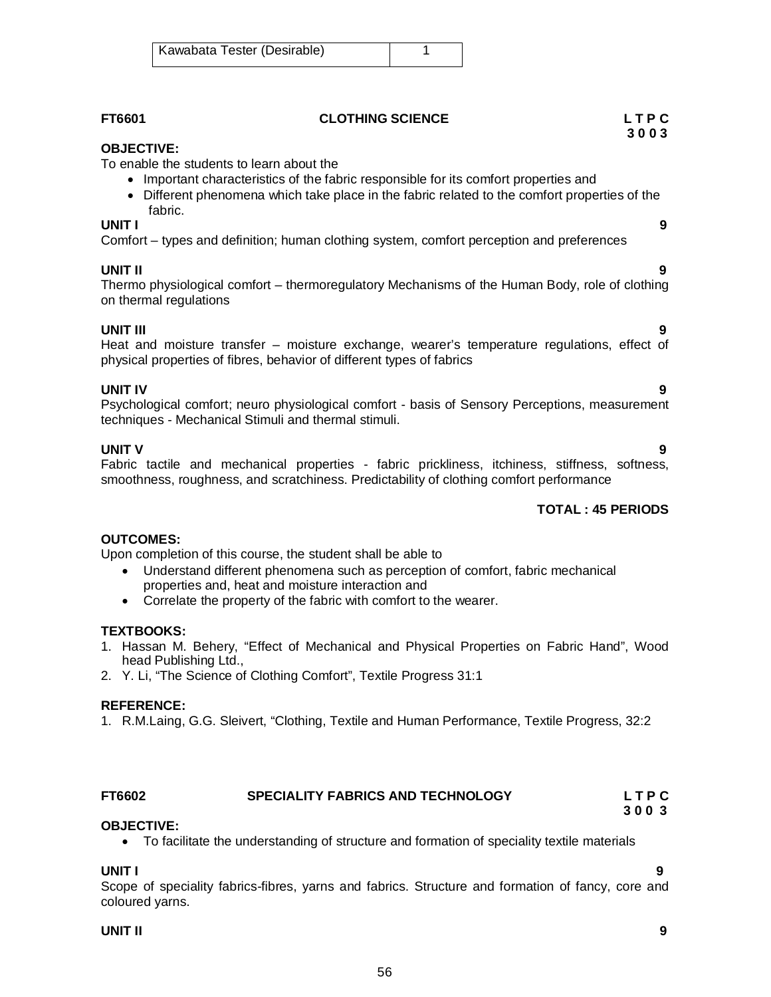| FT6601                                                                                                                                                                                                     | <b>CLOTHING SCIENCE</b>                                                                                                                                                             | LTPC<br>3003             |
|------------------------------------------------------------------------------------------------------------------------------------------------------------------------------------------------------------|-------------------------------------------------------------------------------------------------------------------------------------------------------------------------------------|--------------------------|
| <b>OBJECTIVE:</b><br>To enable the students to learn about the<br>fabric.                                                                                                                                  | Important characteristics of the fabric responsible for its comfort properties and<br>• Different phenomena which take place in the fabric related to the comfort properties of the |                          |
| UNIT I<br>Comfort – types and definition; human clothing system, comfort perception and preferences                                                                                                        |                                                                                                                                                                                     | 9                        |
| <b>UNIT II</b><br>Thermo physiological comfort – thermoregulatory Mechanisms of the Human Body, role of clothing<br>on thermal regulations                                                                 |                                                                                                                                                                                     | 9                        |
| <b>UNIT III</b><br>Heat and moisture transfer – moisture exchange, wearer's temperature regulations, effect of<br>physical properties of fibres, behavior of different types of fabrics                    |                                                                                                                                                                                     | 9                        |
| <b>UNIT IV</b><br>Psychological comfort; neuro physiological comfort - basis of Sensory Perceptions, measurement<br>techniques - Mechanical Stimuli and thermal stimuli.                                   |                                                                                                                                                                                     | 9                        |
| <b>UNIT V</b><br>Fabric tactile and mechanical properties - fabric prickliness, itchiness, stiffness, softness,<br>smoothness, roughness, and scratchiness. Predictability of clothing comfort performance |                                                                                                                                                                                     | 9                        |
|                                                                                                                                                                                                            |                                                                                                                                                                                     | <b>TOTAL: 45 PERIODS</b> |
| <b>OUTCOMES:</b><br>Upon completion of this course, the student shall be able to                                                                                                                           | Understand different phenomena such as perception of comfort, fabric mechanical                                                                                                     |                          |

- properties and, heat and moisture interaction and
- Correlate the property of the fabric with comfort to the wearer.

### **TEXTBOOKS:**

- 1. Hassan M. Behery, "Effect of Mechanical and Physical Properties on Fabric Hand", Wood head Publishing Ltd.,
- 2. Y. Li, "The Science of Clothing Comfort", Textile Progress 31:1

### **REFERENCE:**

1. R.M.Laing, G.G. Sleivert, "Clothing, Textile and Human Performance, Textile Progress, 32:2

#### **FT6602 SPECIALITY FABRICS AND TECHNOLOGY L T P C 3 0 0 3**

### **OBJECTIVE:**

To facilitate the understanding of structure and formation of speciality textile materials

#### **UNIT I 9**

Scope of speciality fabrics-fibres, yarns and fabrics. Structure and formation of fancy, core and coloured yarns.

#### **UNIT II 9**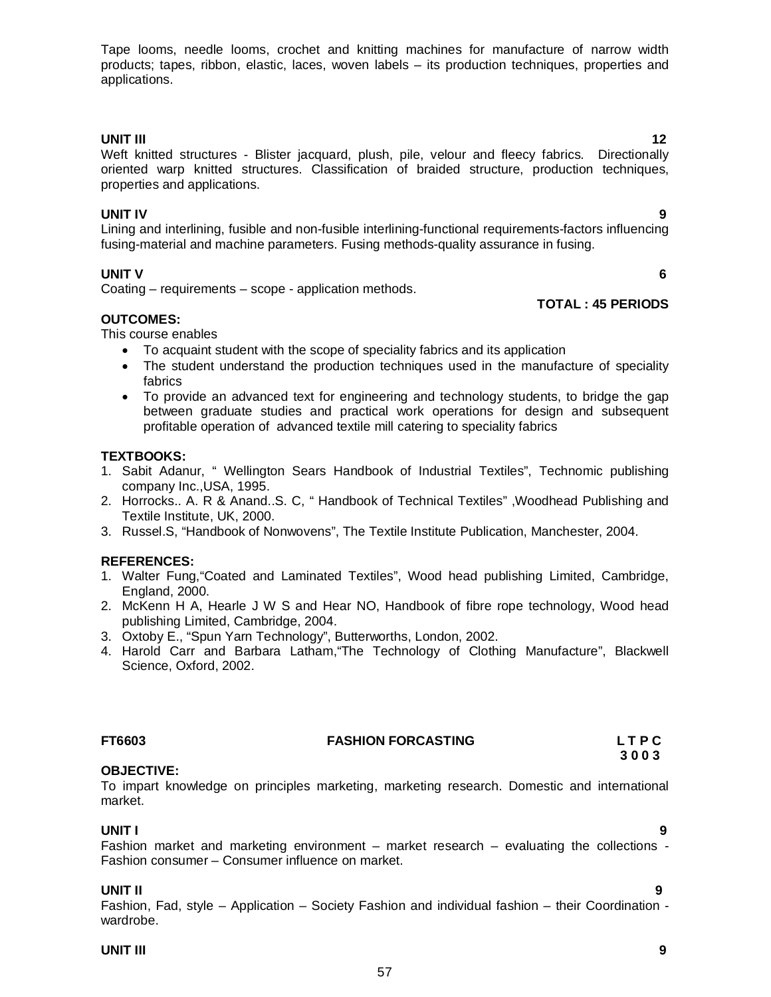Tape looms, needle looms, crochet and knitting machines for manufacture of narrow width products; tapes, ribbon, elastic, laces, woven labels – its production techniques, properties and applications.

**UNIT III** 12 Weft knitted structures - Blister jacquard, plush, pile, velour and fleecy fabrics. Directionally oriented warp knitted structures. Classification of braided structure, production techniques, properties and applications.

### **UNIT IV 9**

Lining and interlining, fusible and non-fusible interlining-functional requirements-factors influencing fusing-material and machine parameters. Fusing methods-quality assurance in fusing.

### **UNIT V 6**

Coating – requirements – scope - application methods.

#### **OUTCOMES:**

This course enables

- To acquaint student with the scope of speciality fabrics and its application
- The student understand the production techniques used in the manufacture of speciality fabrics
- To provide an advanced text for engineering and technology students, to bridge the gap between graduate studies and practical work operations for design and subsequent profitable operation of advanced textile mill catering to speciality fabrics

### **TEXTBOOKS:**

- 1. Sabit Adanur, " Wellington Sears Handbook of Industrial Textiles", Technomic publishing company Inc.,USA, 1995.
- 2. Horrocks.. A. R & Anand..S. C, " Handbook of Technical Textiles" ,Woodhead Publishing and Textile Institute, UK, 2000.
- 3. Russel.S, "Handbook of Nonwovens", The Textile Institute Publication, Manchester, 2004.

#### **REFERENCES:**

- 1. Walter Fung,"Coated and Laminated Textiles", Wood head publishing Limited, Cambridge, England, 2000.
- 2. McKenn H A, Hearle J W S and Hear NO, Handbook of fibre rope technology, Wood head publishing Limited, Cambridge, 2004.
- 3. Oxtoby E., "Spun Yarn Technology", Butterworths, London, 2002.
- 4. Harold Carr and Barbara Latham,"The Technology of Clothing Manufacture", Blackwell Science, Oxford, 2002.

### **FT6603 FASHION FORCASTING L T P C**

### **OBJECTIVE:**

To impart knowledge on principles marketing, marketing research. Domestic and international market.

**UNIT I 9**  Fashion market and marketing environment – market research – evaluating the collections - Fashion consumer – Consumer influence on market.

#### **UNIT II 9**

Fashion, Fad, style – Application – Society Fashion and individual fashion – their Coordination wardrobe.

57

#### **UNIT III 9**

## **TOTAL : 45 PERIODS**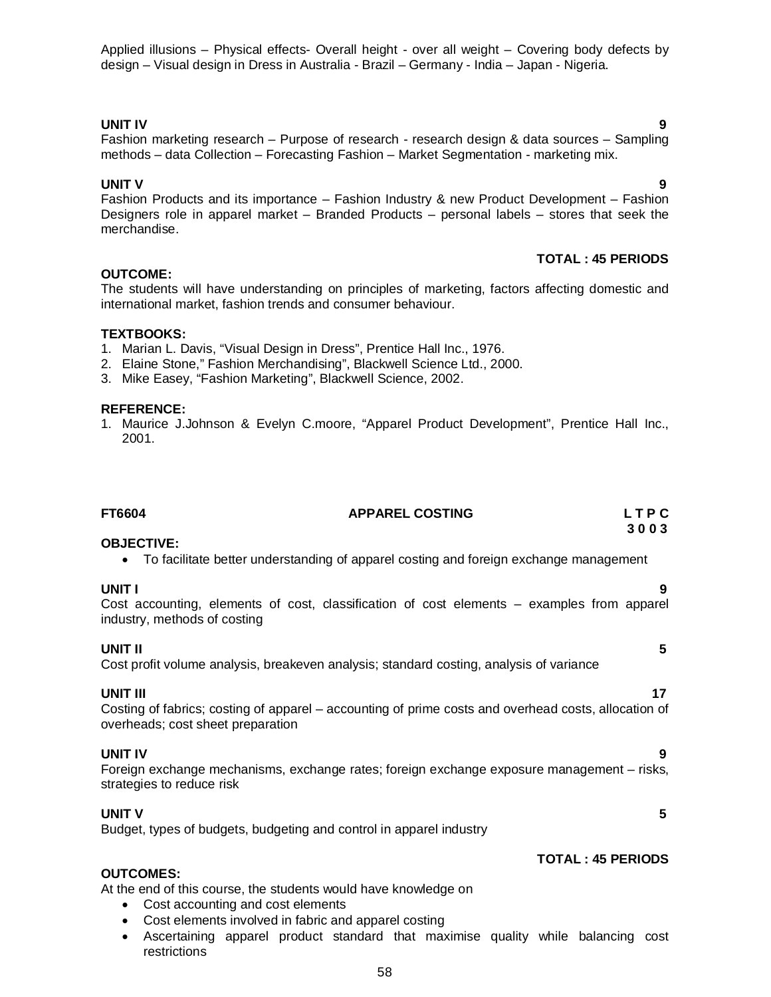Applied illusions – Physical effects- Overall height - over all weight – Covering body defects by design – Visual design in Dress in Australia - Brazil – Germany - India – Japan - Nigeria.

#### **UNIT IV 9**

#### Fashion marketing research - Purpose of research - research design & data sources - Sampling methods – data Collection – Forecasting Fashion – Market Segmentation - marketing mix.

#### **UNIT V 9**

Fashion Products and its importance – Fashion Industry & new Product Development – Fashion Designers role in apparel market – Branded Products – personal labels – stores that seek the merchandise.

#### **TOTAL : 45 PERIODS**

#### **OUTCOME:**

The students will have understanding on principles of marketing, factors affecting domestic and international market, fashion trends and consumer behaviour.

#### **TEXTBOOKS:**

- 1. Marian L. Davis, "Visual Design in Dress", Prentice Hall Inc., 1976.
- 2. Elaine Stone," Fashion Merchandising", Blackwell Science Ltd., 2000.
- 3. Mike Easey, "Fashion Marketing", Blackwell Science, 2002.

#### **REFERENCE:**

1. Maurice J.Johnson & Evelyn C.moore, "Apparel Product Development", Prentice Hall Inc., 2001.

| FT6604                                                                                                                                                                                                     | <b>APPAREL COSTING</b>                                                                               | LTPC<br>3003             |
|------------------------------------------------------------------------------------------------------------------------------------------------------------------------------------------------------------|------------------------------------------------------------------------------------------------------|--------------------------|
| <b>OBJECTIVE:</b>                                                                                                                                                                                          | To facilitate better understanding of apparel costing and foreign exchange management                |                          |
| UNIT I<br>industry, methods of costing                                                                                                                                                                     | Cost accounting, elements of cost, classification of cost elements – examples from apparel           | 9                        |
| <b>UNIT II</b>                                                                                                                                                                                             | Cost profit volume analysis, breakeven analysis; standard costing, analysis of variance              | 5                        |
| <b>UNIT III</b><br>overheads; cost sheet preparation                                                                                                                                                       | Costing of fabrics; costing of apparel – accounting of prime costs and overhead costs, allocation of | 17                       |
| <b>UNIT IV</b><br>strategies to reduce risk                                                                                                                                                                | Foreign exchange mechanisms, exchange rates; foreign exchange exposure management - risks,           | 9                        |
| <b>UNIT V</b><br>Budget, types of budgets, budgeting and control in apparel industry                                                                                                                       |                                                                                                      | 5                        |
| <b>OUTCOMES:</b><br>At the end of this course, the students would have knowledge on<br>Cost accounting and cost elements<br>$\bullet$<br>Cost elements involved in fabric and apparel costing<br>$\bullet$ |                                                                                                      | <b>TOTAL: 45 PERIODS</b> |
|                                                                                                                                                                                                            | Ascertaining apparel product standard that maximise quality while balancing cost                     |                          |

 Ascertaining apparel product standard that maximise quality while balancing cost restrictions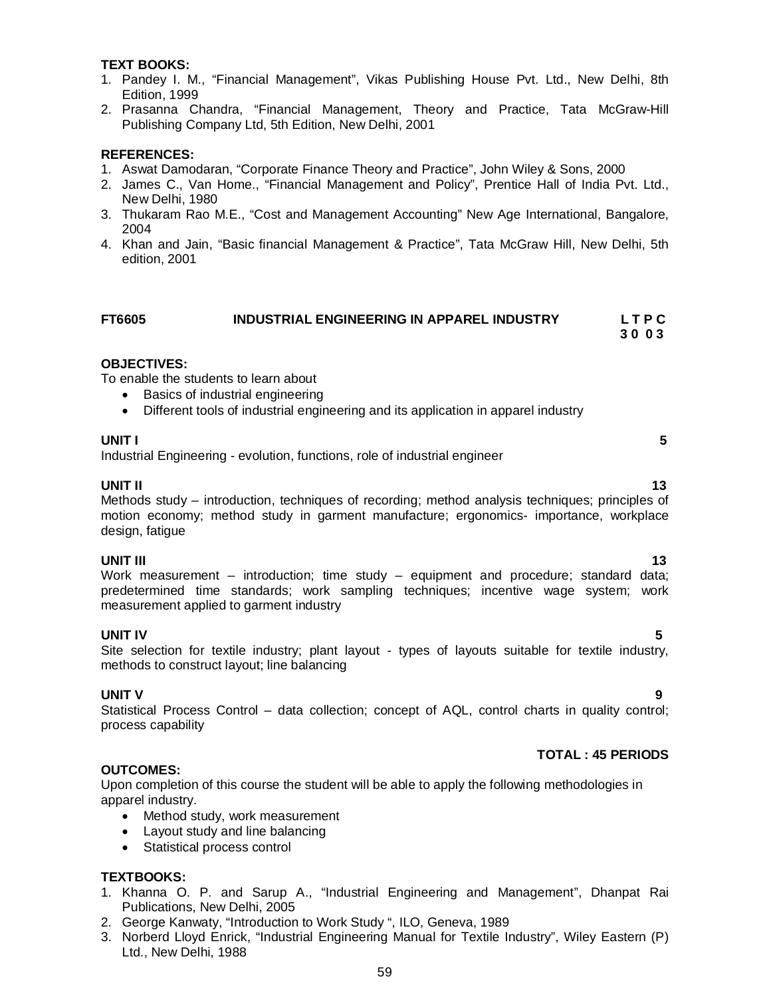#### **TEXT BOOKS:**

- 1. Pandey I. M., "Financial Management", Vikas Publishing House Pvt. Ltd., New Delhi, 8th Edition, 1999
- 2. Prasanna Chandra, "Financial Management, Theory and Practice, Tata McGraw-Hill Publishing Company Ltd, 5th Edition, New Delhi, 2001

#### **REFERENCES:**

- 1. Aswat Damodaran, "Corporate Finance Theory and Practice", John Wiley & Sons, 2000
- 2. James C., Van Home., "Financial Management and Policy", Prentice Hall of India Pvt. Ltd., New Delhi, 1980
- 3. Thukaram Rao M.E., "Cost and Management Accounting" New Age International, Bangalore, 2004
- 4. Khan and Jain, "Basic financial Management & Practice", Tata McGraw Hill, New Delhi, 5th edition, 2001

| <b>FT6605</b> | INDUSTRIAL ENGINEERING IN APPAREL INDUSTRY | <b>LTPC</b> |
|---------------|--------------------------------------------|-------------|
|               |                                            | 3003        |

#### **OBJECTIVES:**

To enable the students to learn about

- Basics of industrial engineering
- Different tools of industrial engineering and its application in apparel industry

#### **UNIT I** 5

Industrial Engineering - evolution, functions, role of industrial engineer

#### **UNIT II** 13

Methods study – introduction, techniques of recording; method analysis techniques; principles of motion economy; method study in garment manufacture; ergonomics- importance, workplace design, fatigue

**UNIT III** 13 Work measurement – introduction; time study – equipment and procedure; standard data; predetermined time standards; work sampling techniques; incentive wage system; work measurement applied to garment industry

**UNIT IV 5** Site selection for textile industry; plant layout - types of layouts suitable for textile industry, methods to construct layout; line balancing

#### **UNIT V 9**

Statistical Process Control – data collection; concept of AQL, control charts in quality control; process capability

#### **TOTAL : 45 PERIODS**

#### **OUTCOMES:**

Upon completion of this course the student will be able to apply the following methodologies in apparel industry.

- Method study, work measurement
- Layout study and line balancing
- Statistical process control

#### **TEXTBOOKS:**

- 1. Khanna O. P. and Sarup A., "Industrial Engineering and Management", Dhanpat Rai Publications, New Delhi, 2005
- 2. George Kanwaty, "Introduction to Work Study ", ILO, Geneva, 1989
- 3. Norberd Lloyd Enrick, "Industrial Engineering Manual for Textile Industry", Wiley Eastern (P) Ltd., New Delhi, 1988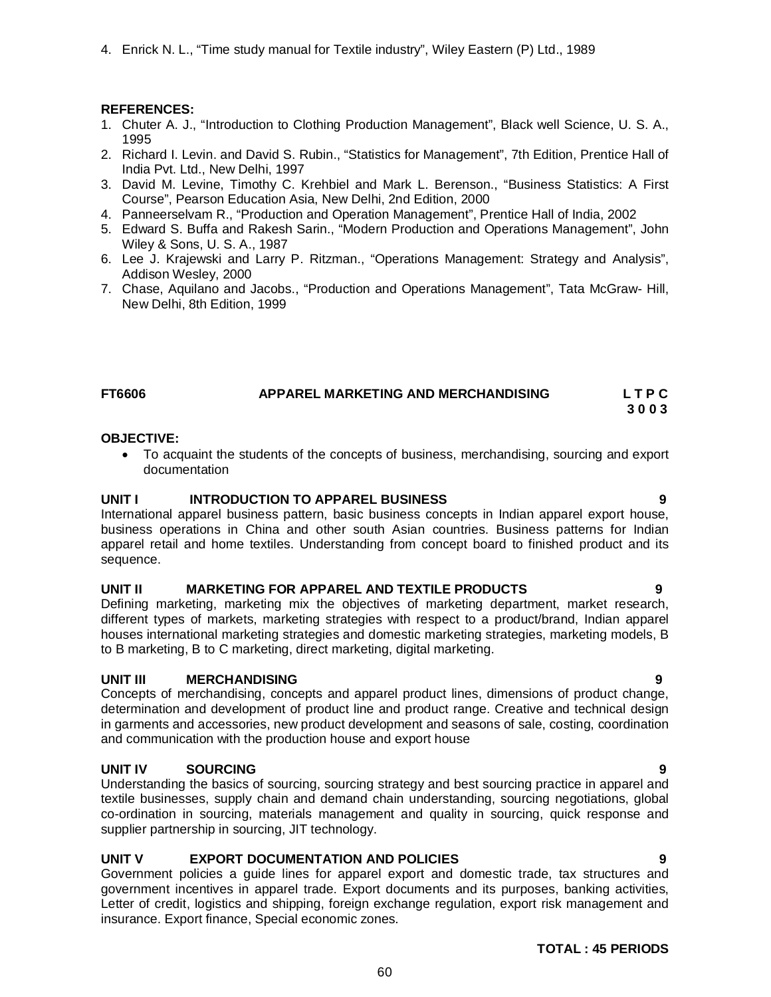4. Enrick N. L., "Time study manual for Textile industry", Wiley Eastern (P) Ltd., 1989

#### **REFERENCES:**

- 1. Chuter A. J., "Introduction to Clothing Production Management", Black well Science, U. S. A., 1995
- 2. Richard I. Levin. and David S. Rubin., "Statistics for Management", 7th Edition, Prentice Hall of India Pvt. Ltd., New Delhi, 1997
- 3. David M. Levine, Timothy C. Krehbiel and Mark L. Berenson., "Business Statistics: A First Course", Pearson Education Asia, New Delhi, 2nd Edition, 2000
- 4. Panneerselvam R., "Production and Operation Management", Prentice Hall of India, 2002
- 5. Edward S. Buffa and Rakesh Sarin., "Modern Production and Operations Management", John Wiley & Sons, U. S. A., 1987
- 6. Lee J. Krajewski and Larry P. Ritzman., "Operations Management: Strategy and Analysis", Addison Wesley, 2000
- 7. Chase, Aquilano and Jacobs., "Production and Operations Management", Tata McGraw- Hill, New Delhi, 8th Edition, 1999

#### **FT6606 APPAREL MARKETING AND MERCHANDISING L T P C 3 0 0 3**

#### **OBJECTIVE:**

 To acquaint the students of the concepts of business, merchandising, sourcing and export documentation

#### **UNIT I INTRODUCTION TO APPAREL BUSINESS 9**

International apparel business pattern, basic business concepts in Indian apparel export house, business operations in China and other south Asian countries. Business patterns for Indian apparel retail and home textiles. Understanding from concept board to finished product and its sequence.

#### **UNIT II MARKETING FOR APPAREL AND TEXTILE PRODUCTS 9**

Defining marketing, marketing mix the objectives of marketing department, market research, different types of markets, marketing strategies with respect to a product/brand, Indian apparel houses international marketing strategies and domestic marketing strategies, marketing models, B to B marketing, B to C marketing, direct marketing, digital marketing.

#### **UNIT III MERCHANDISING 9**

Concepts of merchandising, concepts and apparel product lines, dimensions of product change, determination and development of product line and product range. Creative and technical design in garments and accessories, new product development and seasons of sale, costing, coordination and communication with the production house and export house

#### UNIT IV SOURCING

Understanding the basics of sourcing, sourcing strategy and best sourcing practice in apparel and textile businesses, supply chain and demand chain understanding, sourcing negotiations, global co-ordination in sourcing, materials management and quality in sourcing, quick response and supplier partnership in sourcing, JIT technology.

#### **UNIT V EXPORT DOCUMENTATION AND POLICIES 9**

Government policies a guide lines for apparel export and domestic trade, tax structures and government incentives in apparel trade. Export documents and its purposes, banking activities, Letter of credit, logistics and shipping, foreign exchange regulation, export risk management and insurance. Export finance, Special economic zones.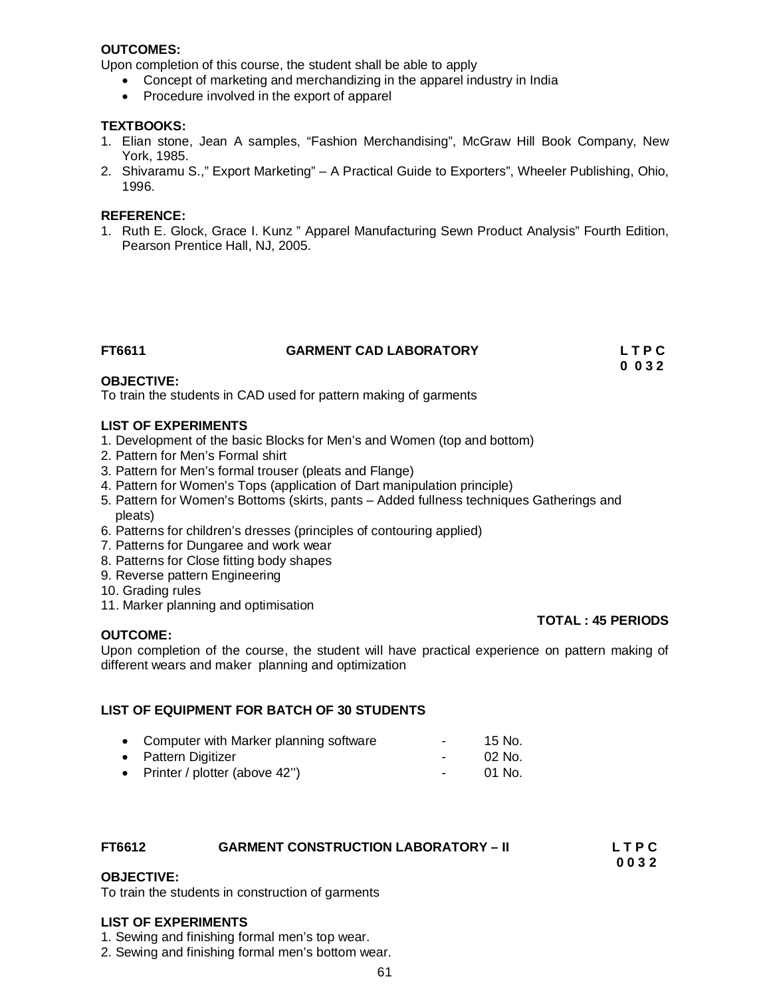#### **OUTCOMES:**

Upon completion of this course, the student shall be able to apply

- Concept of marketing and merchandizing in the apparel industry in India
- Procedure involved in the export of apparel

#### **TEXTBOOKS:**

- 1. Elian stone, Jean A samples, "Fashion Merchandising", McGraw Hill Book Company, New York, 1985.
- 2. Shivaramu S.," Export Marketing" A Practical Guide to Exporters", Wheeler Publishing, Ohio, 1996.

#### **REFERENCE:**

1. Ruth E. Glock, Grace I. Kunz " Apparel Manufacturing Sewn Product Analysis" Fourth Edition, Pearson Prentice Hall, NJ, 2005.

#### **FT6611 GARMENT CAD LABORATORY L T P C**

 **0 0 3 2**

#### **OBJECTIVE:**

To train the students in CAD used for pattern making of garments

#### **LIST OF EXPERIMENTS**

- 1. Development of the basic Blocks for Men's and Women (top and bottom)
- 2. Pattern for Men's Formal shirt
- 3. Pattern for Men's formal trouser (pleats and Flange)
- 4. Pattern for Women's Tops (application of Dart manipulation principle)
- 5. Pattern for Women's Bottoms (skirts, pants Added fullness techniques Gatherings and pleats)
- 6. Patterns for children's dresses (principles of contouring applied)
- 7. Patterns for Dungaree and work wear
- 8. Patterns for Close fitting body shapes
- 9. Reverse pattern Engineering
- 10. Grading rules
- 11. Marker planning and optimisation

#### **OUTCOME:**

Upon completion of the course, the student will have practical experience on pattern making of different wears and maker planning and optimization

#### **LIST OF EQUIPMENT FOR BATCH OF 30 STUDENTS**

| • Computer with Marker planning software | $\sim$ 100 $\mu$ | 15 No.  |
|------------------------------------------|------------------|---------|
| • Pattern Digitizer                      | $\sim$ 100 $\mu$ | 02 No.  |
| • Printer / plotter (above 42")          | $\sim$ 100 $\mu$ | -01 No. |

## **FT6612 GARMENT CONSTRUCTION LABORATORY – II L T P C**

 **0 0 3 2**

#### **OBJECTIVE:**

To train the students in construction of garments

#### **LIST OF EXPERIMENTS**

- 1. Sewing and finishing formal men's top wear.
- 2. Sewing and finishing formal men's bottom wear.

**TOTAL : 45 PERIODS**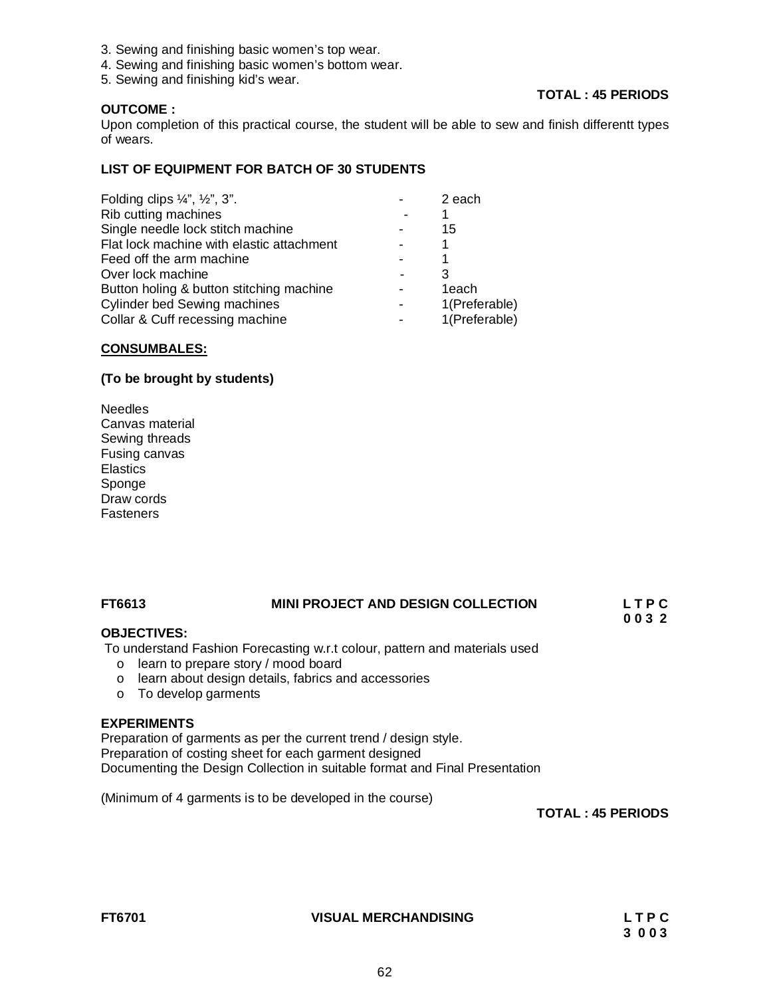- 3. Sewing and finishing basic women's top wear.
- 4. Sewing and finishing basic women's bottom wear.
- 5. Sewing and finishing kid's wear.

#### **OUTCOME :**

### **TOTAL : 45 PERIODS**

Upon completion of this practical course, the student will be able to sew and finish differentt types of wears.

#### **LIST OF EQUIPMENT FOR BATCH OF 30 STUDENTS**

| Folding clips $\frac{1}{4}$ , $\frac{1}{2}$ , $\frac{3}{4}$ . | 2 each        |
|---------------------------------------------------------------|---------------|
| Rib cutting machines                                          |               |
| Single needle lock stitch machine                             | 15            |
| Flat lock machine with elastic attachment                     |               |
| Feed off the arm machine                                      |               |
| Over lock machine                                             |               |
| Button holing & button stitching machine                      | 1each         |
| <b>Cylinder bed Sewing machines</b>                           | 1(Preferable) |
| Collar & Cuff recessing machine                               | 1(Preferable) |

#### **CONSUMBALES:**

#### **(To be brought by students)**

Needles Canvas material Sewing threads Fusing canvas **Elastics** Sponge Draw cords **Fasteners** 

#### **FT6613 MINI PROJECT AND DESIGN COLLECTION L T P C**

#### **OBJECTIVES:**

To understand Fashion Forecasting w.r.t colour, pattern and materials used

- o learn to prepare story / mood board
- o learn about design details, fabrics and accessories
- o To develop garments

#### **EXPERIMENTS**

Preparation of garments as per the current trend / design style. Preparation of costing sheet for each garment designed Documenting the Design Collection in suitable format and Final Presentation

(Minimum of 4 garments is to be developed in the course)

**TOTAL : 45 PERIODS** 

**FT6701 VISUAL MERCHANDISING L T P C** 

 **0 0 3 2**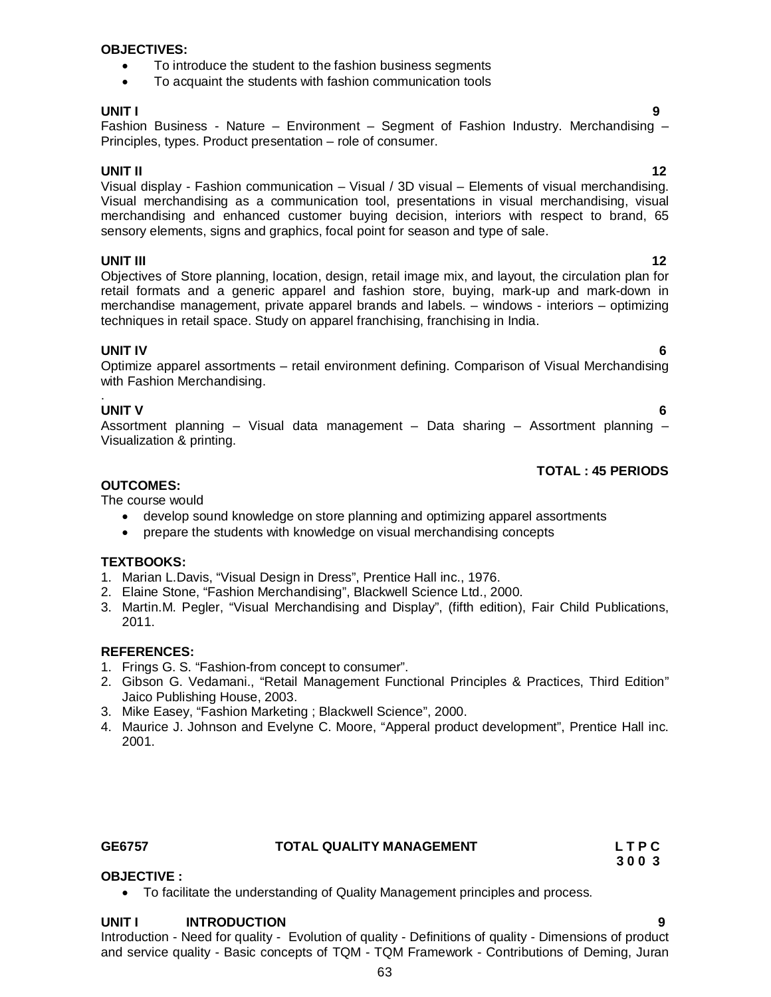#### **OBJECTIVES:**

- To introduce the student to the fashion business segments
- To acquaint the students with fashion communication tools

#### **UNIT I 9**

Fashion Business - Nature – Environment – Segment of Fashion Industry. Merchandising – Principles, types. Product presentation – role of consumer.

**UNIT II** 12 Visual display - Fashion communication – Visual / 3D visual – Elements of visual merchandising. Visual merchandising as a communication tool, presentations in visual merchandising, visual merchandising and enhanced customer buying decision, interiors with respect to brand, 65 sensory elements, signs and graphics, focal point for season and type of sale.

**UNIT III** 12 Objectives of Store planning, location, design, retail image mix, and layout, the circulation plan for retail formats and a generic apparel and fashion store, buying, mark-up and mark-down in merchandise management, private apparel brands and labels. – windows - interiors – optimizing techniques in retail space. Study on apparel franchising, franchising in India.

### **UNIT IV 6**

Optimize apparel assortments – retail environment defining. Comparison of Visual Merchandising with Fashion Merchandising.

#### . **UNIT V 6**

Assortment planning – Visual data management – Data sharing – Assortment planning – Visualization & printing.

### **TOTAL : 45 PERIODS**

### **OUTCOMES:**

The course would

- develop sound knowledge on store planning and optimizing apparel assortments
- prepare the students with knowledge on visual merchandising concepts

#### **TEXTBOOKS:**

- 1. Marian L.Davis, "Visual Design in Dress", Prentice Hall inc., 1976.
- 2. Elaine Stone, "Fashion Merchandising", Blackwell Science Ltd., 2000.
- 3. Martin.M. Pegler, "Visual Merchandising and Display", (fifth edition), Fair Child Publications, 2011.

#### **REFERENCES:**

- 1. Frings G. S. "Fashion-from concept to consumer".
- 2. Gibson G. Vedamani., "Retail Management Functional Principles & Practices, Third Edition" Jaico Publishing House, 2003.
- 3. Mike Easey, "Fashion Marketing ; Blackwell Science", 2000.
- 4. Maurice J. Johnson and Evelyne C. Moore, "Apperal product development", Prentice Hall inc. 2001.

#### GE6757 TOTAL QUALITY MANAGEMENT L T P C

 **3 0 0 3**

#### **OBJECTIVE :**

To facilitate the understanding of Quality Management principles and process.

#### **UNIT I INTRODUCTION 9**

Introduction - Need for quality - Evolution of quality - Definitions of quality - Dimensions of product and service quality - Basic concepts of TQM - TQM Framework - Contributions of Deming, Juran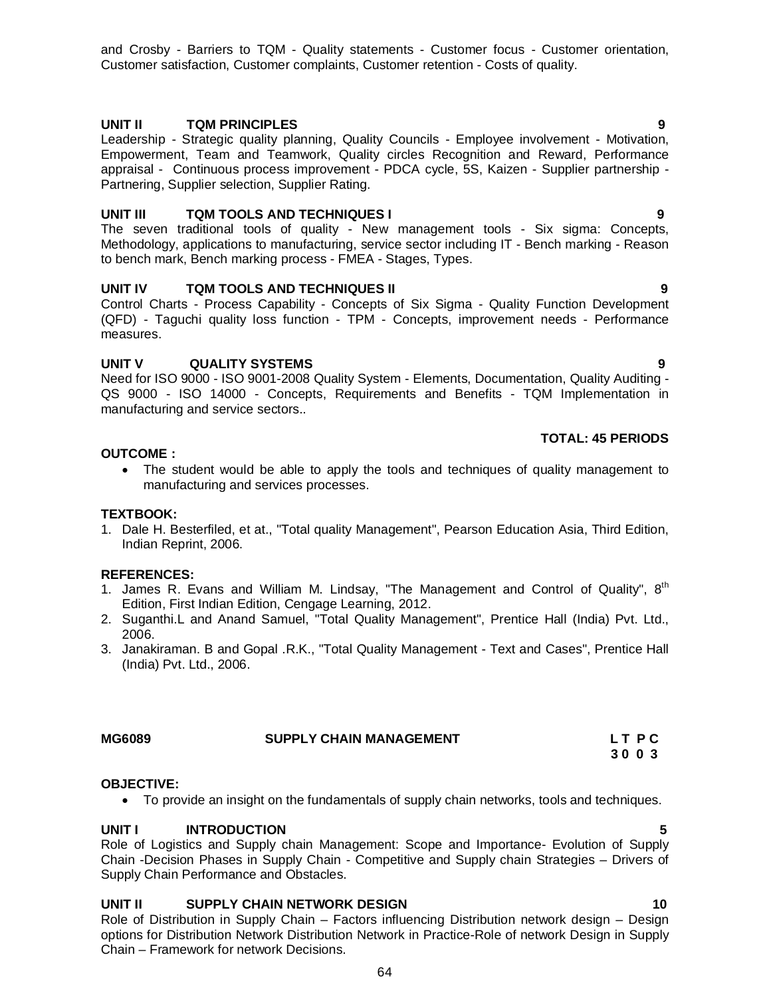and Crosby - Barriers to TQM - Quality statements - Customer focus - Customer orientation, Customer satisfaction, Customer complaints, Customer retention - Costs of quality.

### **UNIT II TQM PRINCIPLES 9**

Leadership - Strategic quality planning, Quality Councils - Employee involvement - Motivation, Empowerment, Team and Teamwork, Quality circles Recognition and Reward, Performance appraisal - Continuous process improvement - PDCA cycle, 5S, Kaizen - Supplier partnership - Partnering, Supplier selection, Supplier Rating.

#### **UNIT III TQM TOOLS AND TECHNIQUES I 9**

The seven traditional tools of quality - New management tools - Six sigma: Concepts, Methodology, applications to manufacturing, service sector including IT - Bench marking - Reason to bench mark, Bench marking process - FMEA - Stages, Types.

#### **UNIT IV TQM TOOLS AND TECHNIQUES II 9**

Control Charts - Process Capability - Concepts of Six Sigma - Quality Function Development (QFD) - Taguchi quality loss function - TPM - Concepts, improvement needs - Performance measures.

#### **UNIT V QUALITY SYSTEMS 9**

Need for ISO 9000 - ISO 9001-2008 Quality System - Elements, Documentation, Quality Auditing - QS 9000 - ISO 14000 - Concepts, Requirements and Benefits - TQM Implementation in manufacturing and service sectors..

#### **TOTAL: 45 PERIODS**

 **3 0 0 3**

#### **OUTCOME :**

• The student would be able to apply the tools and techniques of quality management to manufacturing and services processes.

#### **TEXTBOOK:**

1. Dale H. Besterfiled, et at., "Total quality Management", Pearson Education Asia, Third Edition, Indian Reprint, 2006.

#### **REFERENCES:**

- 1. James R. Evans and William M. Lindsay, "The Management and Control of Quality",  $8^{th}$ Edition, First Indian Edition, Cengage Learning, 2012.
- 2. Suganthi.L and Anand Samuel, "Total Quality Management", Prentice Hall (India) Pvt. Ltd., 2006.
- 3. Janakiraman. B and Gopal .R.K., "Total Quality Management Text and Cases", Prentice Hall (India) Pvt. Ltd., 2006.

#### SUPPLY CHAIN MANAGEMENT LTPC

#### **OBJECTIVE:**

To provide an insight on the fundamentals of supply chain networks, tools and techniques.

#### **UNIT I INTRODUCTION 5**

Role of Logistics and Supply chain Management: Scope and Importance- Evolution of Supply Chain -Decision Phases in Supply Chain - Competitive and Supply chain Strategies – Drivers of Supply Chain Performance and Obstacles.

#### **UNIT II SUPPLY CHAIN NETWORK DESIGN 10**

Role of Distribution in Supply Chain – Factors influencing Distribution network design – Design options for Distribution Network Distribution Network in Practice-Role of network Design in Supply Chain – Framework for network Decisions.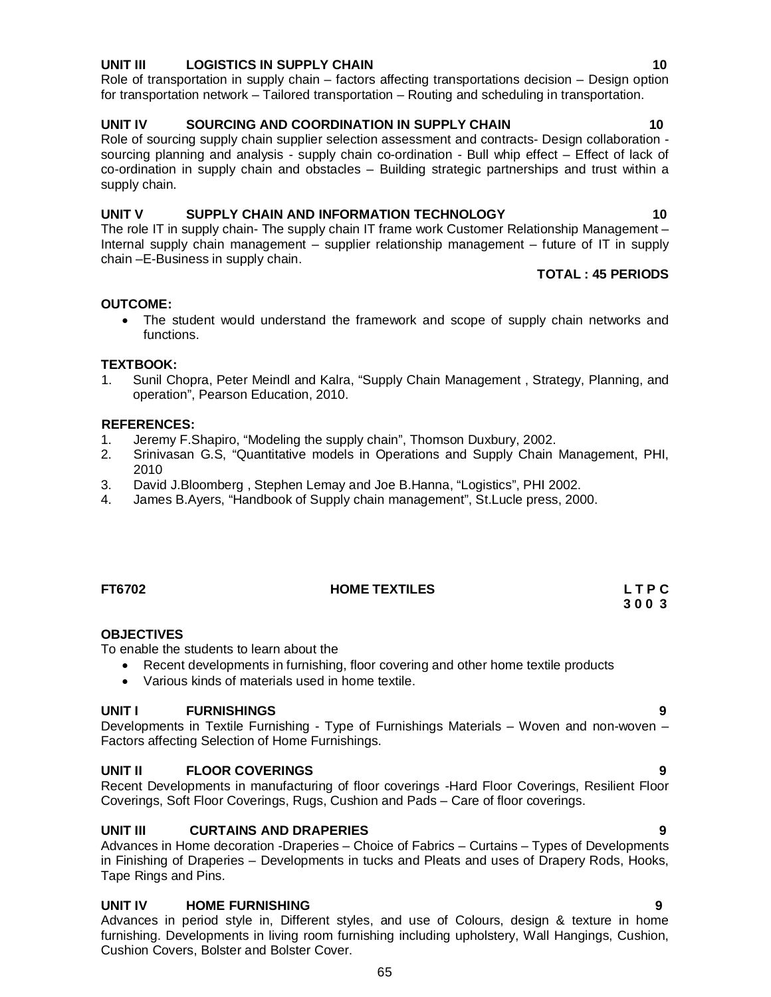#### **UNIT III LOGISTICS IN SUPPLY CHAIN 10**

Role of transportation in supply chain – factors affecting transportations decision – Design option for transportation network – Tailored transportation – Routing and scheduling in transportation.

#### **UNIT IV SOURCING AND COORDINATION IN SUPPLY CHAIN 10**

Role of sourcing supply chain supplier selection assessment and contracts- Design collaboration sourcing planning and analysis - supply chain co-ordination - Bull whip effect – Effect of lack of co-ordination in supply chain and obstacles – Building strategic partnerships and trust within a supply chain.

#### **UNIT V SUPPLY CHAIN AND INFORMATION TECHNOLOGY 10**

The role IT in supply chain- The supply chain IT frame work Customer Relationship Management – Internal supply chain management – supplier relationship management – future of IT in supply chain –E-Business in supply chain.

#### **TOTAL : 45 PERIODS**

#### **OUTCOME:**

 The student would understand the framework and scope of supply chain networks and functions.

#### **TEXTBOOK:**

1. Sunil Chopra, Peter Meindl and Kalra, "Supply Chain Management , Strategy, Planning, and operation", Pearson Education, 2010.

#### **REFERENCES:**

- 1. Jeremy F.Shapiro, "Modeling the supply chain", Thomson Duxbury, 2002.
- 2. Srinivasan G.S, "Quantitative models in Operations and Supply Chain Management, PHI, 2010
- 3. David J.Bloomberg , Stephen Lemay and Joe B.Hanna, "Logistics", PHI 2002.
- 4. James B.Ayers, "Handbook of Supply chain management", St.Lucle press, 2000.

### **FT6702 HOME TEXTILES L T P C**

## **3 0 0 3**

#### **OBJECTIVES**

To enable the students to learn about the

- Recent developments in furnishing, floor covering and other home textile products
- Various kinds of materials used in home textile.

#### **UNIT I FURNISHINGS 9**

Developments in Textile Furnishing - Type of Furnishings Materials – Woven and non-woven – Factors affecting Selection of Home Furnishings.

#### **UNIT II FLOOR COVERINGS 9**

Recent Developments in manufacturing of floor coverings -Hard Floor Coverings, Resilient Floor Coverings, Soft Floor Coverings, Rugs, Cushion and Pads – Care of floor coverings.

#### **UNIT III CURTAINS AND DRAPERIES 9**

Advances in Home decoration -Draperies – Choice of Fabrics – Curtains – Types of Developments in Finishing of Draperies – Developments in tucks and Pleats and uses of Drapery Rods, Hooks, Tape Rings and Pins.

#### **UNIT IV HOME FURNISHING 9**

Advances in period style in, Different styles, and use of Colours, design & texture in home furnishing. Developments in living room furnishing including upholstery, Wall Hangings, Cushion, Cushion Covers, Bolster and Bolster Cover.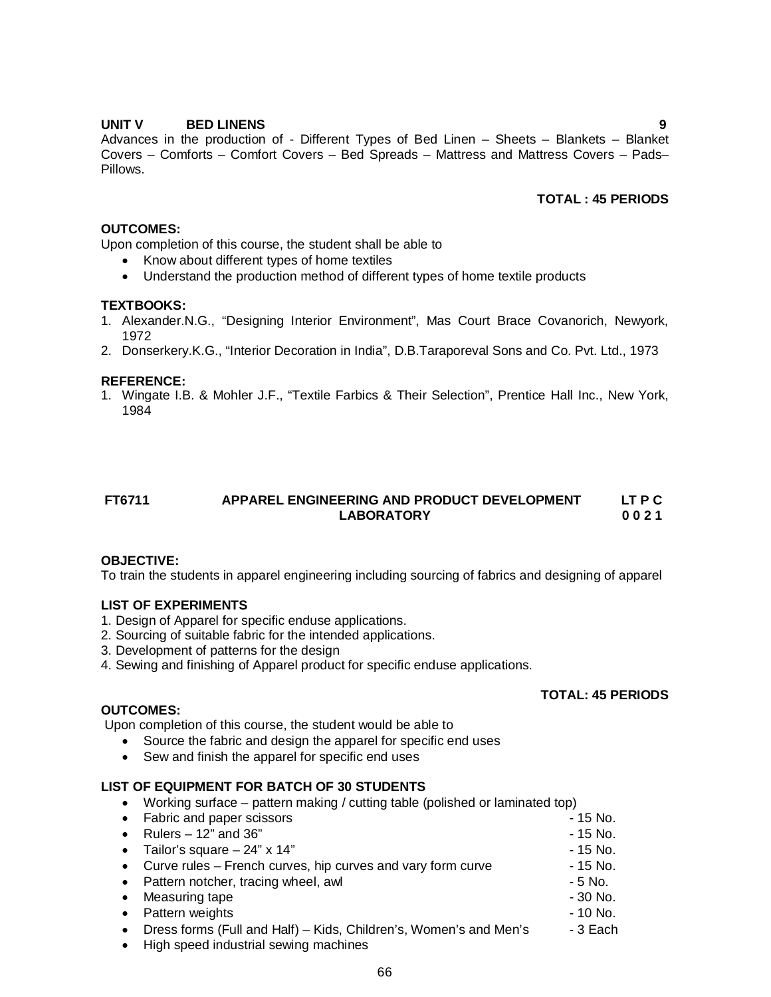#### **UNIT V BED LINENS 9**

Advances in the production of - Different Types of Bed Linen - Sheets - Blankets - Blanket Covers – Comforts – Comfort Covers – Bed Spreads – Mattress and Mattress Covers – Pads– Pillows.

#### **TOTAL : 45 PERIODS**

### **OUTCOMES:**

Upon completion of this course, the student shall be able to

- Know about different types of home textiles
- Understand the production method of different types of home textile products

#### **TEXTBOOKS:**

- 1. Alexander.N.G., "Designing Interior Environment", Mas Court Brace Covanorich, Newyork, 1972
- 2. Donserkery.K.G., "Interior Decoration in India", D.B.Taraporeval Sons and Co. Pvt. Ltd., 1973

#### **REFERENCE:**

1. Wingate I.B. & Mohler J.F., "Textile Farbics & Their Selection", Prentice Hall Inc., New York, 1984

### **FT6711 APPAREL ENGINEERING AND PRODUCT DEVELOPMENT LT P C LABORATORY 0 0 2 1**

#### **OBJECTIVE:**

To train the students in apparel engineering including sourcing of fabrics and designing of apparel

#### **LIST OF EXPERIMENTS**

- 1. Design of Apparel for specific enduse applications.
- 2. Sourcing of suitable fabric for the intended applications.
- 3. Development of patterns for the design
- 4. Sewing and finishing of Apparel product for specific enduse applications.

#### **TOTAL: 45 PERIODS**

#### **OUTCOMES:**

Upon completion of this course, the student would be able to

- Source the fabric and design the apparel for specific end uses
- Sew and finish the apparel for specific end uses

#### **LIST OF EQUIPMENT FOR BATCH OF 30 STUDENTS**

Working surface – pattern making / cutting table (polished or laminated top)

|           | • Fabric and paper scissors                                       | - 15 No.  |
|-----------|-------------------------------------------------------------------|-----------|
|           | Rulers $-12$ " and 36"                                            | - 15 No.  |
|           | • Tailor's square $-24$ " x 14"                                   | - 15 No.  |
|           | • Curve rules – French curves, hip curves and vary form curve     | - 15 No.  |
|           | • Pattern notcher, tracing wheel, awl                             | - 5 No.   |
| $\bullet$ | Measuring tape                                                    | $-30$ No. |
| $\bullet$ | Pattern weights                                                   | $-10$ No. |
|           | Dress forms (Full and Half) – Kids, Children's, Women's and Men's | - 3 Each  |
|           |                                                                   |           |

• High speed industrial sewing machines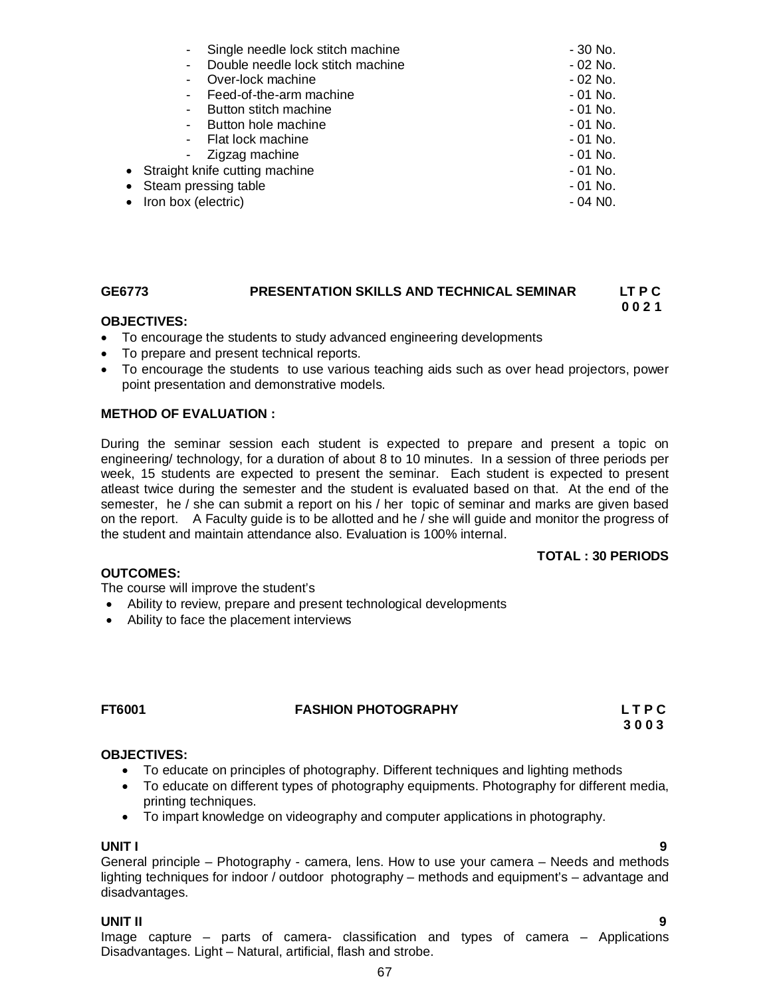|                                  | Single needle lock stitch machine                   | - 30 No. |
|----------------------------------|-----------------------------------------------------|----------|
|                                  | Double needle lock stitch machine<br>$\blacksquare$ | - 02 No. |
|                                  | Over-lock machine                                   | - 02 No. |
|                                  | - Feed-of-the-arm machine                           | - 01 No. |
|                                  | - Button stitch machine                             | - 01 No. |
|                                  | - Button hole machine                               | - 01 No. |
|                                  | - Flat lock machine                                 | - 01 No. |
|                                  | - Zigzag machine                                    | - 01 No. |
| • Straight knife cutting machine |                                                     | - 01 No. |
| • Steam pressing table           |                                                     | - 01 No. |
| • Iron box (electric)            |                                                     | - 04 NO. |
|                                  |                                                     |          |

### **GE6773 PRESENTATION SKILLS AND TECHNICAL SEMINAR LT P C**

#### **0 0 2 1**

#### **OBJECTIVES:**

- To encourage the students to study advanced engineering developments
- To prepare and present technical reports.
- To encourage the students to use various teaching aids such as over head projectors, power point presentation and demonstrative models.

#### **METHOD OF EVALUATION :**

During the seminar session each student is expected to prepare and present a topic on engineering/ technology, for a duration of about 8 to 10 minutes. In a session of three periods per week, 15 students are expected to present the seminar. Each student is expected to present atleast twice during the semester and the student is evaluated based on that. At the end of the semester, he / she can submit a report on his / her topic of seminar and marks are given based on the report. A Faculty guide is to be allotted and he / she will guide and monitor the progress of the student and maintain attendance also. Evaluation is 100% internal.

#### **TOTAL : 30 PERIODS**

#### **OUTCOMES:**

The course will improve the student's

- Ability to review, prepare and present technological developments
- Ability to face the placement interviews

### **FT6001 FASHION PHOTOGRAPHY L T P C**

 **3 0 0 3** 

#### **OBJECTIVES:**

- To educate on principles of photography. Different techniques and lighting methods
- To educate on different types of photography equipments. Photography for different media, printing techniques.
- To impart knowledge on videography and computer applications in photography.

#### **UNIT I 9**

General principle – Photography - camera, lens. How to use your camera – Needs and methods lighting techniques for indoor / outdoor photography – methods and equipment's – advantage and disadvantages.

#### **UNIT II 9**

Image capture – parts of camera- classification and types of camera – Applications Disadvantages. Light – Natural, artificial, flash and strobe.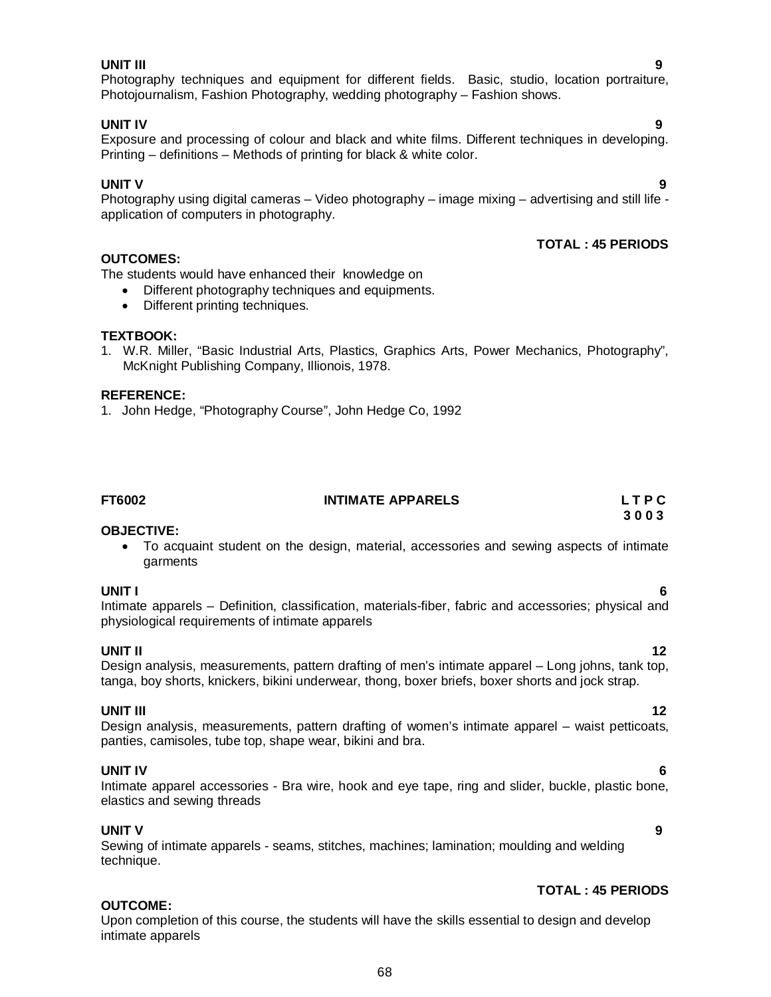#### **UNIT III 9**

### Photography techniques and equipment for different fields. Basic, studio, location portraiture, Photojournalism, Fashion Photography, wedding photography – Fashion shows.

#### **UNIT IV 9**

Exposure and processing of colour and black and white films. Different techniques in developing. Printing – definitions – Methods of printing for black & white color.

#### **UNIT V 9**

Photography using digital cameras – Video photography – image mixing – advertising and still life application of computers in photography.

### **TOTAL : 45 PERIODS**

The students would have enhanced their knowledge on

- Different photography techniques and equipments.
- Different printing techniques.

#### **TEXTBOOK:**

**OUTCOMES:**

1. W.R. Miller, "Basic Industrial Arts, Plastics, Graphics Arts, Power Mechanics, Photography", McKnight Publishing Company, Illionois, 1978.

#### **REFERENCE:**

1. John Hedge, "Photography Course", John Hedge Co, 1992

| FT6002 | <b>INTIMATE APPARELS</b> | LTPC |
|--------|--------------------------|------|
|        |                          |      |

#### **OBJECTIVE:**

 To acquaint student on the design, material, accessories and sewing aspects of intimate garments

**UNIT I 6** Intimate apparels – Definition, classification, materials-fiber, fabric and accessories; physical and physiological requirements of intimate apparels

#### **UNIT II** 12 Design analysis, measurements, pattern drafting of men's intimate apparel – Long johns, tank top, tanga, boy shorts, knickers, bikini underwear, thong, boxer briefs, boxer shorts and jock strap.

### **UNIT III** 12

Design analysis, measurements, pattern drafting of women's intimate apparel – waist petticoats, panties, camisoles, tube top, shape wear, bikini and bra.

**UNIT IV 6** Intimate apparel accessories - Bra wire, hook and eye tape, ring and slider, buckle, plastic bone, elastics and sewing threads

#### **UNIT V 9**

**OUTCOME:**

Sewing of intimate apparels - seams, stitches, machines; lamination; moulding and welding technique.

### **TOTAL : 45 PERIODS**

Upon completion of this course, the students will have the skills essential to design and develop intimate apparels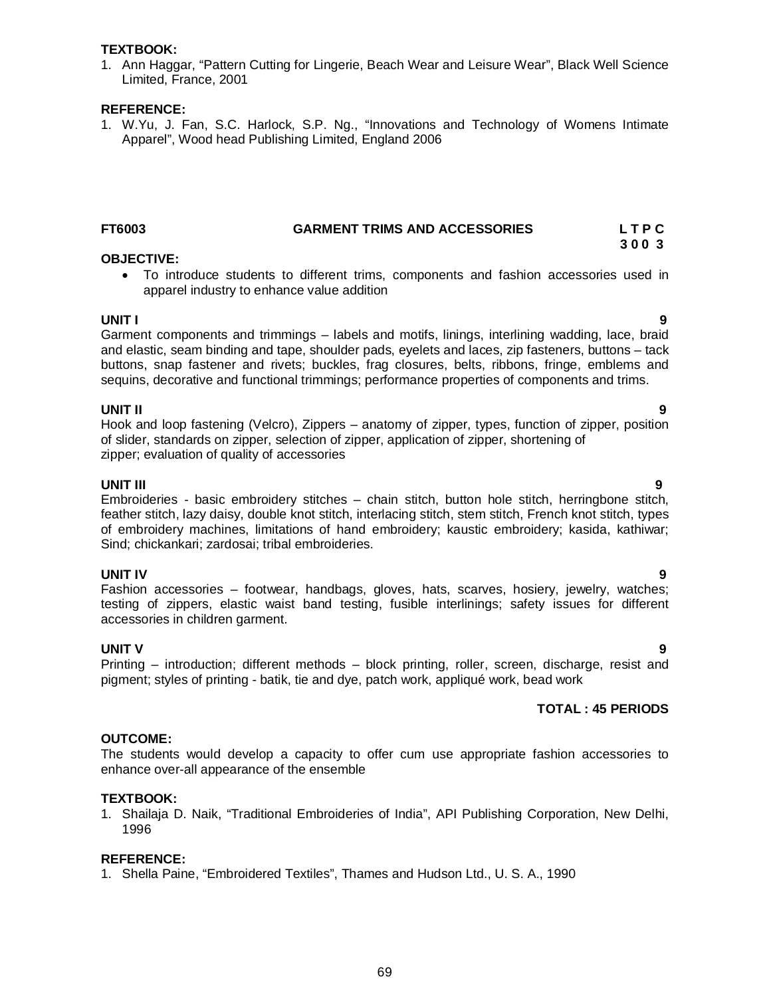#### **TEXTBOOK:**

1. Ann Haggar, "Pattern Cutting for Lingerie, Beach Wear and Leisure Wear", Black Well Science Limited, France, 2001

#### **REFERENCE:**

1. W.Yu, J. Fan, S.C. Harlock, S.P. Ng., "Innovations and Technology of Womens Intimate Apparel", Wood head Publishing Limited, England 2006

#### **FT6003 GARMENT TRIMS AND ACCESSORIES L T P C 3 0 0 3**

#### **OBJECTIVE:**

 To introduce students to different trims, components and fashion accessories used in apparel industry to enhance value addition

**UNIT I 9** Garment components and trimmings – labels and motifs, linings, interlining wadding, lace, braid and elastic, seam binding and tape, shoulder pads, eyelets and laces, zip fasteners, buttons – tack buttons, snap fastener and rivets; buckles, frag closures, belts, ribbons, fringe, emblems and sequins, decorative and functional trimmings; performance properties of components and trims.

#### **UNIT II 9**

Hook and loop fastening (Velcro), Zippers – anatomy of zipper, types, function of zipper, position of slider, standards on zipper, selection of zipper, application of zipper, shortening of zipper; evaluation of quality of accessories

#### **UNIT III 9**

Embroideries - basic embroidery stitches – chain stitch, button hole stitch, herringbone stitch, feather stitch, lazy daisy, double knot stitch, interlacing stitch, stem stitch, French knot stitch, types of embroidery machines, limitations of hand embroidery; kaustic embroidery; kasida, kathiwar; Sind; chickankari; zardosai; tribal embroideries.

#### **UNIT IV 9**

Fashion accessories – footwear, handbags, gloves, hats, scarves, hosiery, jewelry, watches; testing of zippers, elastic waist band testing, fusible interlinings; safety issues for different accessories in children garment.

#### **UNIT V 9**

Printing – introduction; different methods – block printing, roller, screen, discharge, resist and pigment; styles of printing - batik, tie and dye, patch work, appliqué work, bead work

#### **TOTAL : 45 PERIODS**

#### **OUTCOME:**

The students would develop a capacity to offer cum use appropriate fashion accessories to enhance over-all appearance of the ensemble

#### **TEXTBOOK:**

1. Shailaja D. Naik, "Traditional Embroideries of India", API Publishing Corporation, New Delhi, 1996

#### **REFERENCE:**

1. Shella Paine, "Embroidered Textiles", Thames and Hudson Ltd., U. S. A., 1990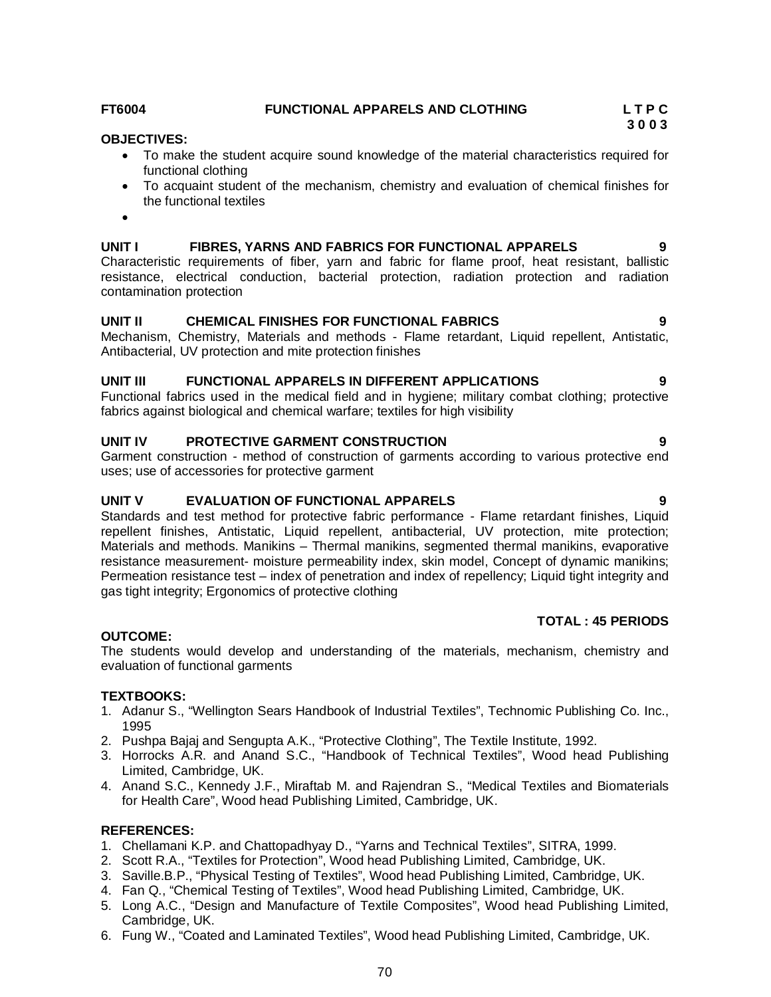#### **FT6004 FUNCTIONAL APPARELS AND CLOTHING L T P C**

#### **OBJECTIVES:**

- To make the student acquire sound knowledge of the material characteristics required for functional clothing
- To acquaint student of the mechanism, chemistry and evaluation of chemical finishes for the functional textiles
- $\bullet$

#### **UNIT I FIBRES, YARNS AND FABRICS FOR FUNCTIONAL APPARELS 9**

Characteristic requirements of fiber, yarn and fabric for flame proof, heat resistant, ballistic resistance, electrical conduction, bacterial protection, radiation protection and radiation contamination protection

#### **UNIT II CHEMICAL FINISHES FOR FUNCTIONAL FABRICS 9**

Mechanism, Chemistry, Materials and methods - Flame retardant, Liquid repellent, Antistatic, Antibacterial, UV protection and mite protection finishes

#### **UNIT III FUNCTIONAL APPARELS IN DIFFERENT APPLICATIONS 9**

Functional fabrics used in the medical field and in hygiene; military combat clothing; protective fabrics against biological and chemical warfare; textiles for high visibility

#### **UNIT IV PROTECTIVE GARMENT CONSTRUCTION 9**

Garment construction - method of construction of garments according to various protective end uses; use of accessories for protective garment

#### **UNIT V EVALUATION OF FUNCTIONAL APPARELS 9**

Standards and test method for protective fabric performance - Flame retardant finishes, Liquid repellent finishes, Antistatic, Liquid repellent, antibacterial, UV protection, mite protection; Materials and methods. Manikins – Thermal manikins, segmented thermal manikins, evaporative resistance measurement- moisture permeability index, skin model, Concept of dynamic manikins; Permeation resistance test – index of penetration and index of repellency; Liquid tight integrity and gas tight integrity; Ergonomics of protective clothing

#### **TOTAL : 45 PERIODS**

#### **OUTCOME:**

The students would develop and understanding of the materials, mechanism, chemistry and evaluation of functional garments

#### **TEXTBOOKS:**

- 1. Adanur S., "Wellington Sears Handbook of Industrial Textiles", Technomic Publishing Co. Inc., 1995
- 2. Pushpa Bajaj and Sengupta A.K., "Protective Clothing", The Textile Institute, 1992.
- 3. Horrocks A.R. and Anand S.C., "Handbook of Technical Textiles", Wood head Publishing Limited, Cambridge, UK.
- 4. Anand S.C., Kennedy J.F., Miraftab M. and Rajendran S., "Medical Textiles and Biomaterials for Health Care", Wood head Publishing Limited, Cambridge, UK.

#### **REFERENCES:**

- 1. Chellamani K.P. and Chattopadhyay D., "Yarns and Technical Textiles", SITRA, 1999.
- 2. Scott R.A., "Textiles for Protection", Wood head Publishing Limited, Cambridge, UK.
- 3. Saville.B.P., "Physical Testing of Textiles", Wood head Publishing Limited, Cambridge, UK.
- 4. Fan Q., "Chemical Testing of Textiles", Wood head Publishing Limited, Cambridge, UK.
- 5. Long A.C., "Design and Manufacture of Textile Composites", Wood head Publishing Limited, Cambridge, UK.
- 6. Fung W., "Coated and Laminated Textiles", Wood head Publishing Limited, Cambridge, UK.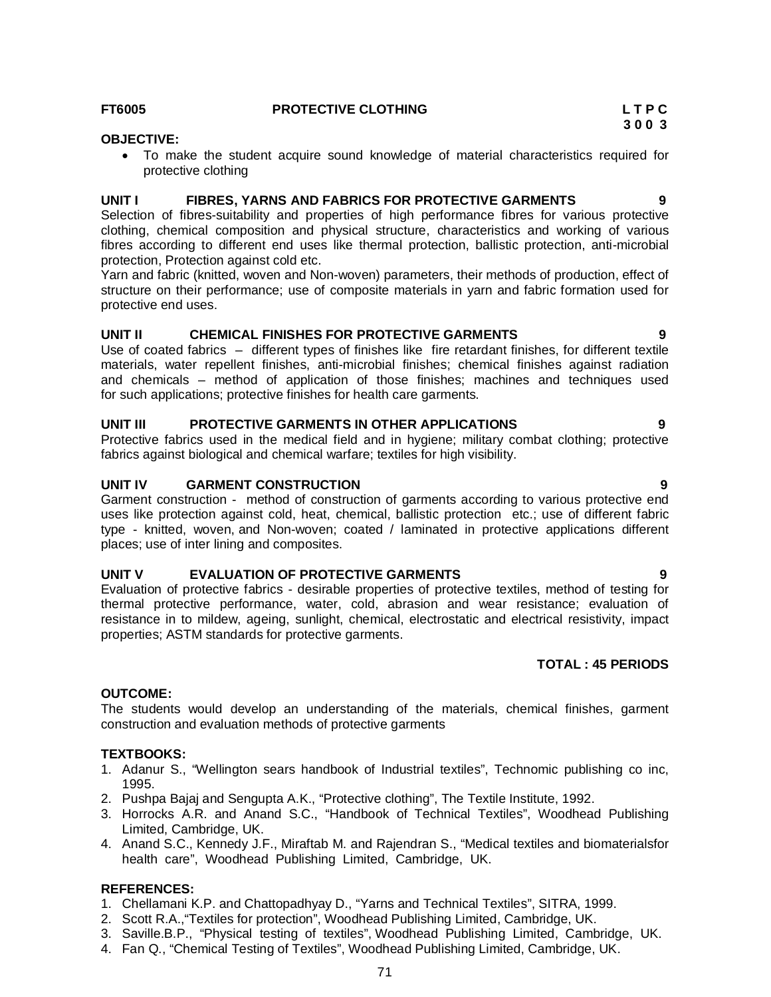## **FT6005 PROTECTIVE CLOTHING L T P C**

## **OBJECTIVE:**

 To make the student acquire sound knowledge of material characteristics required for protective clothing

#### **UNIT I FIBRES, YARNS AND FABRICS FOR PROTECTIVE GARMENTS 9**

Selection of fibres-suitability and properties of high performance fibres for various protective clothing, chemical composition and physical structure, characteristics and working of various fibres according to different end uses like thermal protection, ballistic protection, anti-microbial protection, Protection against cold etc.

Yarn and fabric (knitted, woven and Non-woven) parameters, their methods of production, effect of structure on their performance; use of composite materials in yarn and fabric formation used for protective end uses.

#### **UNIT II CHEMICAL FINISHES FOR PROTECTIVE GARMENTS 9**

Use of coated fabrics – different types of finishes like fire retardant finishes, for different textile materials, water repellent finishes, anti-microbial finishes; chemical finishes against radiation and chemicals – method of application of those finishes; machines and techniques used for such applications; protective finishes for health care garments.

#### **UNIT III PROTECTIVE GARMENTS IN OTHER APPLICATIONS 9**

Protective fabrics used in the medical field and in hygiene; military combat clothing; protective fabrics against biological and chemical warfare; textiles for high visibility.

#### **UNIT IV GARMENT CONSTRUCTION 9**

Garment construction - method of construction of garments according to various protective end uses like protection against cold, heat, chemical, ballistic protection etc.; use of different fabric type - knitted, woven, and Non-woven; coated / laminated in protective applications different places; use of inter lining and composites.

#### **UNIT V EVALUATION OF PROTECTIVE GARMENTS 9**

Evaluation of protective fabrics - desirable properties of protective textiles, method of testing for thermal protective performance, water, cold, abrasion and wear resistance; evaluation of resistance in to mildew, ageing, sunlight, chemical, electrostatic and electrical resistivity, impact properties; ASTM standards for protective garments.

### **TOTAL : 45 PERIODS**

#### **OUTCOME:**

The students would develop an understanding of the materials, chemical finishes, garment construction and evaluation methods of protective garments

#### **TEXTBOOKS:**

- 1. Adanur S., "Wellington sears handbook of Industrial textiles", Technomic publishing co inc, 1995.
- 2. Pushpa Bajaj and Sengupta A.K., "Protective clothing", The Textile Institute, 1992.
- 3. Horrocks A.R. and Anand S.C., "Handbook of Technical Textiles", Woodhead Publishing Limited, Cambridge, UK.
- 4. Anand S.C., Kennedy J.F., Miraftab M. and Rajendran S., "Medical textiles and biomaterialsfor health care", Woodhead Publishing Limited, Cambridge, UK.

#### **REFERENCES:**

- 1. Chellamani K.P. and Chattopadhyay D., "Yarns and Technical Textiles", SITRA, 1999.
- 2. Scott R.A.,"Textiles for protection", Woodhead Publishing Limited, Cambridge, UK.
- 3. Saville.B.P., "Physical testing of textiles", Woodhead Publishing Limited, Cambridge, UK.
- 4. Fan Q., "Chemical Testing of Textiles", Woodhead Publishing Limited, Cambridge, UK.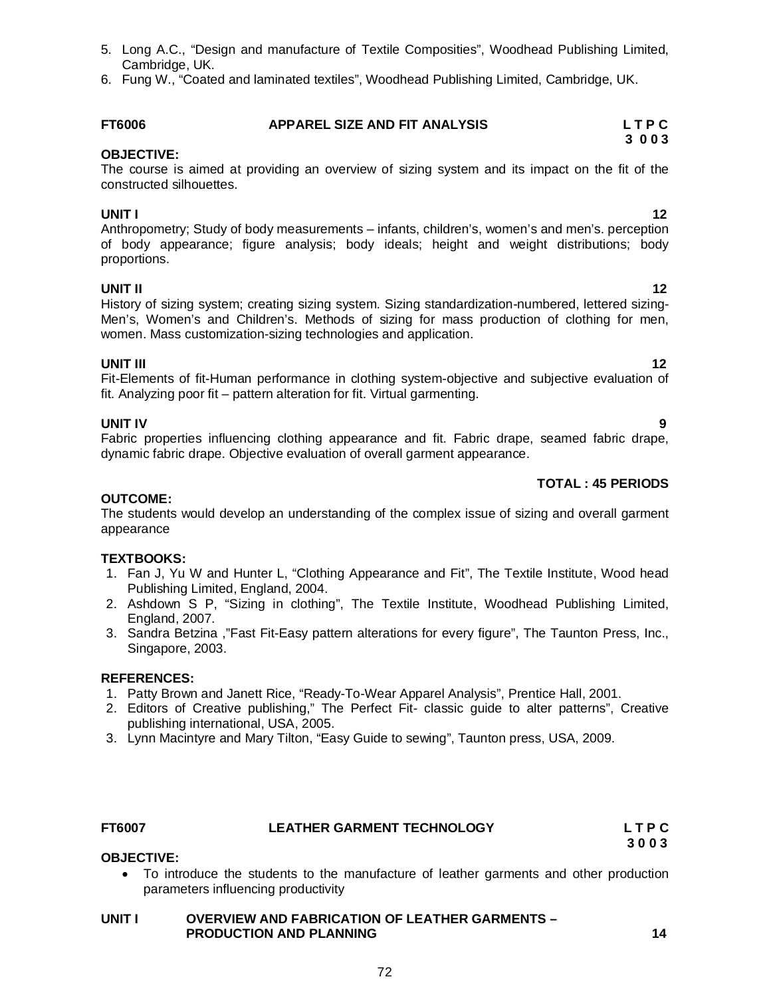- 5. Long A.C., "Design and manufacture of Textile Composities", Woodhead Publishing Limited, Cambridge, UK.
- 6. Fung W., "Coated and laminated textiles", Woodhead Publishing Limited, Cambridge, UK.

#### **FT6006 APPAREL SIZE AND FIT ANALYSIS L T P C 3 0 0 3**

## **OBJECTIVE:**

The course is aimed at providing an overview of sizing system and its impact on the fit of the constructed silhouettes.

**UNIT I** 12 Anthropometry; Study of body measurements – infants, children's, women's and men's. perception of body appearance; figure analysis; body ideals; height and weight distributions; body proportions.

## **UNIT II** 12

History of sizing system; creating sizing system. Sizing standardization-numbered, lettered sizing-Men's, Women's and Children's. Methods of sizing for mass production of clothing for men, women. Mass customization-sizing technologies and application.

**UNIT III** 12 Fit-Elements of fit-Human performance in clothing system-objective and subjective evaluation of fit. Analyzing poor fit – pattern alteration for fit. Virtual garmenting.

**UNIT IV 9** Fabric properties influencing clothing appearance and fit. Fabric drape, seamed fabric drape, dynamic fabric drape. Objective evaluation of overall garment appearance.

### **TOTAL : 45 PERIODS**

### **OUTCOME:**

The students would develop an understanding of the complex issue of sizing and overall garment appearance

### **TEXTBOOKS:**

- 1. Fan J, Yu W and Hunter L, "Clothing Appearance and Fit", The Textile Institute, Wood head Publishing Limited, England, 2004.
- 2. Ashdown S P, "Sizing in clothing", The Textile Institute, Woodhead Publishing Limited, England, 2007.
- 3. Sandra Betzina ,"Fast Fit-Easy pattern alterations for every figure", The Taunton Press, Inc., Singapore, 2003.

### **REFERENCES:**

- 1. Patty Brown and Janett Rice, "Ready-To-Wear Apparel Analysis", Prentice Hall, 2001.
- 2. Editors of Creative publishing," The Perfect Fit- classic guide to alter patterns", Creative publishing international, USA, 2005.
- 3. Lynn Macintyre and Mary Tilton, "Easy Guide to sewing", Taunton press, USA, 2009.

#### **FT6007 LEATHER GARMENT TECHNOLOGY L T P C**

**OBJECTIVE:**

#### To introduce the students to the manufacture of leather garments and other production parameters influencing productivity

#### **UNIT I OVERVIEW AND FABRICATION OF LEATHER GARMENTS – PRODUCTION AND PLANNING 14**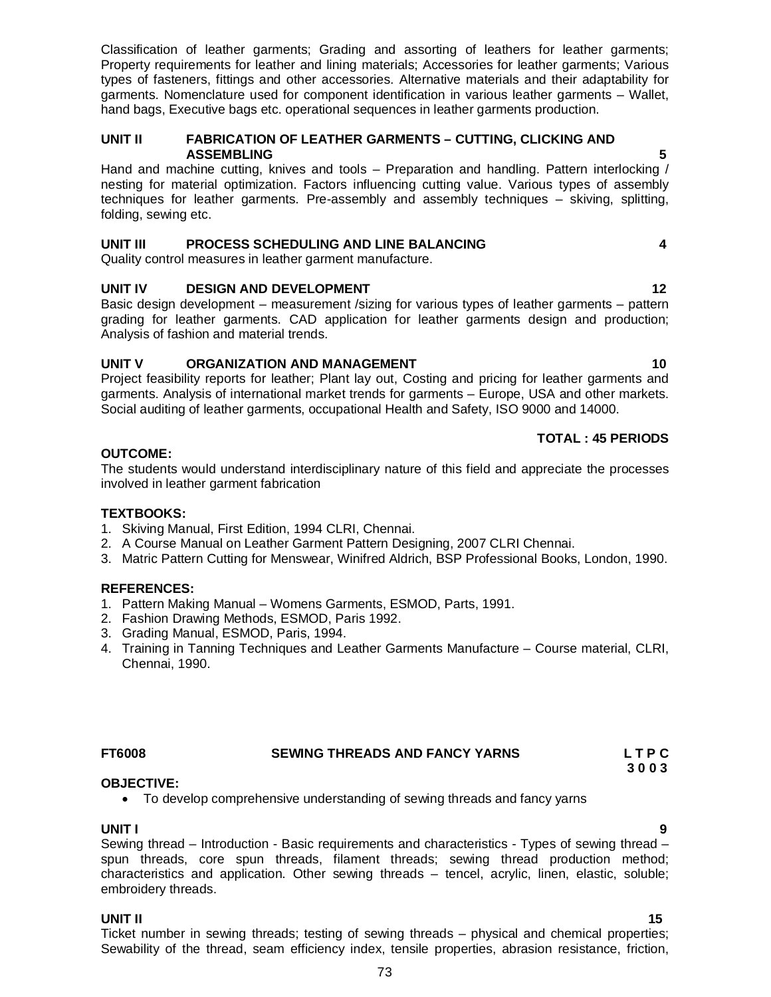Ticket number in sewing threads; testing of sewing threads – physical and chemical properties; Sewability of the thread, seam efficiency index, tensile properties, abrasion resistance, friction,

Classification of leather garments; Grading and assorting of leathers for leather garments; Property requirements for leather and lining materials; Accessories for leather garments; Various types of fasteners, fittings and other accessories. Alternative materials and their adaptability for garments. Nomenclature used for component identification in various leather garments – Wallet, hand bags, Executive bags etc. operational sequences in leather garments production.

## **UNIT II FABRICATION OF LEATHER GARMENTS – CUTTING, CLICKING AND ASSEMBLING 5**

Hand and machine cutting, knives and tools – Preparation and handling. Pattern interlocking / nesting for material optimization. Factors influencing cutting value. Various types of assembly techniques for leather garments. Pre-assembly and assembly techniques – skiving, splitting, folding, sewing etc.

# **UNIT III PROCESS SCHEDULING AND LINE BALANCING 4**

Quality control measures in leather garment manufacture.

# **UNIT IV DESIGN AND DEVELOPMENT 12** 12

Basic design development – measurement /sizing for various types of leather garments – pattern grading for leather garments. CAD application for leather garments design and production; Analysis of fashion and material trends.

# **UNIT V ORGANIZATION AND MANAGEMENT 10** 10

Project feasibility reports for leather; Plant lay out, Costing and pricing for leather garments and garments. Analysis of international market trends for garments – Europe, USA and other markets. Social auditing of leather garments, occupational Health and Safety, ISO 9000 and 14000.

# **TOTAL : 45 PERIODS**

# **OUTCOME:**

The students would understand interdisciplinary nature of this field and appreciate the processes involved in leather garment fabrication

# **TEXTBOOKS:**

- 1. Skiving Manual, First Edition, 1994 CLRI, Chennai.
- 2. A Course Manual on Leather Garment Pattern Designing, 2007 CLRI Chennai.
- 3. Matric Pattern Cutting for Menswear, Winifred Aldrich, BSP Professional Books, London, 1990.

# **REFERENCES:**

- 1. Pattern Making Manual Womens Garments, ESMOD, Parts, 1991.
- 2. Fashion Drawing Methods, ESMOD, Paris 1992.
- 3. Grading Manual, ESMOD, Paris, 1994.
- 4. Training in Tanning Techniques and Leather Garments Manufacture Course material, CLRI, Chennai, 1990.

# **FT6008 SEWING THREADS AND FANCY YARNS L T P C**

#### **OBJECTIVE:**  To develop comprehensive understanding of sewing threads and fancy yarns

**UNIT I 9** Sewing thread – Introduction - Basic requirements and characteristics - Types of sewing thread – spun threads, core spun threads, filament threads; sewing thread production method; characteristics and application. Other sewing threads – tencel, acrylic, linen, elastic, soluble; embroidery threads.

# **UNIT II** 15

 **3 0 0 3**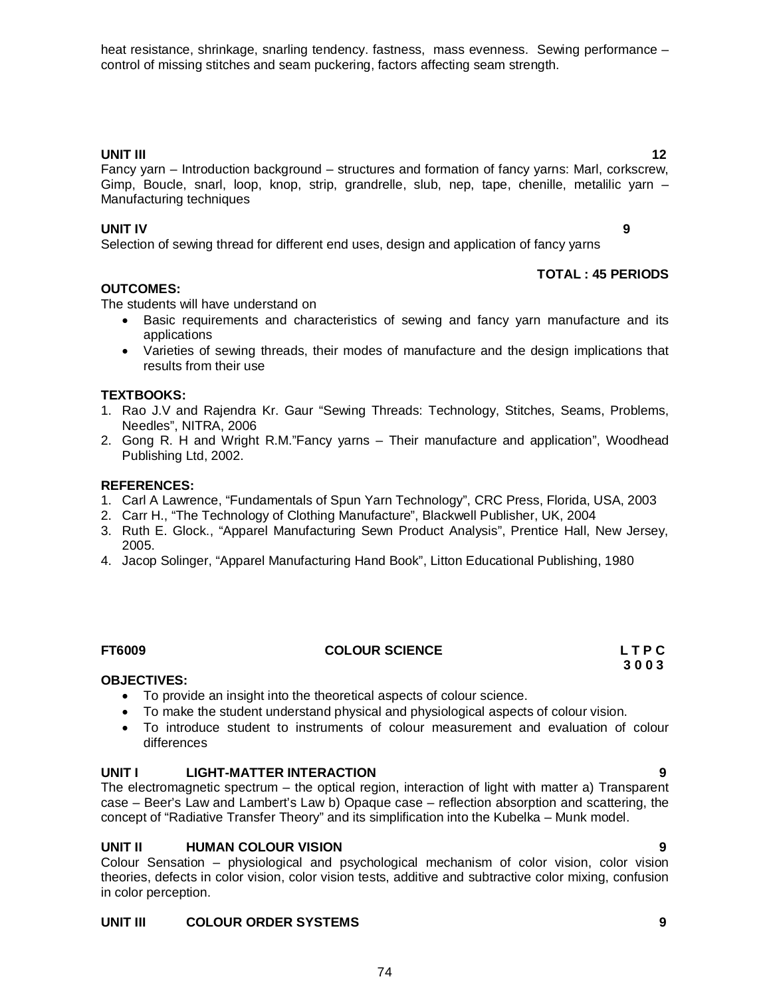heat resistance, shrinkage, snarling tendency. fastness, mass evenness. Sewing performance – control of missing stitches and seam puckering, factors affecting seam strength.

# **UNIT III** 12

Fancy yarn – Introduction background – structures and formation of fancy yarns: Marl, corkscrew, Gimp, Boucle, snarl, loop, knop, strip, grandrelle, slub, nep, tape, chenille, metalilic yarn – Manufacturing techniques

**UNIT IV 9** Selection of sewing thread for different end uses, design and application of fancy yarns

The students will have understand on

- Basic requirements and characteristics of sewing and fancy yarn manufacture and its applications
- Varieties of sewing threads, their modes of manufacture and the design implications that results from their use

# **TEXTBOOKS:**

**OUTCOMES:**

- 1. Rao J.V and Rajendra Kr. Gaur "Sewing Threads: Technology, Stitches, Seams, Problems, Needles", NITRA, 2006
- 2. Gong R. H and Wright R.M."Fancy yarns Their manufacture and application", Woodhead Publishing Ltd, 2002.

## **REFERENCES:**

- 1. Carl A Lawrence, "Fundamentals of Spun Yarn Technology", CRC Press, Florida, USA, 2003
- 2. Carr H., "The Technology of Clothing Manufacture", Blackwell Publisher, UK, 2004
- 3. Ruth E. Glock., "Apparel Manufacturing Sewn Product Analysis", Prentice Hall, New Jersey, 2005.
- 4. Jacop Solinger, "Apparel Manufacturing Hand Book", Litton Educational Publishing, 1980

### **FT6009 COLOUR SCIENCE L T P C**

### **OBJECTIVES:**

- To provide an insight into the theoretical aspects of colour science.
- To make the student understand physical and physiological aspects of colour vision.
- To introduce student to instruments of colour measurement and evaluation of colour differences

### **UNIT I LIGHT-MATTER INTERACTION 9**

The electromagnetic spectrum – the optical region, interaction of light with matter a) Transparent case – Beer's Law and Lambert's Law b) Opaque case – reflection absorption and scattering, the concept of "Radiative Transfer Theory" and its simplification into the Kubelka – Munk model.

# **UNIT II HUMAN COLOUR VISION 9**

Colour Sensation – physiological and psychological mechanism of color vision, color vision theories, defects in color vision, color vision tests, additive and subtractive color mixing, confusion in color perception.

# **UNIT III COLOUR ORDER SYSTEMS 9**

 **3 0 0 3**

**TOTAL : 45 PERIODS**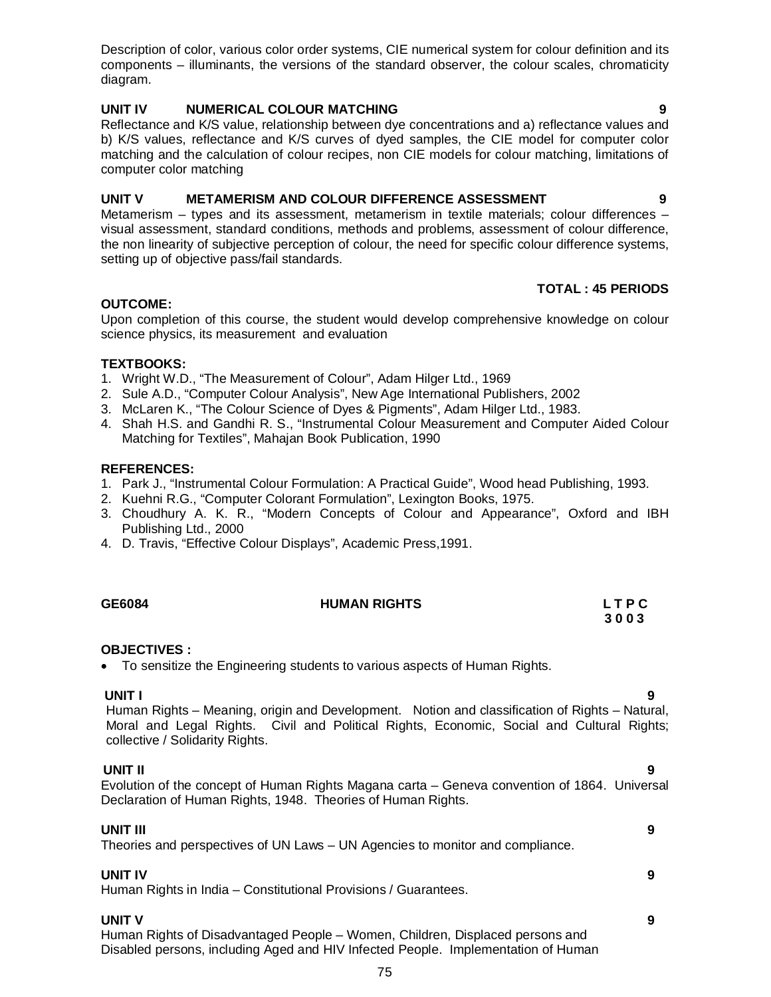Description of color, various color order systems, CIE numerical system for colour definition and its components – illuminants, the versions of the standard observer, the colour scales, chromaticity diagram.

# **UNIT IV NUMERICAL COLOUR MATCHING 9**

Reflectance and K/S value, relationship between dye concentrations and a) reflectance values and b) K/S values, reflectance and K/S curves of dyed samples, the CIE model for computer color matching and the calculation of colour recipes, non CIE models for colour matching, limitations of computer color matching

# **UNIT V METAMERISM AND COLOUR DIFFERENCE ASSESSMENT 9**

Metamerism – types and its assessment, metamerism in textile materials; colour differences – visual assessment, standard conditions, methods and problems, assessment of colour difference, the non linearity of subjective perception of colour, the need for specific colour difference systems, setting up of objective pass/fail standards.

# **TOTAL : 45 PERIODS**

# **OUTCOME:**

Upon completion of this course, the student would develop comprehensive knowledge on colour science physics, its measurement and evaluation

# **TEXTBOOKS:**

- 1. Wright W.D., "The Measurement of Colour", Adam Hilger Ltd., 1969
- 2. Sule A.D., "Computer Colour Analysis", New Age International Publishers, 2002
- 3. McLaren K., "The Colour Science of Dyes & Pigments", Adam Hilger Ltd., 1983.
- 4. Shah H.S. and Gandhi R. S., "Instrumental Colour Measurement and Computer Aided Colour Matching for Textiles", Mahajan Book Publication, 1990

# **REFERENCES:**

- 1. Park J., "Instrumental Colour Formulation: A Practical Guide", Wood head Publishing, 1993.
- 2. Kuehni R.G., "Computer Colorant Formulation", Lexington Books, 1975.
- 3. Choudhury A. K. R., "Modern Concepts of Colour and Appearance", Oxford and IBH Publishing Ltd., 2000
- 4. D. Travis, "Effective Colour Displays", Academic Press,1991.

| GE6084 | <b>HUMAN RIGHTS</b> | <b>LTPC</b> |
|--------|---------------------|-------------|
|        |                     | 3003        |

# **OBJECTIVES :**

To sensitize the Engineering students to various aspects of Human Rights.

**UNIT I 9** Human Rights – Meaning, origin and Development. Notion and classification of Rights – Natural, Moral and Legal Rights. Civil and Political Rights, Economic, Social and Cultural Rights; collective / Solidarity Rights.

 **UNIT II 9** Evolution of the concept of Human Rights Magana carta – Geneva convention of 1864. Universal Declaration of Human Rights, 1948. Theories of Human Rights.

**UNIT III 9** Theories and perspectives of UN Laws – UN Agencies to monitor and compliance.

# **UNIT IV 9**

Human Rights in India – Constitutional Provisions / Guarantees.

# **UNIT V 9**

Human Rights of Disadvantaged People – Women, Children, Displaced persons and Disabled persons, including Aged and HIV Infected People. Implementation of Human

- 
-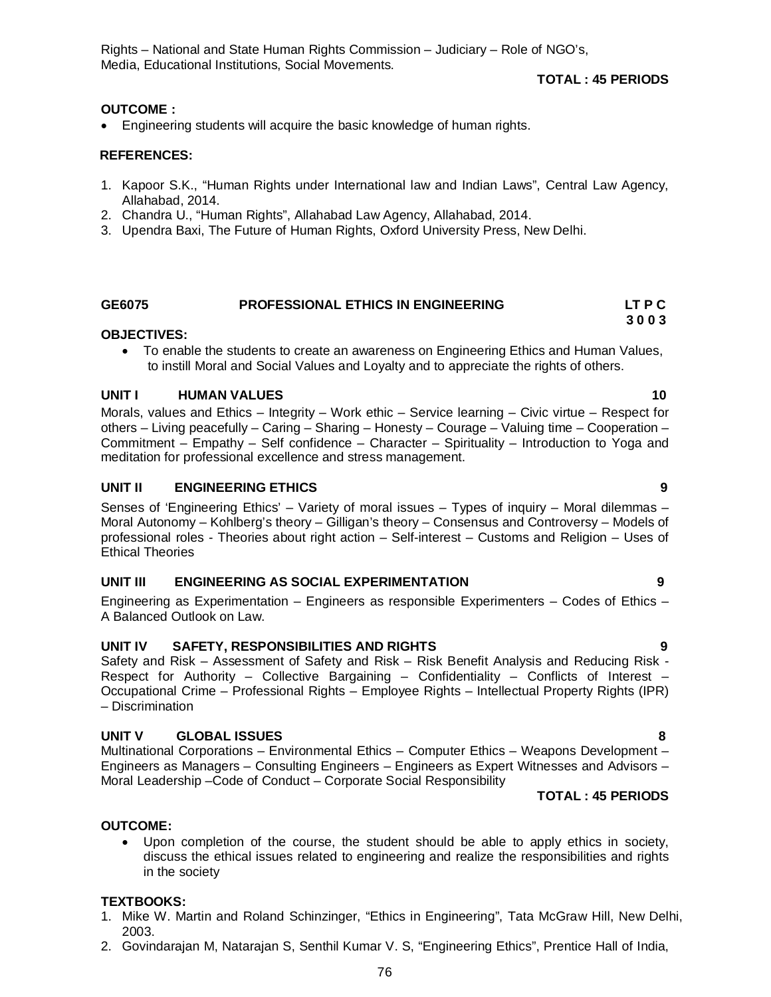Rights – National and State Human Rights Commission – Judiciary – Role of NGO's, Media, Educational Institutions, Social Movements.

# **TOTAL : 45 PERIODS**

## **OUTCOME :**

Engineering students will acquire the basic knowledge of human rights.

### **REFERENCES:**

- 1. Kapoor S.K., "Human Rights under International law and Indian Laws", Central Law Agency, Allahabad, 2014.
- 2. Chandra U., "Human Rights", Allahabad Law Agency, Allahabad, 2014.
- 3. Upendra Baxi, The Future of Human Rights, Oxford University Press, New Delhi.

#### **GE6075 PROFESSIONAL ETHICS IN ENGINEERING LT P C 3 0 0 3**

### **OBJECTIVES:**

 To enable the students to create an awareness on Engineering Ethics and Human Values, to instill Moral and Social Values and Loyalty and to appreciate the rights of others.

## **UNIT I HUMAN VALUES 10**

Morals, values and Ethics – Integrity – Work ethic – Service learning – Civic virtue – Respect for others – Living peacefully – Caring – Sharing – Honesty – Courage – Valuing time – Cooperation – Commitment – Empathy – Self confidence – Character – Spirituality – Introduction to Yoga and meditation for professional excellence and stress management.

## **UNIT II ENGINEERING ETHICS 9**

Senses of 'Engineering Ethics' – Variety of moral issues – Types of inquiry – Moral dilemmas – Moral Autonomy – Kohlberg's theory – Gilligan's theory – Consensus and Controversy – Models of professional roles - Theories about right action – Self-interest – Customs and Religion – Uses of Ethical Theories

### **UNIT III ENGINEERING AS SOCIAL EXPERIMENTATION 9**

Engineering as Experimentation – Engineers as responsible Experimenters – Codes of Ethics – A Balanced Outlook on Law.

# **UNIT IV SAFETY, RESPONSIBILITIES AND RIGHTS 9**

Safety and Risk – Assessment of Safety and Risk – Risk Benefit Analysis and Reducing Risk - Respect for Authority – Collective Bargaining – Confidentiality – Conflicts of Interest – Occupational Crime – Professional Rights – Employee Rights – Intellectual Property Rights (IPR) – Discrimination

### **UNIT V GLOBAL ISSUES 8**

Multinational Corporations – Environmental Ethics – Computer Ethics – Weapons Development – Engineers as Managers – Consulting Engineers – Engineers as Expert Witnesses and Advisors – Moral Leadership –Code of Conduct – Corporate Social Responsibility

# **TOTAL : 45 PERIODS**

### **OUTCOME:**

 Upon completion of the course, the student should be able to apply ethics in society, discuss the ethical issues related to engineering and realize the responsibilities and rights in the society

### **TEXTBOOKS:**

- 1. Mike W. Martin and Roland Schinzinger, "Ethics in Engineering", Tata McGraw Hill, New Delhi, 2003.
- 2. Govindarajan M, Natarajan S, Senthil Kumar V. S, "Engineering Ethics", Prentice Hall of India,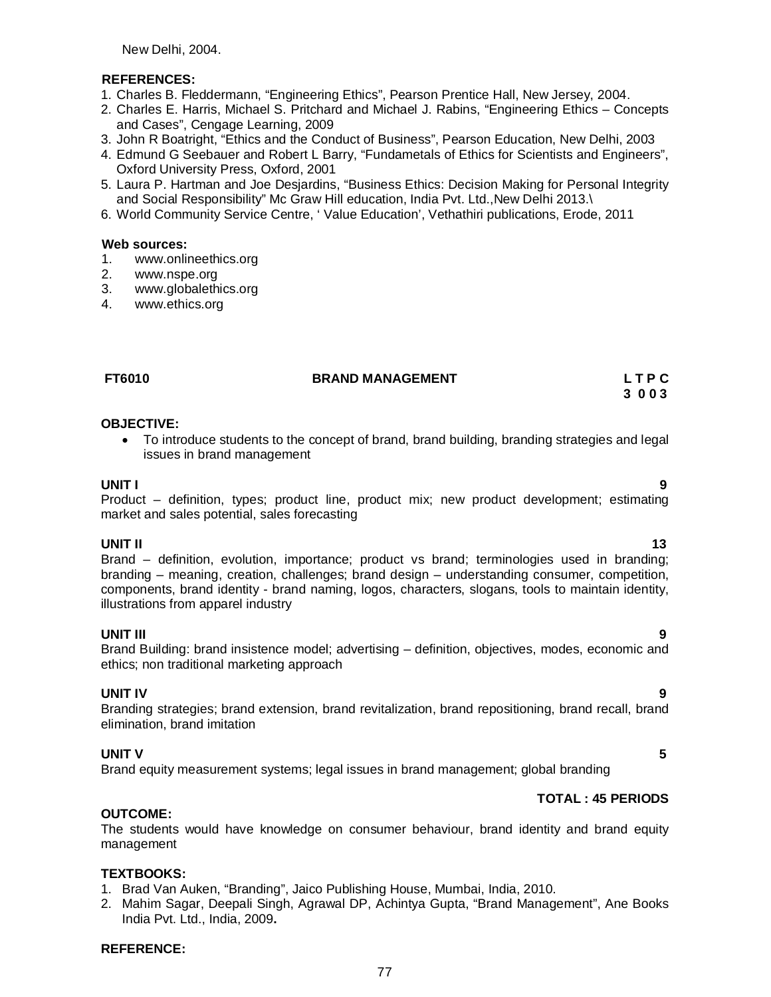New Delhi, 2004.

## **REFERENCES:**

- 1. Charles B. Fleddermann, "Engineering Ethics", Pearson Prentice Hall, New Jersey, 2004.
- 2. Charles E. Harris, Michael S. Pritchard and Michael J. Rabins, "Engineering Ethics Concepts and Cases", Cengage Learning, 2009
- 3. John R Boatright, "Ethics and the Conduct of Business", Pearson Education, New Delhi, 2003
- 4. Edmund G Seebauer and Robert L Barry, "Fundametals of Ethics for Scientists and Engineers", Oxford University Press, Oxford, 2001
- 5. Laura P. Hartman and Joe Desjardins, "Business Ethics: Decision Making for Personal Integrity and Social Responsibility" Mc Graw Hill education, India Pvt. Ltd.,New Delhi 2013.\
- 6. World Community Service Centre, ' Value Education', Vethathiri publications, Erode, 2011

### **Web sources:**

- 1. www.onlineethics.org
- 2. www.nspe.org
- 3. www.globalethics.org
- 4. www.ethics.org

# **FT6010 BRAND MANAGEMENT L T P C**

 **3 0 0 3**

## **OBJECTIVE:**

 To introduce students to the concept of brand, brand building, branding strategies and legal issues in brand management

**UNIT I 9** Product – definition, types; product line, product mix; new product development; estimating market and sales potential, sales forecasting

**UNIT II** 13 Brand – definition, evolution, importance; product vs brand; terminologies used in branding; branding – meaning, creation, challenges; brand design – understanding consumer, competition, components, brand identity - brand naming, logos, characters, slogans, tools to maintain identity, illustrations from apparel industry

**UNIT III 9** Brand Building: brand insistence model; advertising – definition, objectives, modes, economic and ethics; non traditional marketing approach

# **UNIT IV 9**

Branding strategies; brand extension, brand revitalization, brand repositioning, brand recall, brand elimination, brand imitation

# **UNIT V** 5

Brand equity measurement systems; legal issues in brand management; global branding

# **TOTAL : 45 PERIODS**

# **OUTCOME:**

The students would have knowledge on consumer behaviour, brand identity and brand equity management

# **TEXTBOOKS:**

- 1. Brad Van Auken, "Branding", Jaico Publishing House, Mumbai, India, 2010.
- 2. Mahim Sagar, Deepali Singh, Agrawal DP, Achintya Gupta, "Brand Management", Ane Books India Pvt. Ltd., India, 2009**.**

### **REFERENCE:**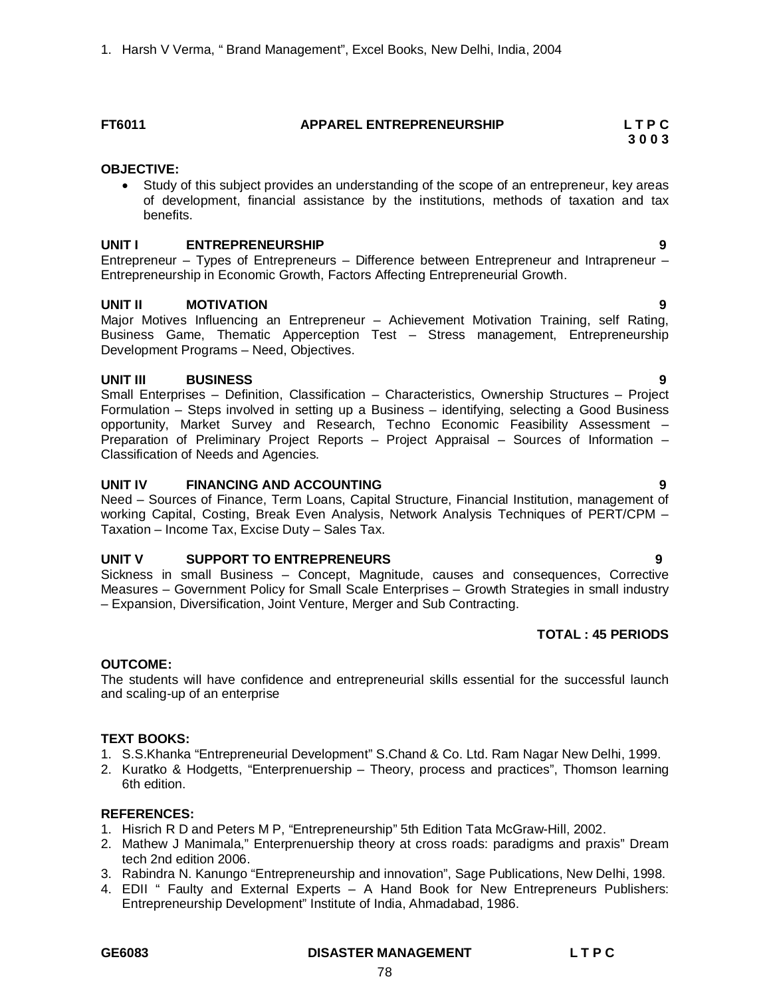# **FT6011 APPAREL ENTREPRENEURSHIP L T P C**

# **3 0 0 3**

## **OBJECTIVE:**

 Study of this subject provides an understanding of the scope of an entrepreneur, key areas of development, financial assistance by the institutions, methods of taxation and tax benefits.

## **UNIT I ENTREPRENEURSHIP 9**

Entrepreneur – Types of Entrepreneurs – Difference between Entrepreneur and Intrapreneur – Entrepreneurship in Economic Growth, Factors Affecting Entrepreneurial Growth.

## **UNIT II MOTIVATION 9**

Major Motives Influencing an Entrepreneur – Achievement Motivation Training, self Rating, Business Game, Thematic Apperception Test – Stress management, Entrepreneurship Development Programs – Need, Objectives.

# **UNIT III BUSINESS 9**

Small Enterprises – Definition, Classification – Characteristics, Ownership Structures – Project Formulation – Steps involved in setting up a Business – identifying, selecting a Good Business opportunity, Market Survey and Research, Techno Economic Feasibility Assessment – Preparation of Preliminary Project Reports – Project Appraisal – Sources of Information – Classification of Needs and Agencies.

## **UNIT IV FINANCING AND ACCOUNTING 9**

Need – Sources of Finance, Term Loans, Capital Structure, Financial Institution, management of working Capital, Costing, Break Even Analysis, Network Analysis Techniques of PERT/CPM – Taxation – Income Tax, Excise Duty – Sales Tax.

# **UNIT V SUPPORT TO ENTREPRENEURS 9**

Sickness in small Business – Concept, Magnitude, causes and consequences, Corrective Measures – Government Policy for Small Scale Enterprises – Growth Strategies in small industry – Expansion, Diversification, Joint Venture, Merger and Sub Contracting.

# **TOTAL : 45 PERIODS**

### **OUTCOME:**

The students will have confidence and entrepreneurial skills essential for the successful launch and scaling-up of an enterprise

### **TEXT BOOKS:**

- 1. S.S.Khanka "Entrepreneurial Development" S.Chand & Co. Ltd. Ram Nagar New Delhi, 1999.
- 2. Kuratko & Hodgetts, "Enterprenuership Theory, process and practices", Thomson learning 6th edition.

### **REFERENCES:**

- 1. Hisrich R D and Peters M P, "Entrepreneurship" 5th Edition Tata McGraw-Hill, 2002.
- 2. Mathew J Manimala," Enterprenuership theory at cross roads: paradigms and praxis" Dream tech 2nd edition 2006.
- 3. Rabindra N. Kanungo "Entrepreneurship and innovation", Sage Publications, New Delhi, 1998.
- 4. EDII " Faulty and External Experts A Hand Book for New Entrepreneurs Publishers: Entrepreneurship Development" Institute of India, Ahmadabad, 1986.

### **GE6083 DISASTER MANAGEMENT L T P C**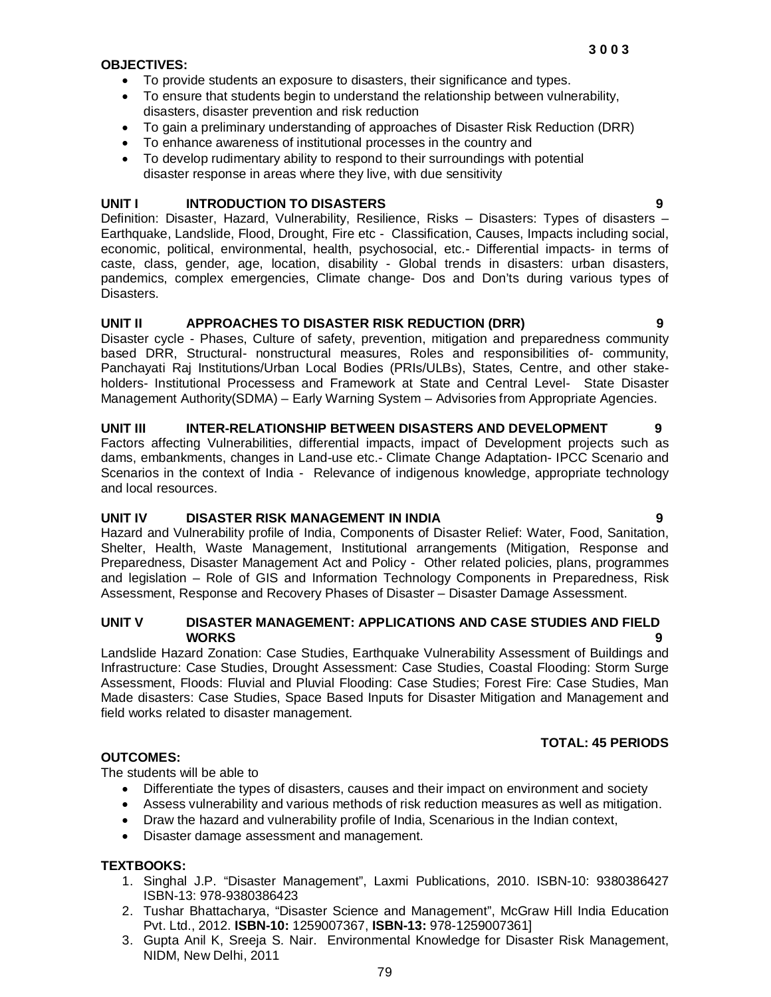# **OBJECTIVES:**

- To provide students an exposure to disasters, their significance and types.
- To ensure that students begin to understand the relationship between vulnerability, disasters, disaster prevention and risk reduction
- To gain a preliminary understanding of approaches of Disaster Risk Reduction (DRR)
- To enhance awareness of institutional processes in the country and
- To develop rudimentary ability to respond to their surroundings with potential disaster response in areas where they live, with due sensitivity

## **UNIT I INTRODUCTION TO DISASTERS 9**

Definition: Disaster, Hazard, Vulnerability, Resilience, Risks – Disasters: Types of disasters – Earthquake, Landslide, Flood, Drought, Fire etc - Classification, Causes, Impacts including social, economic, political, environmental, health, psychosocial, etc.- Differential impacts- in terms of caste, class, gender, age, location, disability - Global trends in disasters: urban disasters, pandemics, complex emergencies, Climate change- Dos and Don'ts during various types of Disasters.

## **UNIT II APPROACHES TO DISASTER RISK REDUCTION (DRR) 9**

Disaster cycle - Phases, Culture of safety, prevention, mitigation and preparedness community based DRR, Structural- nonstructural measures, Roles and responsibilities of- community, Panchayati Raj Institutions/Urban Local Bodies (PRIs/ULBs), States, Centre, and other stakeholders- Institutional Processess and Framework at State and Central Level- State Disaster Management Authority(SDMA) – Early Warning System – Advisories from Appropriate Agencies.

#### **UNIT III INTER-RELATIONSHIP BETWEEN DISASTERS AND DEVELOPMENT 9**

Factors affecting Vulnerabilities, differential impacts, impact of Development projects such as dams, embankments, changes in Land-use etc.- Climate Change Adaptation- IPCC Scenario and Scenarios in the context of India - Relevance of indigenous knowledge, appropriate technology and local resources.

### **UNIT IV DISASTER RISK MANAGEMENT IN INDIA 9**

Hazard and Vulnerability profile of India, Components of Disaster Relief: Water, Food, Sanitation, Shelter, Health, Waste Management, Institutional arrangements (Mitigation, Response and Preparedness, Disaster Management Act and Policy - Other related policies, plans, programmes and legislation – Role of GIS and Information Technology Components in Preparedness, Risk Assessment, Response and Recovery Phases of Disaster – Disaster Damage Assessment.

# **UNIT V DISASTER MANAGEMENT: APPLICATIONS AND CASE STUDIES AND FIELD WORKS 9**

Landslide Hazard Zonation: Case Studies, Earthquake Vulnerability Assessment of Buildings and Infrastructure: Case Studies, Drought Assessment: Case Studies, Coastal Flooding: Storm Surge Assessment, Floods: Fluvial and Pluvial Flooding: Case Studies; Forest Fire: Case Studies, Man Made disasters: Case Studies, Space Based Inputs for Disaster Mitigation and Management and field works related to disaster management.

# **TOTAL: 45 PERIODS**

# **OUTCOMES:**

The students will be able to

- Differentiate the types of disasters, causes and their impact on environment and society
- Assess vulnerability and various methods of risk reduction measures as well as mitigation.
- Draw the hazard and vulnerability profile of India, Scenarious in the Indian context,
- Disaster damage assessment and management.

# **TEXTBOOKS:**

- 1. Singhal J.P. "Disaster Management", Laxmi Publications, 2010. ISBN-10: 9380386427 ISBN-13: 978-9380386423
- 2. Tushar Bhattacharya, "Disaster Science and Management", McGraw Hill India Education Pvt. Ltd., 2012. **ISBN-10:** 1259007367, **ISBN-13:** 978-1259007361]
- 3. Gupta Anil K, Sreeja S. Nair. Environmental Knowledge for Disaster Risk Management, NIDM, New Delhi, 2011